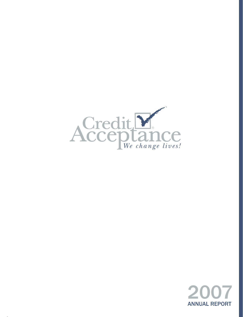

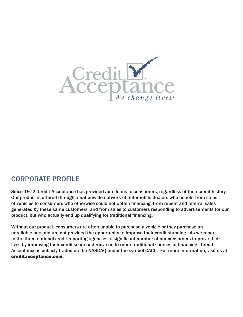

# CORPORATE PROFILE

Since 1972, Credit Acceptance has provided auto loans to consumers, regardless of their credit history. Our product is offered through a nationwide network of automobile dealers who benefit from sales of vehicles to consumers who otherwise could not obtain financing; from repeat and referral sales generated by these same customers; and from sales to customers responding to advertisements for our product, but who actually end up qualifying for traditional financing.

--------------------------------------------------------------------------------------------------------------------------------------------------------------------------------------------------- --------- HINGE- ---------- HINGE

Without our product, consumers are often unable to purchase a vehicle or they purchase an unreliable one and are not provided the opportunity to improve their credit standing. As we report to the three national credit reporting agencies, a significant number of our consumers improve their lives by improving their credit score and move on to more traditional sources of financing. Credit Acceptance is publicly traded on the NASDAQ under the symbol CACC. For more information, visit us at creditacceptance.com.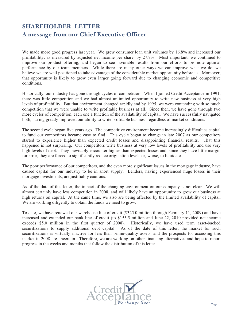# **SHAREHOLDER LETTER A** measons from our Chief E. **A message from our Chief Executive Officer**

--------------------------------------------------------------------------------------------------------------------------------------------------------------------------------------------------- --------- HINGE- ---------- HINGE

We made more good progress last year. We grew consumer loan unit volumes by 16.8% and increased our profitability, as measured by adjusted net income per share, by 27.7%. Most important, we continued to improve our product offering, and began to see favorable results from our efforts to promote optimal performance by our team members. While there are many other ways we can improve what we do, we believe we are well positioned to take advantage of the considerable market opportunity before us. Moreover, that opportunity is likely to grow even larger going forward due to changing economic and competitive conditions.

Historically, our industry has gone through cycles of competition. When I joined Credit Acceptance in 1991, there was little competition and we had almost unlimited opportunity to write new business at very high levels of profitability. But that environment changed rapidly and by 1995, we were contending with so much competition that we were unable to write profitable business at all. Since then, we have gone through two more cycles of competition, each one a function of the availability of capital. We have successfully navigated both, having greatly improved our ability to write profitable business regardless of market conditions.

The second cycle began five years ago. The competitive environment became increasingly difficult as capital to fund our competitors became easy to find. This cycle began to change in late 2007 as our competitors started to experience higher than expected credit losses and disappointing financial results. That this happened is not surprising. Our competitors write business at very low levels of profitability and use very high levels of debt. They inevitably encounter higher than expected losses and, since they have little margin for error, they are forced to significantly reduce origination levels or, worse, to liquidate.

The poor performance of our competitors, and the even more significant issues in the mortgage industry, have caused capital for our industry to be in short supply. Lenders, having experienced huge losses in their mortgage investments, are justifiably cautious.

As of the date of this letter, the impact of the changing environment on our company is not clear. We will almost certainly have less competition in 2008, and will likely have an opportunity to grow our business at high returns on capital. At the same time, we also are being affected by the limited availability of capital. We are working diligently to obtain the funds we need to grow.

To date, we have renewed our warehouse line of credit (\$325.0 million through February 11, 2009) and have increased and extended our bank line of credit (to \$153.5 million and June 22, 2010 provided net income exceeds \$5.0 million in the first quarter of 2008). Historically, we have used term asset-backed securitizations to supply additional debt capital. As of the date of this letter, the market for such securitizations is virtually inactive for less than prime-quality assets, and the prospects for accessing this market in 2008 are uncertain. Therefore, we are working on other financing alternatives and hope to report progress in the weeks and months that follow the distribution of this letter.

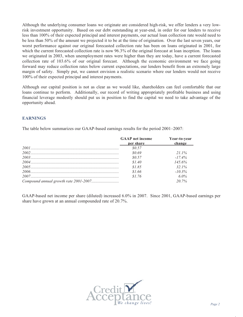Although the underlying consumer loans we originate are considered high-risk, we offer lenders a very lowrisk investment opportunity. Based on our debt outstanding at year-end, in order for our lenders to receive less than 100% of their expected principal and interest payments, our actual loan collection rate would need to be less than 50% of the amount we projected it to be at the time of origination. Over the last seven years, our worst performance against our original forecasted collection rate has been on loans originated in 2001, for which the current forecasted collection rate is now 96.3% of the original forecast at loan inception. The loans we originated in 2003, when unemployment rates were higher than they are today, have a current forecasted collection rate of 103.6% of our original forecast. Although the economic environment we face going forward may reduce collection rates below current expectations, our lenders benefit from an extremely large margin of safety. Simply put, we cannot envision a realistic scenario where our lenders would not receive 100% of their expected principal and interest payments.

Although our capital position is not as clear as we would like, shareholders can feel comfortable that our loans continue to perform. Additionally, our record of writing appropriately profitable business and using financial leverage modestly should put us in position to find the capital we need to take advantage of the opportunity ahead.

# **EARNINGS**

The table below summarizes our GAAP-based earnings results for the period 2001–2007:

| <b>GAAP</b> net income | Year-to-year |  |
|------------------------|--------------|--|
| per share              | change       |  |
| \$0.57                 |              |  |
| \$0.69                 | $21.1\%$     |  |
| \$0.57                 | $-17.4\%$    |  |
| \$1.40                 | $145.6\%$    |  |
| \$1.85                 | $32.1\%$     |  |
| \$1.66                 | $-10.3\%$    |  |
| \$1.76                 | $6.0\%$      |  |
|                        | 20.7%        |  |

GAAP-based net income per share (diluted) increased 6.0% in 2007. Since 2001, GAAP-based earnings per share have grown at an annual compounded rate of 20.7%.



--------------------------------------------------------------------------------------------------------------------------------------------------------------------------------------------------- --------- HINGE- ---------- HINGE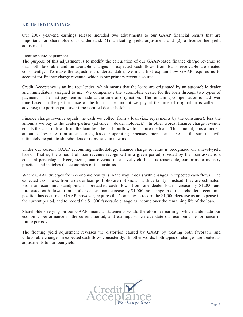# **ADJUSTED EARNINGS**

Our 2007 year-end earnings release included two adjustments to our GAAP financial results that are important for shareholders to understand: (1) a floating yield adjustment and (2) a license fee yield adjustment.

# Floating yield adjustment

The purpose of this adjustment is to modify the calculation of our GAAP-based finance charge revenue so that both favorable and unfavorable changes in expected cash flows from loans receivable are treated consistently. To make the adjustment understandable, we must first explain how GAAP requires us to account for finance charge revenue, which is our primary revenue source.

Credit Acceptance is an indirect lender, which means that the loans are originated by an automobile dealer and immediately assigned to us. We compensate the automobile dealer for the loan through two types of payments. The first payment is made at the time of origination. The remaining compensation is paid over time based on the performance of the loan. The amount we pay at the time of origination is called an advance; the portion paid over time is called dealer holdback.

Finance charge revenue equals the cash we collect from a loan (i.e., repayments by the consumer), less the amounts we pay to the dealer-partner (advance + dealer holdback). In other words, finance charge revenue equals the cash inflows from the loan less the cash outflows to acquire the loan. This amount, plus a modest amount of revenue from other sources, less our operating expenses, interest and taxes, is the sum that will ultimately be paid to shareholders or reinvested in new assets.

Under our current GAAP accounting methodology, finance charge revenue is recognized on a level-yield basis. That is, the amount of loan revenue recognized in a given period, divided by the loan asset, is a constant percentage. Recognizing loan revenue on a level-yield basis is reasonable, conforms to industry practice, and matches the economics of the business.

Where GAAP diverges from economic reality is in the way it deals with changes in expected cash flows. The expected cash flows from a dealer loan portfolio are not known with certainty. Instead, they are estimated. From an economic standpoint, if forecasted cash flows from one dealer loan increase by \$1,000 and forecasted cash flows from another dealer loan decrease by \$1,000, no change in our shareholders' economic position has occurred. GAAP, however, requires the Company to record the \$1,000 decrease as an expense in the current period, and to record the \$1,000 favorable change as income over the remaining life of the loan.

Shareholders relying on our GAAP financial statements would therefore see earnings which understate our economic performance in the current period, and earnings which overstate our economic performance in future periods.

The floating yield adjustment reverses the distortion caused by GAAP by treating both favorable and unfavorable changes in expected cash flows consistently. In other words, both types of changes are treated as adjustments to our loan yield.

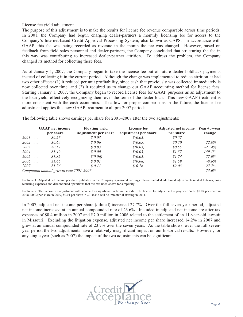# License fee yield adjustment

The purpose of this adjustment is to make the results for license fee revenue comparable across time periods. In 2001, the Company had begun charging dealer-partners a monthly licensing fee for access to the Company's Internet-based Credit Approval Processing System, also known as CAPS. In accordance with GAAP, this fee was being recorded as revenue in the month the fee was charged. However, based on feedback from field sales personnel and dealer-partners, the Company concluded that structuring the fee in this way was contributing to increased dealer-partner attrition. To address the problem, the Company changed its method for collecting these fees.

As of January 1, 2007, the Company began to take the license fee out of future dealer holdback payments instead of collecting it in the current period. Although the change was implemented to reduce attrition, it had two other effects: (1) it reduced per unit profitability, since cash that previously was collected immediately is now collected over time, and (2) it required us to change our GAAP accounting method for license fees. Starting January 1, 2007, the Company began to record license fees for GAAP purposes as an adjustment to the loan yield, effectively recognizing them over the term of the dealer loan. This new GAAP treatment is more consistent with the cash economics. To allow for proper comparisons in the future, the license fee adjustment applies this new GAAP treatment to all pre-2007 periods.

The following table shows earnings per share for 2001–2007 after the two adjustments:

|             | <b>GAAP</b> net income                | <b>Floating yield</b> | License fee          | Adjusted net income Year-to-year |               |
|-------------|---------------------------------------|-----------------------|----------------------|----------------------------------|---------------|
|             | per share                             | adjustment per share  | adjustment per share | per share                        | <u>change</u> |
| $2001$      | \$0.57                                | \$0.03                | \$(0.03)             | \$0.57                           |               |
| $2002$      | \$0.69                                | \$0.06                | \$(0.05)             | \$0.70                           | 22.8%         |
| $2003$      | \$0.57                                | \$0.03\$              | \$(0.05)             | \$0.55\$                         | $-21.4\%$     |
| $2004$      | \$1.40                                | \$0.00                | \$(0.03)             | \$1.37                           | 149.1%        |
| $2005$      | \$1.85                                | \$(0.06)              | \$(0.05)             | \$1.74                           | 27.0%         |
| <i>2006</i> | \$1.66                                | \$0.01                | \$(0.08)             | \$1.59                           | $-8.6\%$      |
| $2007$      | \$1.76                                | <i>s</i> 0.11         | \$0.16               | \$2.03\$                         | 27.7%         |
|             | Compound annual growth rate 2001-2007 |                       |                      |                                  | 23.6%         |

Footnote 1: Adjusted net income per share published in the Company's year-end earnings release included additional adjustments related to taxes, nonrecurring expenses and discontinued operations that are excluded above for simplicity.

Footnote 2: The license fee adjustment will become less significant in future periods. The license fee adjustment is projected to be \$0.07 per share in 2008, \$0.02 per share in 2009, \$0.01 per share in 2010 and will be immaterial starting in 2011.

In 2007, adjusted net income per share (diluted) increased 27.7%. Over the full seven-year period, adjusted net income increased at an annual compounded rate of 23.6%. Included in adjusted net income are after-tax expenses of \$0.4 million in 2007 and \$7.0 million in 2006 related to the settlement of an 11-year-old lawsuit in Missouri. Excluding the litigation expense, adjusted net income per share increased 14.2% in 2007 and grew at an annual compounded rate of 23.7% over the seven years. As the table shows, over the full sevenyear period the two adjustments have a relatively insignificant impact on our historical results. However, for any single year (such as 2007) the impact of the two adjustments can be significant.



--------------------------------------------------------------------------------------------------------------------------------------------------------------------------------------------------- --------- HINGE- ---------- HINGE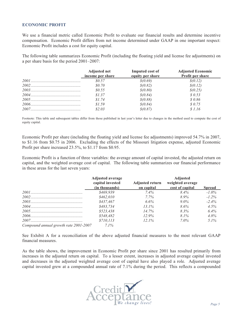# **ECONOMIC PROFIT**

We use a financial metric called Economic Profit to evaluate our financial results and determine incentive compensation. Economic Profit differs from net income determined under GAAP in one important respect: Economic Profit includes a cost for equity capital.

The following table summarizes Economic Profit (including the floating yield and license fee adjustments) on a per share basis for the period 2001–2007:

| <b>Adjusted net</b><br>income per share | Imputed cost of<br>equity per share | <b>Adjusted Economic</b><br>Profit per share |
|-----------------------------------------|-------------------------------------|----------------------------------------------|
| \$0.57                                  | \$(0.69)                            | \$(0.12)                                     |
| \$0.70                                  | \$(0.82)                            | \$(0.12)                                     |
| \$0.55                                  | \$(0.80)                            | \$(0.25)                                     |
| \$1.37                                  | \$(0.84)                            | \$0.53                                       |
| \$1.74                                  | \$(0.88)                            | \$0.86                                       |
| \$1.59                                  | \$(0.84)                            | \$0.75                                       |
| \$2.03                                  | \$(0.87)                            | \$1.16                                       |

Footnote: This table and subsequent tables differ from those published in last year's letter due to changes in the method used to compute the cost of equity capital.

Economic Profit per share (including the floating yield and license fee adjustments) improved 54.7% in 2007, to \$1.16 from \$0.75 in 2006. Excluding the effects of the Missouri litigation expense, adjusted Economic Profit per share increased 23.5%, to \$1.17 from \$0.95.

Economic Profit is a function of three variables: the average amount of capital invested, the adjusted return on capital, and the weighted average cost of capital. The following table summarizes our financial performance in these areas for the last seven years:

|                                       | <b>Adjusted average</b><br>capital invested | <b>Adjusted return</b> | <b>Adjusted</b><br>weighted average |               |  |
|---------------------------------------|---------------------------------------------|------------------------|-------------------------------------|---------------|--|
|                                       | (in thousands)                              | on capital             | cost of capital                     | <b>Spread</b> |  |
|                                       | \$469.939                                   | $7.4\%$                | 8.4%                                | $-1.0\%$      |  |
|                                       | \$462.010                                   | 7.7%                   | 8.9%                                | $-1.2\%$      |  |
|                                       | \$437.467                                   | $6.6\%$                | $9.0\%$                             | $-2.4\%$      |  |
|                                       | \$483.734                                   | $13.1\%$               | $8.6\%$                             | $4.5\%$       |  |
|                                       | \$523.438                                   | $14.7\%$               | $8.3\%$                             | $6.4\%$       |  |
|                                       | \$548.482                                   | $12.9\%$               | 8.1%                                | $4.8\%$       |  |
|                                       | \$710.113                                   | $12.1\%$               | $7.0\%$                             | $5.1\%$       |  |
| Compound annual growth rate 2001-2007 | 7.1%                                        |                        |                                     |               |  |

See Exhibit A for a reconciliation of the above adjusted financial measures to the most relevant GAAP financial measures.

As the table shows, the improvement in Economic Profit per share since 2001 has resulted primarily from increases in the adjusted return on capital. To a lesser extent, increases in adjusted average capital invested and decreases in the adjusted weighted average cost of capital have also played a role. Adjusted average capital invested grew at a compounded annual rate of 7.1% during the period. This reflects a compounded

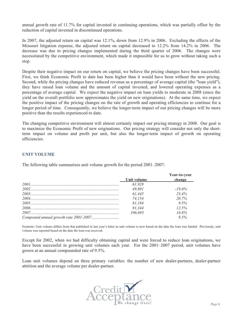annual growth rate of 11.7% for capital invested in continuing operations, which was partially offset by the reduction of capital invested in discontinued operations.

In 2007, the adjusted return on capital was 12.1%, down from 12.9% in 2006. Excluding the effects of the Missouri litigation expense, the adjusted return on capital decreased to 12.2% from 14.2% in 2006. The decrease was due to pricing changes implemented during the third quarter of 2006. The changes were necessitated by the competitive environment, which made it impossible for us to grow without taking such a step.

Despite their negative impact on our return on capital, we believe the pricing changes have been successful. First, we think Economic Profit to date has been higher than it would have been without the new pricing. Second, while the pricing changes have reduced revenue as a percentage of average capital (the "loan yield"), they have raised loan volume and the amount of capital invested, and lowered operating expenses as a percentage of average capital. We expect the negative impact on loan yields to moderate in 2008 (since the yield on the overall portfolio now approximates the yield on new originations). At the same time, we expect the positive impact of the pricing changes on the rate of growth and operating efficiencies to continue for a longer period of time. Consequently, we believe the longer-term impact of our pricing changes will be more positive than the results experienced to date.

The changing competitive environment will almost certainly impact our pricing strategy in 2008. Our goal is to maximize the Economic Profit of new originations. Our pricing strategy will consider not only the shortterm impact on volume and profit per unit, but also the longer-term impact of growth on operating efficiencies.

# **UNIT VOLUME**

The following table summarizes unit volume growth for the period 2001–2007:

|             | Year-to-year |
|-------------|--------------|
| Unit volume | change       |
| 61.928      |              |
| 49.801      | $-19.6\%$    |
| 61.445      | 23.4%        |
| 74.154      | 20.7%        |
| 81.184      | 9.5%         |
| 91.344      | 12.5%        |
| 106.693     | $16.8\%$     |
|             | 9.5%         |

Footnote: Unit volume differs from that published in last year's letter as unit volume is now based on the date the loan was funded. Previously, unit volume was reported based on the date the loan was received.

Except for 2002, when we had difficulty obtaining capital and were forced to reduce loan originations, we have been successful in growing unit volumes each year. For the 2001–2007 period, unit volumes have grown at an annual compounded rate of 9.5%.

Loan unit volumes depend on three primary variables: the number of new dealer-partners, dealer-partner attrition and the average volume per dealer-partner.

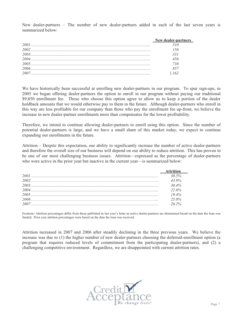New dealer-partners – The number of new dealer-partners added in each of the last seven years is summarized below:

| New dealer-partners |
|---------------------|
|                     |
|                     |
|                     |
|                     |
|                     |
|                     |
|                     |

We have historically been successful at enrolling new dealer-partners in our program. To spur sign-ups, in 2005 we began offering dealer-partners the option to enroll in our program without paying our traditional \$9,850 enrollment fee. Those who choose this option agree to allow us to keep a portion of the dealer holdback amounts that we would otherwise pay to them in the future. Although dealer-partners who enroll in this way are less profitable for our company than those who pay the enrollment fee up-front, we believe the increase in new dealer-partner enrollments more than compensates for the lower profitability.

Therefore, we intend to continue allowing dealer-partners to enroll using this option. Since the number of potential dealer-partners is large, and we have a small share of this market today, we expect to continue expanding our enrollments in the future.

Attrition – Despite this expectation, our ability to significantly increase the number of active dealer-partners and therefore the overall size of our business will depend on our ability to reduce attrition. This has proven to be one of our most challenging business issues. Attrition—expressed as the percentage of dealer-partners who were active in the prior year but inactive in the current year—is summarized below:

| 30.5%    |
|----------|
|          |
| 30.4%    |
| 22.6%    |
| 194%     |
| $25.0\%$ |
| 26.2%    |

Footnote: Attrition percentages differ from those published in last year's letter as active dealer-partners are determined based on the date the loan was funded. Prior year attrition percentages were based on the date the loan was received.

Attrition increased in 2007 and 2006 after steadily declining in the three previous years. We believe the increase was due to (1) the higher number of new dealer-partners choosing the deferred-enrollment option (a program that requires reduced levels of commitment from the participating dealer-partners), and (2) a challenging competitive environment. Regardless, we are disappointed with current attrition rates.

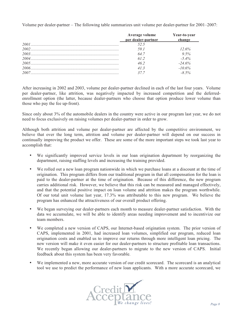Volume per dealer-partner – The following table summarizes unit volume per dealer-partner for 2001–2007:

| Average volume     | Year-to-year |  |
|--------------------|--------------|--|
| per dealer-partner | change       |  |
| 525                |              |  |
| 591                | $12.6\%$     |  |
| 647                | 9.5%         |  |
| 612                | $-5.4\%$     |  |
| 46.2               | $-24.6\%$    |  |
| 413                | $-10.6\%$    |  |
| 377                | $-8.5\%$     |  |

After increasing in 2002 and 2003, volume per dealer-partner declined in each of the last four years. Volume per dealer-partner, like attrition, was negatively impacted by increased competition and the deferredenrollment option (the latter, because dealer-partners who choose that option produce lower volume than those who pay the fee up-front).

Since only about 3% of the automobile dealers in the country were active in our program last year, we do not need to focus exclusively on raising volumes per dealer-partner in order to grow.

Although both attrition and volume per dealer-partner are affected by the competitive environment, we believe that over the long term, attrition and volume per dealer-partner will depend on our success in continually improving the product we offer. These are some of the more important steps we took last year to accomplish that:

- We significantly improved service levels in our loan origination department by reorganizing the department, raising staffing levels and increasing the training provided.
- We rolled out a new loan program nationwide in which we purchase loans at a discount at the time of origination. This program differs from our traditional program in that all compensation for the loan is paid to the dealer-partner at the time of origination. Because of this difference, the new program carries additional risk. However, we believe that this risk can be measured and managed effectively, and that the potential positive impact on loan volume and attrition makes the program worthwhile. Of our total unit volume last year, 17.3% was attributable to this new program. We believe the program has enhanced the attractiveness of our overall product offering.
- We began surveying our dealer-partners each month to measure dealer-partner satisfaction. With the data we accumulate, we will be able to identify areas needing improvement and to incentivize our team members.
- We completed a new version of CAPS, our Internet-based origination system. The prior version of CAPS, implemented in 2001, had increased loan volumes, simplified our program, reduced loan origination costs and enabled us to improve our returns through more intelligent loan pricing. The new version will make it even easier for our dealer-partners to structure profitable loan transactions. We recently began allowing our dealer-partners to migrate to the new version of CAPS. Initial feedback about this system has been very favorable.
- We implemented a new, more accurate version of our credit scorecard. The scorecard is an analytical tool we use to predict the performance of new loan applicants. With a more accurate scorecard, we

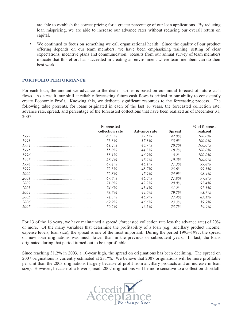are able to establish the correct pricing for a greater percentage of our loan applications. By reducing loan mispricing, we are able to increase our advance rates without reducing our overall return on capital.

• We continued to focus on something we call organizational health. Since the quality of our product offering depends on our team members, we have been emphasizing training, setting of clear expectations, incentive plans and communication. Results from our annual survey of team members indicate that this effort has succeeded in creating an environment where team members can do their best work.

# **PORTFOLIO PERFORMANCE**

For each loan, the amount we advance to the dealer-partner is based on our initial forecast of future cash flows. As a result, our skill at reliably forecasting future cash flows is critical to our ability to consistently create Economic Profit. Knowing this, we dedicate significant resources to the forecasting process. The following table presents, for loans originated in each of the last 16 years, the forecasted collection rate, advance rate, spread, and percentage of the forecasted collections that have been realized as of December 31, 2007:

| <b>Forecasted</b> |                     |               | % of forecast |
|-------------------|---------------------|---------------|---------------|
| collection rate   | <b>Advance rate</b> | <b>Spread</b> | realized      |
| 80.3%             | 37.5%               | 42.8%         | $100.0\%$     |
| 75.3%             | 37.3%               | 38.0%         | $100.0\%$     |
| $61.4\%$          | $40.7\%$            | 20.7%         | $100.0\%$     |
| 55.0%             | 44.3%               | $10.7\%$      | 100.0%        |
| 55.1%             | $46.9\%$            | $8.2\%$       | $100.0\%$     |
| 58.4%             | 47.9%               | $10.5\%$      | $100.0\%$     |
| 67.4%             | $46.1\%$            | 21.3%         | 99.8%         |
| 72.3%             | 48.7%               | 23.6%         | 99.1%         |
| 72.8%             | 47.9%               | 24.9%         | 98.4%         |
| 67.8%             | $46.0\%$            | 21.8%         | 97.8%         |
| 71.0%             | 42.2%               | 28.8%         | 97.4%         |
| 74.6%             | $43.4\%$            | $31.2\%$      | 97.1%         |
| 73.7%             | 44.0%               | 29.7%         | 93.7%         |
| 74.3%             | $46.9\%$            | 27.4%         | 85.1%         |
| 69.9%             | 46.6%               | 23.3%         | 59.9%         |
| 70.2%             | 46.5%               | 23.7%         | 19.9%         |

For 13 of the 16 years, we have maintained a spread (forecasted collection rate less the advance rate) of 20% or more. Of the many variables that determine the profitability of a loan (e.g., ancillary product income, expense levels, loan size), the spread is one of the most important. During the period 1995–1997, the spread on new loan originations was much lower than in the previous or subsequent years. In fact, the loans originated during that period turned out to be unprofitable.

Since reaching 31.2% in 2003, a 10-year high, the spread on originations has been declining. The spread on 2007 originations is currently estimated at 23.7%. We believe that 2007 originations will be more profitable per unit than the 2003 originations (largely because of profit from ancillary products and an increase in loan size). However, because of a lower spread, 2007 originations will be more sensitive to a collection shortfall.

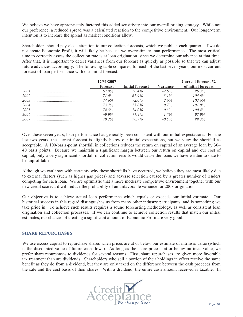We believe we have appropriately factored this added sensitivity into our overall pricing strategy. While not our preference, a reduced spread was a calculated reaction to the competitive environment. Our longer-term intention is to increase the spread as market conditions allow.

Shareholders should pay close attention to our collection forecasts, which we publish each quarter. If we do not create Economic Profit, it will likely be because we overestimate loan performance. The most critical time to correctly assess the collection rate is at loan origination, since we determine our advance at that time. After that, it is important to detect variances from our forecast as quickly as possible so that we can adjust future advances accordingly. The following table compares, for each of the last seven years, our most current forecast of loan performance with our initial forecast:

| 12/31/2007 |                  |                 | Current forecast %  |
|------------|------------------|-----------------|---------------------|
| forecast   | Initial forecast | <b>Variance</b> | of initial forecast |
| 67.8%      | 70.4%            | $-2.6\%$        | $96.3\%$            |
| 71.0%      | 67.9%            | $3.1\%$         | $104.6\%$           |
| 74.6%      | <b>72.0%</b>     | $2.6\%$         | $103.6\%$           |
| 73.7%      | <b>73.0%</b>     | $0.7\%$         | $101.0\%$           |
| 74.3%      | 74.0%            | $0.3\%$         | $100.4\%$           |
| 69.9%      | 71.4%            | $-1.5\%$        | 97.9%               |
| 70 2%      | 70.7%            | $-0.5\%$        | 99 3%               |

Over these seven years, loan performance has generally been consistent with our initial expectations. For the last two years, the current forecast is slightly below our initial expectations, but we view the shortfall as acceptable. A 100-basis-point shortfall in collections reduces the return on capital of an average loan by 30– 40 basis points. Because we maintain a significant margin between our return on capital and our cost of capital, only a very significant shortfall in collection results would cause the loans we have written to date to be unprofitable.

Although we can't say with certainty why these shortfalls have occurred, we believe they are most likely due to external factors (such as higher gas prices) and adverse selection caused by a greater number of lenders competing for each loan. We are optimistic that a more moderate competitive environment together with our new credit scorecard will reduce the probability of an unfavorable variance for 2008 originations.

Our objective is to achieve actual loan performance which equals or exceeds our initial estimate. Our historical success in this regard distinguishes us from many other industry participants, and is something we take pride in. To achieve such results requires a sound forecasting methodology, as well as consistent loan origination and collection processes. If we can continue to achieve collection results that match our initial estimates, our chances of creating a significant amount of Economic Profit are very good.

# **SHARE REPURCHASES**

We use excess capital to repurchase shares when prices are at or below our estimate of intrinsic value (which is the discounted value of future cash flows). As long as the share price is at or below intrinsic value, we prefer share repurchases to dividends for several reasons. First, share repurchases are given more favorable tax treatment than are dividends. Shareholders who sell a portion of their holdings in effect receive the same benefit as they do from a dividend, but they are only taxed on the difference between the cash proceeds from the sale and the cost basis of their shares. With a dividend, the entire cash amount received is taxable. In



--------------------------------------------------------------------------------------------------------------------------------------------------------------------------------------------------- --------- HINGE- ---------- HINGE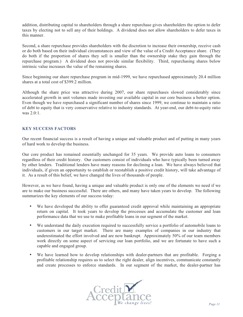addition, distributing capital to shareholders through a share repurchase gives shareholders the option to defer taxes by electing not to sell any of their holdings. A dividend does not allow shareholders to defer taxes in this manner.

Second, a share repurchase provides shareholders with the discretion to increase their ownership, receive cash or do both based on their individual circumstances and view of the value of a Credit Acceptance share. (They do both if the proportion of shares they sell is smaller than the ownership stake they gain through the repurchase program.) A dividend does not provide similar flexibility. Third, repurchasing shares below intrinsic value increases the value of the remaining shares.

Since beginning our share repurchase program in mid-1999, we have repurchased approximately 20.4 million shares at a total cost of \$399.2 million.

Although the share price was attractive during 2007, our share repurchases slowed considerably since accelerated growth in unit volumes made investing our available capital in our core business a better option. Even though we have repurchased a significant number of shares since 1999, we continue to maintain a ratio of debt to equity that is very conservative relative to industry standards. At year-end, our debt-to-equity ratio was 2.0:1.

# **KEY SUCCESS FACTORS**

Our recent financial success is a result of having a unique and valuable product and of putting in many years of hard work to develop the business.

Our core product has remained essentially unchanged for 35 years. We provide auto loans to consumers regardless of their credit history. Our customers consist of individuals who have typically been turned away by other lenders. Traditional lenders have many reasons for declining a loan. We have always believed that individuals, if given an opportunity to establish or reestablish a positive credit history, will take advantage of it. As a result of this belief, we have changed the lives of thousands of people.

However, as we have found, having a unique and valuable product is only one of the elements we need if we are to make our business successful. There are others, and many have taken years to develop. The following summarizes the key elements of our success today:

- We have developed the ability to offer guaranteed credit approval while maintaining an appropriate return on capital. It took years to develop the processes and accumulate the customer and loan performance data that we use to make profitable loans in our segment of the market.
- We understand the daily execution required to successfully service a portfolio of automobile loans to customers in our target market. There are many examples of companies in our industry that underestimated the effort involved and are now bankrupt. Approximately 50% of our team members work directly on some aspect of servicing our loan portfolio, and we are fortunate to have such a capable and engaged group.
- We have learned how to develop relationships with dealer-partners that are profitable. Forging a profitable relationship requires us to select the right dealer, align incentives, communicate constantly and create processes to enforce standards. In our segment of the market, the dealer-partner has

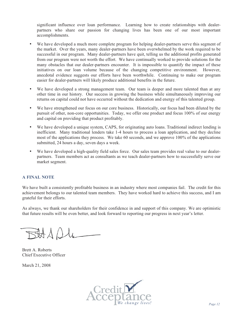significant influence over loan performance. Learning how to create relationships with dealerpartners who share our passion for changing lives has been one of our most important accomplishments.

- We have developed a much more complete program for helping dealer-partners serve this segment of the market. Over the years, many dealer-partners have been overwhelmed by the work required to be successful in our program. Many dealer-partners have quit, telling us the additional profits generated from our program were not worth the effort. We have continually worked to provide solutions for the many obstacles that our dealer-partners encounter. It is impossible to quantify the impact of these initiatives on our loan volume because of the changing competitive environment. However, anecdotal evidence suggests our efforts have been worthwhile. Continuing to make our program easier for dealer-partners will likely produce additional benefits in the future.
- We have developed a strong management team. Our team is deeper and more talented than at any other time in our history. Our success in growing the business while simultaneously improving our returns on capital could not have occurred without the dedication and energy of this talented group.
- We have strengthened our focus on our core business. Historically, our focus had been diluted by the pursuit of other, non-core opportunities. Today, we offer one product and focus 100% of our energy and capital on providing that product profitably.
- We have developed a unique system, CAPS, for originating auto loans. Traditional indirect lending is inefficient. Many traditional lenders take 1-4 hours to process a loan application, and they decline most of the applications they process. We take 60 seconds, and we approve 100% of the applications submitted, 24 hours a day, seven days a week.
- We have developed a high-quality field sales force. Our sales team provides real value to our dealerpartners. Team members act as consultants as we teach dealer-partners how to successfully serve our market segment.

# **A FINAL NOTE**

We have built a consistently profitable business in an industry where most companies fail. The credit for this achievement belongs to our talented team members. They have worked hard to achieve this success, and I am grateful for their efforts.

As always, we thank our shareholders for their confidence in and support of this company. We are optimistic that future results will be even better, and look forward to reporting our progress in next year's letter.

Brett A. Roberts Chief Executive Officer

March 21, 2008

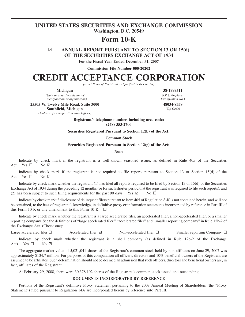# **UNITED STATES SECURITIES AND EXCHANGE COMMISSION Washington, D.C. 20549**

# **Form 10-K**

¥ **ANNUAL REPORT PURSUANT TO SECTION 13 OR 15(d) OF THE SECURITIES EXCHANGE ACT OF 1934**

**For the Fiscal Year Ended December 31, 2007**

**Commission File Number 000-20202**

# **CREDIT ACCEPTANCE CORPORATION**

*(Exact Name of Registrant as Specified in its Charter)*

*(State or other jurisdiction of incorporation or organization)*

**25505 W. Twelve Mile Road, Suite 3000 Southfield, Michigan** *(Address of Principal Executive Offices)*

**Michigan 38-1999511**

*(I.R.S. Employer Identification No.)* **48034-8339**

*(Zip Code)*

**Registrant's telephone number, including area code: (248) 353-2700**

**Securities Registered Pursuant to Section 12(b) of the Act:**

**Common Stock**

**Securities Registered Pursuant to Section 12(g) of the Act:**

**None**

Indicate by check mark if the registrant is a well-known seasoned issuer, as defined in Rule 405 of the Securities Act. Yes  $\Box$  No  $\Box$ 

Indicate by check mark if the registrant is not required to file reports pursuant to Section 13 or Section 15(d) of the Act. Yes  $\Box$  No  $\Box$ 

Indicate by check mark whether the registrant (1) has filed all reports required to be filed by Section 13 or 15(d) of the Securities Exchange Act of 1934 during the preceding 12 months (or for such shorter period that the registrant was required to file such reports), and (2) has been subject to such filing requirements for the past 90 days. Yes  $\boxtimes$  No  $\Box$ 

Indicate by check mark if disclosure of delinquent filers pursuant to Item 405 of Regulation S-K is not contained herein, and will not be contained, to the best of registrant's knowledge, in definitive proxy or information statements incorporated by reference in Part III of this Form 10-K or any amendment to this Form 10-K.  $\square$ 

Indicate by check mark whether the registrant is a large accelerated filer, an accelerated filer, a non-accelerated filer, or a smaller reporting company. See the definitions of "large accelerated filer," "accelerated filer" and "smaller reporting company" in Rule 12b-2 of the Exchange Act. (Check one):

Large accelerated filer  $\square$  Accelerated filer  $\square$  Non-accelerated filer  $\square$  Smaller reporting Company  $\square$ 

Indicate by check mark whether the registrant is a shell company (as defined in Rule 12b-2 of the Exchange Act). Yes  $\Box$  No  $\Box$ 

The aggregate market value of 5,021,041 shares of the Registrant's common stock held by non-affiliates on June 29, 2007 was approximately \$134.7 million. For purposes of this computation all officers, directors and 10% beneficial owners of the Registrant are assumed to be affiliates. Such determination should not be deemed an admission that such officers, directors and beneficial owners are, in fact, affiliates of the Registrant.

At February 29, 2008, there were 30,378,102 shares of the Registrant's common stock issued and outstanding.

# **DOCUMENTS INCORPORATED BY REFERENCE**

Portions of the Registrant's definitive Proxy Statement pertaining to the 2008 Annual Meeting of Shareholders (the "Proxy Statement") filed pursuant to Regulation 14A are incorporated herein by reference into Part III.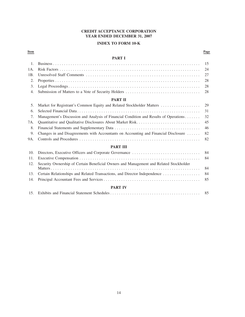# **CREDIT ACCEPTANCE CORPORATION YEAR ENDED DECEMBER 31, 2007**

# **INDEX TO FORM 10-K**

#### **Item Page**

# **PART I**

| $\overline{1}$ . |                                                                                       |    |
|------------------|---------------------------------------------------------------------------------------|----|
| 1A.              |                                                                                       |    |
| 1B.              |                                                                                       | 27 |
| 2.               |                                                                                       | 28 |
| 3.               |                                                                                       | 28 |
| 4.               |                                                                                       |    |
|                  | <b>PART II</b>                                                                        |    |
| 5.               |                                                                                       |    |
| 6.               |                                                                                       | 31 |
| 7.               | Management's Discussion and Analysis of Financial Condition and Results of Operations | 32 |
| 7A.              |                                                                                       | 45 |
| 8.               |                                                                                       | 46 |
| 9.               | Changes in and Disagreements with Accountants on Accounting and Financial Disclosure  | 82 |
| 9A.              |                                                                                       | 82 |
|                  |                                                                                       |    |

# **PART III**

| <b>PART IV</b>                                                                             |  |
|--------------------------------------------------------------------------------------------|--|
|                                                                                            |  |
|                                                                                            |  |
|                                                                                            |  |
| 12. Security Ownership of Certain Beneficial Owners and Management and Related Stockholder |  |
|                                                                                            |  |
|                                                                                            |  |

|--|--|--|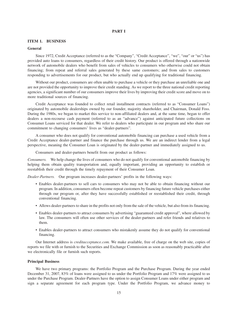#### **PART I**

#### **ITEM 1. BUSINESS**

#### **General**

Since 1972, Credit Acceptance (referred to as the "Company", "Credit Acceptance", "we", "our" or "us") has provided auto loans to consumers, regardless of their credit history. Our product is offered through a nationwide network of automobile dealers who benefit from sales of vehicles to consumers who otherwise could not obtain financing; from repeat and referral sales generated by these same customers; and from sales to customers responding to advertisements for our product, but who actually end up qualifying for traditional financing.

Without our product, consumers are often unable to purchase a vehicle or they purchase an unreliable one and are not provided the opportunity to improve their credit standing. As we report to the three national credit reporting agencies, a significant number of our consumers improve their lives by improving their credit score and move on to more traditional sources of financing.

Credit Acceptance was founded to collect retail installment contracts (referred to as "Consumer Loans") originated by automobile dealerships owned by our founder, majority shareholder, and Chairman, Donald Foss. During the 1980s, we began to market this service to non-affiliated dealers and, at the same time, began to offer dealers a non-recourse cash payment (referred to as an "advance") against anticipated future collections on Consumer Loans serviced for that dealer. We refer to dealers who participate in our program and who share our commitment to changing consumers' lives as "dealer-partners".

A consumer who does not qualify for conventional automobile financing can purchase a used vehicle from a Credit Acceptance dealer-partner and finance the purchase through us. We are an indirect lender from a legal perspective, meaning the Consumer Loan is originated by the dealer-partner and immediately assigned to us.

Consumers and dealer-partners benefit from our product as follows:

*Consumers.* We help change the lives of consumers who do not qualify for conventional automobile financing by helping them obtain quality transportation and, equally important, providing an opportunity to establish or reestablish their credit through the timely repayment of their Consumer Loan.

*Dealer-Partners.* Our program increases dealer-partners' profits in the following ways:

- Enables dealer-partners to sell cars to consumers who may not be able to obtain financing without our program. In addition, consumers often become repeat customers by financing future vehicle purchases either through our program or, after they have successfully established or reestablished their credit, through conventional financing.
- Allows dealer-partners to share in the profits not only from the sale of the vehicle, but also from its financing.
- Enables dealer-partners to attract consumers by advertising "guaranteed credit approval", where allowed by law. The consumers will often use other services of the dealer-partners and refer friends and relatives to them.
- Enables dealer-partners to attract consumers who mistakenly assume they do not qualify for conventional financing.

Our Internet address is *creditacceptance.com.* We make available, free of charge on the web site, copies of reports we file with or furnish to the Securities and Exchange Commission as soon as reasonably practicable after we electronically file or furnish such reports.

#### **Principal Business**

We have two primary programs: the Portfolio Program and the Purchase Program. During the year ended December 31, 2007, 83% of loans were assigned to us under the Portfolio Program and 17% were assigned to us under the Purchase Program. Dealer-Partners have the option to assign Consumer Loans under either program and sign a separate agreement for each program type. Under the Portfolio Program, we advance money to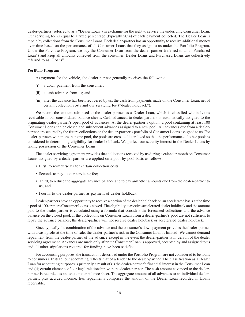dealer-partners (referred to as a "Dealer Loan") in exchange for the right to service the underlying Consumer Loan. Our servicing fee is equal to a fixed percentage (typically 20%) of each payment collected. The Dealer Loan is repaid by collections from the Consumer Loans. Each dealer-partner has an opportunity to receive additional money over time based on the performance of all Consumer Loans that they assign to us under the Portfolio Program. Under the Purchase Program, we buy the Consumer Loan from the dealer-partner (referred to as a "Purchased Loan") and keep all amounts collected from the consumer. Dealer Loans and Purchased Loans are collectively referred to as "Loans".

#### **Portfolio Program**

As payment for the vehicle, the dealer-partner generally receives the following:

- (i) a down payment from the consumer;
- (ii) a cash advance from us; and
- (iii) after the advance has been recovered by us, the cash from payments made on the Consumer Loan, net of certain collection costs and our servicing fee ("dealer holdback").

We record the amount advanced to the dealer-partner as a Dealer Loan, which is classified within Loans receivable in our consolidated balance sheets. Cash advanced to dealer-partners is automatically assigned to the originating dealer-partner's open pool of advances. At the dealer-partner's option, a pool containing at least 100 Consumer Loans can be closed and subsequent advances assigned to a new pool. All advances due from a dealerpartner are secured by the future collections on the dealer-partner's portfolio of Consumer Loans assigned to us. For dealer-partners with more than one pool, the pools are cross-collateralized so that the performance of other pools is considered in determining eligibility for dealer holdback. We perfect our security interest in the Dealer Loans by taking possession of the Consumer Loans.

The dealer servicing agreement provides that collections received by us during a calendar month on Consumer Loans assigned by a dealer-partner are applied on a pool-by-pool basis as follows:

- First, to reimburse us for certain collection costs;
- Second, to pay us our servicing fee;
- Third, to reduce the aggregate advance balance and to pay any other amounts due from the dealer-partner to us; and
- Fourth, to the dealer-partner as payment of dealer holdback.

Dealer-partners have an opportunity to receive a portion of the dealer holdback on an accelerated basis at the time a pool of 100 or more Consumer Loans is closed. The eligibility to receive accelerated dealer holdback and the amount paid to the dealer-partner is calculated using a formula that considers the forecasted collections and the advance balance on the closed pool. If the collections on Consumer Loans from a dealer-partner's pool are not sufficient to repay the advance balance, the dealer-partner will not receive dealer holdback or accelerated dealer holdback.

Since typically the combination of the advance and the consumer's down payment provides the dealer-partner with a cash profit at the time of sale, the dealer-partner's risk in the Consumer Loan is limited. We cannot demand repayment from the dealer-partner of the advance except in the event the dealer-partner is in default of the dealer servicing agreement. Advances are made only after the Consumer Loan is approved, accepted by and assigned to us and all other stipulations required for funding have been satisfied.

For accounting purposes, the transactions described under the Portfolio Program are not considered to be loans to consumers. Instead, our accounting reflects that of a lender to the dealer-partner. The classification as a Dealer Loan for accounting purposes is primarily a result of (i) the dealer-partner's financial interest in the Consumer Loan and (ii) certain elements of our legal relationship with the dealer-partner. The cash amount advanced to the dealerpartner is recorded as an asset on our balance sheet. The aggregate amount of all advances to an individual dealerpartner, plus accrued income, less repayments comprises the amount of the Dealer Loan recorded in Loans receivable.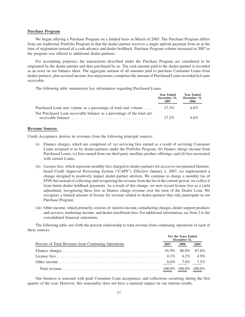#### **Purchase Program**

We began offering a Purchase Program on a limited basis in March of 2005. The Purchase Program differs from our traditional Portfolio Program in that the dealer-partner receives a single upfront payment from us at the time of origination instead of a cash advance and dealer holdback. Purchase Program volume increased in 2007 as the program was offered to additional dealer-partners.

For accounting purposes, the transactions described under the Purchase Program are considered to be originated by the dealer-partner and then purchased by us. The cash amount paid to the dealer-partner is recorded as an asset on our balance sheet. The aggregate amount of all amounts paid to purchase Consumer Loans from dealer-partners, plus accrued income, less repayments, comprises the amount of Purchased Loans recorded in Loans receivable.

The following table summarizes key information regarding Purchased Loans:

|                                                                         | <b>Year Ended</b><br>December 31,<br>2007 | <b>Year Ended</b><br>December 31,<br>2006 |
|-------------------------------------------------------------------------|-------------------------------------------|-------------------------------------------|
| Purchased Loan unit volume as a percentage of total unit volume $\dots$ | $17.3\%$                                  | $4.0\%$                                   |
| Net Purchased Loan receivable balance as a percentage of the total net  | $17.2\%$                                  | $4.6\%$                                   |

#### **Revenue Sources**

Credit Acceptance derives its revenues from the following principal sources:

- (i) Finance charges, which are comprised of: (a) servicing fees earned as a result of servicing Consumer Loans assigned to us by dealer-partners under the Portfolio Program, (b) finance charge income from Purchased Loans, (c) fees earned from our third party ancillary product offerings, and (d) fees associated with certain Loans;
- (ii) License fees, which represent monthly fees charged to dealer-partners for access to our patented Internetbased Credit Approval Processing System ("CAPS"). Effective January 1, 2007, we implemented a change designed to positively impact dealer-partner attrition. We continue to charge a monthly fee of \$599, but instead of collecting and recognizing the revenue from the fee in the current period, we collect it from future dealer holdback payments. As a result of this change, we now record license fees as a yield adjustment, recognizing these fees as finance charge revenue over the term of the Dealer Loan. We recognize a limited amount of license fee revenue related to dealer-partners that only participate in our Purchase Program;
- (iii) Other income, which primarily consists of: interest income, remarketing charges, dealer support products and services, marketing income, and dealer enrollment fees. For additional information, see Note 2 to the consolidated financial statements.

The following table sets forth the percent relationship to total revenue from continuing operations of each of these sources:

|                                                     |      | For the Years Ended<br>December 31. |  |  |  |
|-----------------------------------------------------|------|-------------------------------------|--|--|--|
| Percent of Total Revenue from Continuing Operations | 2007 | 2006 2005                           |  |  |  |
|                                                     |      |                                     |  |  |  |
|                                                     |      |                                     |  |  |  |
|                                                     |      |                                     |  |  |  |
|                                                     |      |                                     |  |  |  |

Our business is seasonal with peak Consumer Loan acceptances and collections occurring during the first quarter of the year. However, this seasonality does not have a material impact on our interim results.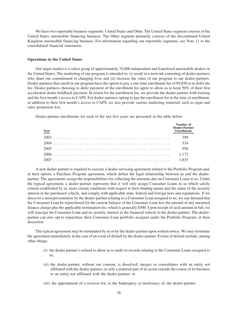We have two reportable business segments: United States and Other. The United States segment consists of the United States automobile financing business. The Other segment primarily consists of the discontinued United Kingdom automobile financing business. For information regarding our reportable segments, see Note 11 to the consolidated financial statements.

# **Operations in the United States**

Our target market is a select group of approximately 70,000 independent and franchised automobile dealers in the United States. The marketing of our program is intended to: (i) result in a network consisting of dealer-partners who share our commitment to changing lives and (ii) increase the value of our program to our dealer-partners. Dealer-partners that enroll in our program have the option to pay a one-time enrollment fee of \$9,850 or to defer the fee. Dealer-partners choosing to defer payment of the enrollment fee agree to allow us to keep 50% of their first accelerated dealer holdback payment. In return for the enrollment fee, we provide the dealer-partner with training and the first month's access to CAPS. For dealer-partners opting to pay the enrollment fee at the time of enrollment, in addition to their first month's access to CAPS, we also provide various marketing materials such as signs and sales promotion kits.

Dealer-partner enrollments for each of the last five years are presented in the table below:

| Year | Number of<br>Dealer-Partner<br><b>Enrollments</b> |
|------|---------------------------------------------------|
|      |                                                   |
|      |                                                   |
|      | 956                                               |
|      |                                                   |
|      |                                                   |

A new dealer-partner is required to execute a dealer servicing agreement related to the Portfolio Program and, at their option, a Purchase Program agreement, which define the legal relationship between us and the dealerpartner. The agreements assign the responsibilities for collecting the amounts due on Consumer Loans to us. Under the typical agreement, a dealer-partner represents that it will only assign Consumer Loans to us which satisfy criteria established by us, meet certain conditions with respect to their binding nature and the status of the security interest in the purchased vehicle, and comply with applicable state, federal and foreign laws and regulations. If we discover a misrepresentation by the dealer-partner relating to a Consumer Loan assigned to us, we can demand that the Consumer Loan be repurchased for the current balance of the Consumer Loan less the amount of any unearned finance charge plus the applicable termination fee, which is generally \$500. Upon receipt of such amount in full, we will reassign the Consumer Loan and its security interest in the financed vehicle to the dealer-partner. The dealerpartner can also opt to repurchase their Consumer Loan portfolio assigned under the Portfolio Program, at their discretion.

The typical agreement may be terminated by us or by the dealer-partner upon written notice. We may terminate the agreement immediately in the case of an event of default by the dealer-partner. Events of default include, among other things:

- (i) the dealer-partner's refusal to allow us to audit its records relating to the Consumer Loans assigned to us;
- (ii) the dealer-partner, without our consent, is dissolved; merges or consolidates with an entity not affiliated with the dealer-partner; or sells a material part of its assets outside the course of its business to an entity not affiliated with the dealer-partner; or
- (iii) the appointment of a receiver for, or the bankruptcy or insolvency of, the dealer-partner.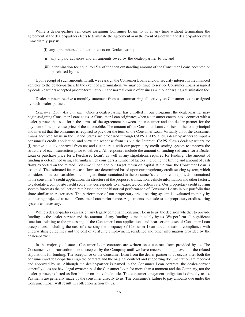While a dealer-partner can cease assigning Consumer Loans to us at any time without terminating the agreement, if the dealer-partner elects to terminate the agreement or in the event of a default, the dealer-partner must immediately pay us:

- (i) any unreimbursed collection costs on Dealer Loans;
- (ii) any unpaid advances and all amounts owed by the dealer-partner to us; and
- (iii) a termination fee equal to 15% of the then outstanding amount of the Consumer Loans accepted or purchased by us.

Upon receipt of such amounts in full, we reassign the Consumer Loans and our security interest in the financed vehicles to the dealer-partner. In the event of a termination, we may continue to service Consumer Loans assigned by dealer-partners accepted prior to termination in the normal course of business without charging a termination fee.

Dealer-partners receive a monthly statement from us, summarizing all activity on Consumer Loans assigned by such dealer-partner.

*Consumer Loan Assignment.* Once a dealer-partner has enrolled in our programs, the dealer-partner may begin assigning Consumer Loans to us. A Consumer Loan originates when a consumer enters into a contract with a dealer-partner that sets forth the terms of the agreement between the consumer and the dealer-partner for the payment of the purchase price of the automobile. The amount of the Consumer Loan consists of the total principal and interest that the consumer is required to pay over the term of the Consumer Loan. Virtually all of the Consumer Loans accepted by us in the United States are processed through CAPS. CAPS allows dealer-partners to input a consumer's credit application and view the response from us via the Internet. CAPS allows dealer-partners to: (i) receive a quick approval from us; and (ii) interact with our proprietary credit scoring system to improve the structure of each transaction prior to delivery. All responses include the amount of funding (advance for a Dealer Loan or purchase price for a Purchased Loan), as well as any stipulations required for funding. The amount of funding is determined using a formula which considers a number of factors including the timing and amount of cash flows expected on the related Consumer Loan and our target return on capital at the time the Consumer Loan is assigned. The estimated future cash flows are determined based upon our proprietary credit scoring system, which considers numerous variables, including attributes contained in the consumer's credit bureau report, data contained in the consumer's credit application, the structure of the proposed transaction, vehicle information and other factors, to calculate a composite credit score that corresponds to an expected collection rate. Our proprietary credit scoring system forecasts the collection rate based upon the historical performance of Consumer Loans in our portfolio that share similar characteristics. The performance of our proprietary credit scoring system is evaluated monthly by comparing projected to actual Consumer Loan performance. Adjustments are made to our proprietary credit scoring system as necessary.

While a dealer-partner can assign any legally compliant Consumer Loan to us, the decision whether to provide funding to the dealer-partner and the amount of any funding is made solely by us. We perform all significant functions relating to the processing of the Consumer Loan applications and bear certain costs of Consumer Loan acceptances, including the cost of assessing the adequacy of Consumer Loan documentation, compliance with underwriting guidelines and the cost of verifying employment, residence and other information provided by the dealer-partner.

In the majority of states, Consumer Loan contracts are written on a contract form provided by us. The Consumer Loan transaction is not accepted by the Company until we have received and approved all the related stipulations for funding. The acceptance of the Consumer Loan from the dealer-partner to us occurs after both the consumer and dealer-partner sign the contract and the original contract and supporting documentation are received and approved by us. Although the dealer-partner is named in the Consumer Loan contract, the dealer-partner generally does not have legal ownership of the Consumer Loan for more than a moment and the Company, not the dealer-partner, is listed as lien holder on the vehicle title. The consumer's payment obligation is directly to us. Payments are generally made by the consumer directly to us. The consumer's failure to pay amounts due under the Consumer Loan will result in collection action by us.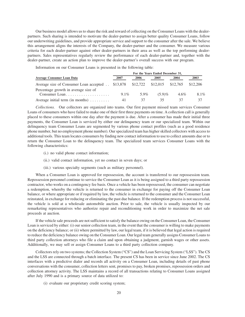Our business model allows us to share the risk and reward of collecting on the Consumer Loans with the dealerpartners. Such sharing is intended to motivate the dealer-partner to assign better quality Consumer Loans, follow our underwriting guidelines, and provide appropriate service and support to the consumer after the sale. We believe this arrangement aligns the interests of the Company, the dealer-partner and the consumer. We measure various criteria for each dealer-partner against other dealer-partners in their area as well as the top performing dealerpartners. Sales representatives regularly review the performance of each dealer-partner and, together with the dealer-partner, create an action plan to improve the dealer-partner's overall success with our program.

Information on our Consumer Loans is presented in the following table:

|                                                   | For the Years Ended December 31, |          |          |          |          |  |  |
|---------------------------------------------------|----------------------------------|----------|----------|----------|----------|--|--|
| Average Consumer Loan Data                        | 2007                             | 2006     | 2005     | 2004     | 2003     |  |  |
| Average size of Consumer Loan accepted . \$13,878 |                                  | \$12,722 | \$12,015 | \$12.765 | \$12,206 |  |  |
| Percentage growth in average size of              |                                  |          |          |          |          |  |  |
|                                                   | $9.1\%$                          | 5.9%     | (5.9)%   | $4.6\%$  | 8.1%     |  |  |
| Average initial term (in months) $\dots \dots$    | 41                               | 37       |          | 37       | 37       |  |  |

*Collections.* Our collectors are organized into teams. Our first payment missed team services Consumer Loans of consumers who have failed to make one of their first three payments on time. A collection call is generally placed to these consumers within one day after the payment is due. After a consumer has made their initial three payments, the Consumer Loan is serviced by either our delinquency team or our specialized team. Within our delinquency team Consumer Loans are segmented by various phone contact profiles (such as a good residence phone number, but no employment phone number). Our specialized team has higher skilled collectors with access to additional tools. This team locates consumers by finding new contact information to use to collect amounts due or to return the Consumer Loan to the delinquency team. The specialized team services Consumer Loans with the following characteristics:

- (i.) no valid phone contact information;
- (ii.) valid contact information, yet no contact in seven days; or
- (iii.) various specialty segments (such as military personnel).

When a Consumer Loan is approved for repossession, the account is transferred to our repossession team. Repossession personnel continue to service the Consumer Loan as it is being assigned to a third party repossession contractor, who works on a contingency fee basis. Once a vehicle has been repossessed, the consumer can negotiate a redemption, whereby the vehicle is returned to the consumer in exchange for paying off the Consumer Loan balance, or where appropriate or if required by law, the vehicle is returned to the consumer and the Consumer Loan reinstated, in exchange for reducing or eliminating the past due balance. If the redemption process is not successful, the vehicle is sold at a wholesale automobile auction. Prior to sale, the vehicle is usually inspected by our remarketing representatives who authorize repair and reconditioning work in order to maximize the net sale proceeds at auction.

If the vehicle sale proceeds are not sufficient to satisfy the balance owing on the Consumer Loan, the Consumer Loan is serviced by either: (i) our senior collection team, in the event that the consumer is willing to make payments on the deficiency balance; or (ii) where permitted by law, our legal team, if it is believed that legal action is required to reduce the deficiency balance owing on the Consumer Loan. Our legal team generally assigns Consumer Loans to third party collection attorneys who file a claim and upon obtaining a judgment, garnish wages or other assets. Additionally, we may sell or assign Consumer Loans to a third party collection company.

Collectors rely on two systems; the Collection System ("CS") and the Loan Servicing System ("LSS"). The CS and the LSS are connected through a batch interface. The present CS has been in service since June 2002. The CS interfaces with a predictive dialer and records all activity on a Consumer Loan, including details of past phone conversations with the consumer, collection letters sent, promises to pay, broken promises, repossession orders and collection attorney activity. The LSS maintains a record of all transactions relating to Consumer Loans assigned after July 1990 and is a primary source of data utilized to:

(i) evaluate our proprietary credit scoring system;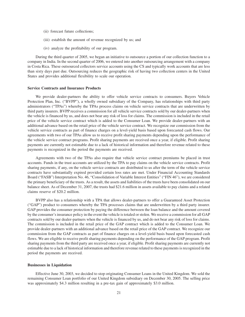- (ii) forecast future collections;
- (iii) establish the amount of revenue recognized by us; and
- (iv) analyze the profitability of our program.

During the third quarter of 2005, we began an initiative to outsource a portion of our collection function to a company in India. In the second quarter of 2006, we entered into another outsourcing arrangement with a company in Costa Rica. These outsourced collectors service accounts using the CS and typically work accounts that are less than sixty days past due. Outsourcing reduces the geographic risk of having two collection centers in the United States and provides additional flexibility to scale our operation.

# **Service Contracts and Insurance Products**

We provide dealer-partners the ability to offer vehicle service contracts to consumers. Buyers Vehicle Protection Plan, Inc. ("BVPP"), a wholly owned subsidiary of the Company, has relationships with third party administrators ("TPAs") whereby the TPAs process claims on vehicle service contracts that are underwritten by third party insurers. BVPP receives a commission for all vehicle service contracts sold by our dealer-partners when the vehicle is financed by us, and does not bear any risk of loss for claims. The commission is included in the retail price of the vehicle service contract which is added to the Consumer Loan. We provide dealer-partners with an additional advance based on the retail price of the vehicle service contract. We recognize our commission from the vehicle service contracts as part of finance charges on a level-yield basis based upon forecasted cash flows. Our agreements with two of our TPAs allow us to receive profit sharing payments depending upon the performance of the vehicle service contract programs. Profit sharing payments are received once a year, if eligible. Profit sharing payments are currently not estimable due to a lack of historical information and therefore revenue related to these payments is recognized in the period the payments are received.

Agreements with two of the TPAs also require that vehicle service contract premiums be placed in trust accounts. Funds in the trust accounts are utilized by the TPA to pay claims on the vehicle service contracts. Profit sharing payments, if any, on the vehicle service contracts are distributed to us after the term of the vehicle service contracts have substantially expired provided certain loss rates are met. Under Financial Accounting Standards Board ("FASB") Interpretation No. 46, "Consolidation of Variable Interest Entities" ("FIN 46"), we are considered the primary beneficiary of the trusts. As a result, the assets and liabilities of the trusts have been consolidated on our balance sheet. As of December 31, 2007, the trusts had \$21.6 million in assets available to pay claims and a related claims reserve of \$20.2 million.

BVPP also has a relationship with a TPA that allows dealer-partners to offer a Guaranteed Asset Protection ("GAP") product to consumers whereby the TPA processes claims that are underwritten by a third party insurer. GAP provides the consumer protection by paying the difference between the loan balance and the amount covered by the consumer's insurance policy in the event the vehicle is totaled or stolen. We receive a commission for all GAP contracts sold by our dealer-partners when the vehicle is financed by us, and do not bear any risk of loss for claims. The commission is included in the retail price of the GAP contract which is added to the Consumer Loan. We provide dealer-partners with an additional advance based on the retail price of the GAP contract. We recognize our commission from the GAP contracts as part of finance charges on a level-yield basis based upon forecasted cash flows. We are eligible to receive profit sharing payments depending on the performance of the GAP program. Profit sharing payments from the third party are received once a year, if eligible. Profit sharing payments are currently not estimable due to a lack of historical information and therefore revenue related to these payments is recognized in the period the payments are received.

#### **Businesses in Liquidation**

Effective June 30, 2003, we decided to stop originating Consumer Loans in the United Kingdom. We sold the remaining Consumer Loan portfolio of our United Kingdom subsidiary on December 30, 2005. The selling price was approximately \$4.3 million resulting in a pre-tax gain of approximately \$3.0 million.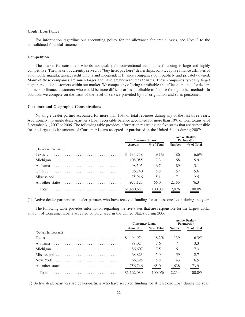#### **Credit Loss Policy**

For information regarding our accounting policy for the allowance for credit losses, see Note 2 to the consolidated financial statements.

#### **Competition**

The market for consumers who do not qualify for conventional automobile financing is large and highly competitive. The market is currently served by "buy here, pay here" dealerships, banks, captive finance affiliates of automobile manufacturers, credit unions and independent finance companies both publicly and privately owned. Many of these companies are much larger and have greater resources than us. These companies typically target higher credit tier customers within our market. We compete by offering a profitable and efficient method for dealerpartners to finance customers who would be more difficult or less profitable to finance through other methods. In addition, we compete on the basis of the level of service provided by our origination and sales personnel.

#### **Customer and Geographic Concentrations**

No single dealer-partner accounted for more than 10% of total revenues during any of the last three years. Additionally, no single dealer-partner's Loan receivable balance accounted for more than 10% of total Loans as of December 31, 2007 or 2006. The following table provides information regarding the five states that are responsible for the largest dollar amount of Consumer Loans accepted or purchased in the United States during 2007:

|                        | <b>Consumer Loans</b> |            | <b>Active Dealer-</b><br>Partners(1) |            |
|------------------------|-----------------------|------------|--------------------------------------|------------|
|                        | Amount                | % of Total | <b>Number</b>                        | % of Total |
| (Dollars in thousands) |                       |            |                                      |            |
|                        | 134.758<br>S.         | $9.1\%$    | 186                                  | $6.6\%$    |
| Michigan               | 108,055               | 7.3        | 168                                  | 5.9        |
|                        | 98.595                | 6.7        | 89                                   | 3.1        |
|                        | 86.240                | 5.8        | 157                                  | 5.6        |
|                        | 75.916                | 5.1        | 71                                   | 2.5        |
| All other states       | 977,123               | 66.0       | 2,155                                | 76.3       |
|                        | \$1,480,687           | $100.0\%$  | 2.826                                | $100.0\%$  |

(1) Active dealer-partners are dealer-partners who have received funding for at least one Loan during the year.

The following table provides information regarding the five states that are responsible for the largest dollar amount of Consumer Loans accepted or purchased in the United States during 2006:

|                                                                          | <b>Consumer Loans</b> |             |            | <b>Active Dealer-</b><br>Partners(1) |            |
|--------------------------------------------------------------------------|-----------------------|-------------|------------|--------------------------------------|------------|
|                                                                          |                       | Amount      | % of Total | <b>Number</b>                        | % of Total |
| (Dollars in thousands)                                                   |                       |             |            |                                      |            |
|                                                                          |                       | 94.974      | 8.2%       | 139                                  | $6.3\%$    |
|                                                                          |                       | 88,024      | 7.6        | 74                                   | 3.3        |
| Michigan                                                                 |                       | 86,607      | 7.5        | 161                                  | 7.3        |
|                                                                          |                       | 68.823      | 5.9        | 59                                   | 2.7        |
|                                                                          |                       | 66.895      | 5.8        | 143                                  | 6.5        |
| All other states $\dots \dots \dots \dots \dots \dots \dots \dots \dots$ |                       | 756,716     | 65.0       | 1,638                                | 73.9       |
|                                                                          |                       | \$1,162,039 | 100.0%     | 2,214                                | 100.0%     |

(1) Active dealer-partners are dealer-partners who have received funding for at least one Loan during the year.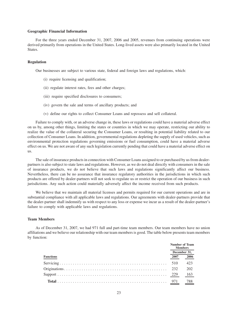#### **Geographic Financial Information**

For the three years ended December 31, 2007, 2006 and 2005, revenues from continuing operations were derived primarily from operations in the United States. Long-lived assets were also primarily located in the United States.

#### **Regulation**

Our businesses are subject to various state, federal and foreign laws and regulations, which:

- (i) require licensing and qualification;
- (ii) regulate interest rates, fees and other charges;
- (iii) require specified disclosures to consumers;
- (iv) govern the sale and terms of ancillary products; and
- (v) define our rights to collect Consumer Loans and repossess and sell collateral.

Failure to comply with, or an adverse change in, these laws or regulations could have a material adverse effect on us by, among other things, limiting the states or countries in which we may operate, restricting our ability to realize the value of the collateral securing the Consumer Loans, or resulting in potential liability related to our collection of Consumer Loans. In addition, governmental regulations depleting the supply of used vehicles, such as environmental protection regulations governing emissions or fuel consumption, could have a material adverse effect on us. We are not aware of any such legislation currently pending that could have a material adverse effect on us.

The sale of insurance products in connection with Consumer Loans assigned to or purchased by us from dealerpartners is also subject to state laws and regulations. However, as we do not deal directly with consumers in the sale of insurance products, we do not believe that such laws and regulations significantly affect our business. Nevertheless, there can be no assurance that insurance regulatory authorities in the jurisdictions in which such products are offered by dealer-partners will not seek to regulate us or restrict the operation of our business in such jurisdictions. Any such action could materially adversely affect the income received from such products.

We believe that we maintain all material licenses and permits required for our current operations and are in substantial compliance with all applicable laws and regulations. Our agreements with dealer-partners provide that the dealer-partner shall indemnify us with respect to any loss or expense we incur as a result of the dealer-partner's failure to comply with applicable laws and regulations.

#### **Team Members**

As of December 31, 2007, we had 971 full and part-time team members. Our team members have no union affiliations and we believe our relationship with our team members is good. The table below presents team members by function:

|                  |      | <b>Number of Team</b><br><b>Members</b> |
|------------------|------|-----------------------------------------|
|                  |      | December 31,                            |
| <b>Functions</b> | 2007 | 2006                                    |
|                  |      | 423                                     |
|                  |      | 202                                     |
|                  |      | 163                                     |
|                  |      | 788                                     |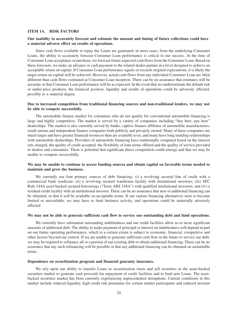#### **ITEM 1A. RISK FACTORS**

# **Our inability to accurately forecast and estimate the amount and timing of future collections could have a material adverse effect on results of operations.**

Since cash flows available to repay the Loans are generated, in most cases, from the underlying Consumer Loans, the ability to accurately forecast Consumer Loan performance is critical to our success. At the time of Consumer Loan acceptance or purchase, we forecast future expected cash flows from the Consumer Loan. Based on these forecasts, we make an advance or cash payment to the related dealer-partner at a level designed to achieve an acceptable return on capital. If Consumer Loan performance equals or exceeds original expectations, it is likely the target return on capital will be achieved. However, actual cash flows from any individual Consumer Loan are often different than cash flows estimated at Consumer Loan inception. There can be no assurance that estimates will be accurate or that Consumer Loan performance will be as expected. In the event that we underestimate the default risk or under-price products, the financial position, liquidity and results of operations could be adversely affected, possibly to a material degree.

# **Due to increased competition from traditional financing sources and non-traditional lenders, we may not be able to compete successfully.**

The automobile finance market for consumers who do not qualify for conventional automobile financing is large and highly competitive. The market is served by a variety of companies including "buy here, pay here" dealerships. The market is also currently served by banks, captive finance affiliates of automobile manufacturers, credit unions and independent finance companies both publicly and privately owned. Many of these companies are much larger and have greater financial resources than are available to us, and many have long standing relationships with automobile dealerships. Providers of automobile financing have traditionally competed based on the interest rate charged, the quality of credit accepted, the flexibility of loan terms offered and the quality of service provided to dealers and consumers. There is potential that significant direct competition could emerge and that we may be unable to compete successfully.

# **We may be unable to continue to access funding sources and obtain capital on favorable terms needed to maintain and grow the business.**

We currently use four primary sources of debt financing: (i) a revolving secured line of credit with a commercial bank syndicate; (ii) a revolving secured warehouse facility with institutional investors; (iii) SEC Rule 144A asset-backed secured borrowings ("Term ABS 144A") with qualified institutional investors; and (iv) a residual credit facility with an institutional investor. There can be no assurance that new or additional financing can be obtained, or that it will be available on acceptable terms. If our various financing alternatives were to become limited or unavailable, we may have to limit business activity, and operations could be materially adversely affected.

#### **We may not be able to generate sufficient cash flow to service our outstanding debt and fund operations.**

We currently have substantial outstanding indebtedness and our credit facilities allow us to incur significant amounts of additional debt. The ability to make payment of principal or interest on indebtedness will depend in part on our future operating performance, which to a certain extent is subject to economic, financial, competitive and other factors beyond our control. If we are unable to generate sufficient cash flow in the future to service our debt, we may be required to refinance all or a portion of our existing debt or obtain additional financing. There can be no assurance that any such refinancing will be possible or that any additional financing can be obtained on sustainable terms.

#### **Dependence on securitization program and financial guaranty insurance.**

We rely upon our ability to transfer Loans to securitization trusts and sell securities in the asset-backed securities market to generate cash proceeds for repayment of credit facilities and to fund new Loans. The assetbacked securities market has been currently experiencing unprecedented disruptions. Current conditions in this market include reduced liquidity, high credit risk premiums for certain market participants and reduced investor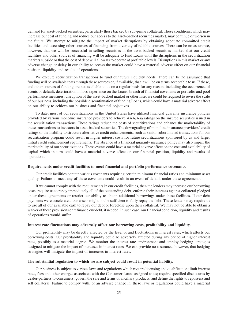demand for asset-backed securities, particularly those backed by sub-prime collateral. These conditions, which may increase our cost of funding and reduce our access to the asset-backed securities market, may continue or worsen in the future. We attempt to mitigate the impact of market disruptions by obtaining adequate committed credit facilities and accessing other sources of financing from a variety of reliable sources. There can be no assurance, however, that we will be successful in selling securities in the asset-backed securities market, that our credit facilities and other sources of financing will be adequate to fund Loans until the disruptions in the securitization markets subside or that the cost of debt will allow us to operate at profitable levels. Disruptions in this market or any adverse change or delay in our ability to access the market could have a material adverse effect on our financial position, liquidity and results of operations.

We execute securitization transactions to fund our future liquidity needs. There can be no assurance that funding will be available to us through these sources or, if available, that it will be on terms acceptable to us. If these, and other sources of funding are not available to us on a regular basis for any reason, including the occurrence of events of default, deterioration in loss experience on the Loans, breach of financial covenants or portfolio and pool performance measures, disruption of the asset-backed market or otherwise, we could be required to revise the scale of our business, including the possible discontinuation of funding Loans, which could have a material adverse effect on our ability to achieve our business and financial objectives.

To date, most of our securitizations in the United States have utilized financial guaranty insurance policies provided by various monoline insurance providers to achieve AAA/Aaa ratings on the insured securities issued in the securitization transactions. These ratings reduce the costs of securitizations and enhance the marketability of these transactions to investors in asset-backed securities. The downgrading of monoline insurance providers' credit ratings or the inability to structure alternative credit enhancements, such as senior subordinated transactions for our securitization program could result in higher interest costs for future securitizations sponsored by us and larger initial credit enhancement requirements. The absence of a financial guaranty insurance policy may also impair the marketability of our securitizations. These events could have a material adverse effect on the cost and availability of capital which in turn could have a material adverse effect on our financial position, liquidity and results of operations.

# **Requirements under credit facilities to meet financial and portfolio performance covenants.**

Our credit facilities contain various covenants requiring certain minimum financial ratios and minimum asset quality. Failure to meet any of these covenants could result in an event of default under these agreements.

If we cannot comply with the requirements in our credit facilities, then the lenders may increase our borrowing costs, require us to repay immediately all of the outstanding debt, enforce their interests against collateral pledged under these agreements or restrict our ability to obtain additional borrowings under these facilities. If our debt payments were accelerated, our assets might not be sufficient to fully repay the debt. These lenders may require us to use all of our available cash to repay our debt or foreclose upon their collateral. We may not be able to obtain a waiver of these provisions or refinance our debt, if needed. In such case, our financial condition, liquidity and results of operations would suffer.

#### **Interest rate fluctuations may adversely affect our borrowing costs, profitability and liquidity.**

Our profitability may be directly affected by the level of and fluctuations in interest rates, which affects our borrowing costs. Our profitability and liquidity could be adversely affected during any period of higher interest rates, possibly to a material degree. We monitor the interest rate environment and employ hedging strategies designed to mitigate the impact of increases in interest rates. We can provide no assurance, however, that hedging strategies will mitigate the impact of increases in interest rates.

#### **The substantial regulation to which we are subject could result in potential liability.**

Our business is subject to various laws and regulations which require licensing and qualification; limit interest rates, fees and other charges associated with the Consumer Loans assigned to us; require specified disclosures by dealer-partners to consumers; govern the sale and terms of ancillary products; and define the rights to repossess and sell collateral. Failure to comply with, or an adverse change in, these laws or regulations could have a material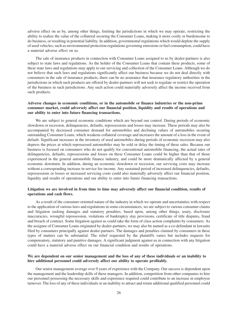adverse effect on us by, among other things, limiting the jurisdictions in which we may operate, restricting the ability to realize the value of the collateral securing the Consumer Loans, making it more costly or burdensome to do business, or resulting in potential liability. In addition, governmental regulations which would deplete the supply of used vehicles, such as environmental protection regulations governing emissions or fuel consumption, could have a material adverse effect on us.

The sale of insurance products in connection with Consumer Loans assigned to us by dealer-partners is also subject to state laws and regulations. As the holder of the Consumer Loans that contain these products, some of these state laws and regulations may apply to our servicing and collection of the Consumer Loans. Although we do not believe that such laws and regulations significantly affect our business because we do not deal directly with consumers in the sale of insurance products, there can be no assurance that insurance regulatory authorities in the jurisdictions in which such products are offered by dealer-partners will not seek to regulate or restrict the operation of the business in such jurisdictions. Any such action could materially adversely affect the income received from such products.

# **Adverse changes in economic conditions, or in the automobile or finance industries or the non-prime consumer market, could adversely affect our financial position, liquidity and results of operations and our ability to enter into future financing transactions.**

We are subject to general economic conditions which are beyond our control. During periods of economic slowdown or recession, delinquencies, defaults, repossessions and losses may increase. These periods may also be accompanied by decreased consumer demand for automobiles and declining values of automobiles securing outstanding Consumer Loans, which weakens collateral coverage and increases the amount of a loss in the event of default. Significant increases in the inventory of used automobiles during periods of economic recession may also depress the prices at which repossessed automobiles may be sold or delay the timing of these sales. Because our business is focused on consumers who do not qualify for conventional automobile financing, the actual rates of delinquencies, defaults, repossessions and losses on these Consumer Loans could be higher than that of those experienced in the general automobile finance industry, and could be more dramatically affected by a general economic downturn. In addition, during an economic slowdown or recession, our servicing costs may increase without a corresponding increase in service fee income. Any sustained period of increased delinquencies, defaults, repossessions or losses or increased servicing costs could also materially adversely affect our financial position, liquidity and results of operations and our ability to enter into future financing transactions.

# **Litigation we are involved in from time to time may adversely affect our financial condition, results of operations and cash flows.**

As a result of the consumer-oriented nature of the industry in which we operate and uncertainties with respect to the application of various laws and regulations in some circumstances, we are subject to various consumer claims and litigation seeking damages and statutory penalties, based upon, among other things, usury, disclosure inaccuracies, wrongful repossession, violations of bankruptcy stay provisions, certificate of title disputes, fraud and breach of contract. Some litigation against us could take the form of class action complaints by consumers. As the assignee of Consumer Loans originated by dealer-partners, we may also be named as a co-defendant in lawsuits filed by consumers principally against dealer-partners. The damages and penalties claimed by consumers in these types of matters can be substantial. The relief requested by the plaintiffs varies but includes requests for compensatory, statutory and punitive damages. A significant judgment against us in connection with any litigation could have a material adverse effect on our financial condition and results of operations.

# **We are dependent on our senior management and the loss of any of these individuals or an inability to hire additional personnel could adversely affect our ability to operate profitably.**

Our senior management average over 9 years of experience with the Company. Our success is dependent upon the management and the leadership skills of these managers. In addition, competition from other companies to hire our personnel possessing the necessary skills and experience required could contribute to an increase in employee turnover. The loss of any of these individuals or an inability to attract and retain additional qualified personnel could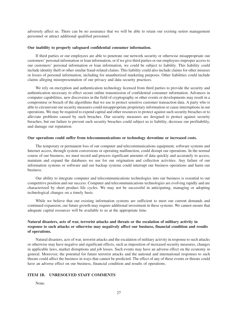adversely affect us. There can be no assurance that we will be able to retain our existing senior management personnel or attract additional qualified personnel.

#### **Our inability to properly safeguard confidential consumer information.**

If third parties or our employees are able to penetrate our network security or otherwise misappropriate our customers' personal information or loan information, or if we give third parties or our employees improper access to our customers' personal information or loan information, we could be subject to liability. This liability could include identity theft or other similar fraud-related claims. This liability could also include claims for other misuses or losses of personal information, including for unauthorized marketing purposes. Other liabilities could include claims alleging misrepresentation of our privacy and data security practices.

We rely on encryption and authentication technology licensed from third parties to provide the security and authentication necessary to effect secure online transmission of confidential consumer information. Advances in computer capabilities, new discoveries in the field of cryptography or other events or developments may result in a compromise or breach of the algorithms that we use to protect sensitive customer transaction data. A party who is able to circumvent our security measures could misappropriate proprietary information or cause interruptions in our operations. We may be required to expend capital and other resources to protect against such security breaches or to alleviate problems caused by such breaches. Our security measures are designed to protect against security breaches, but our failure to prevent such security breaches could subject us to liability, decrease our profitability, and damage our reputation.

#### **Our operations could suffer from telecommunications or technology downtime or increased costs.**

The temporary or permanent loss of our computer and telecommunications equipment, software systems and Internet access, through system conversions or operating malfunction, could disrupt our operations. In the normal course of our business, we must record and process significant amounts of data quickly and accurately to access, maintain and expand the databases we use for our origination and collection activities. Any failure of our information systems or software and our backup systems could interrupt our business operations and harm our business.

Our ability to integrate computer and telecommunications technologies into our business is essential to our competitive position and our success. Computer and telecommunications technologies are evolving rapidly and are characterized by short product life cycles. We may not be successful in anticipating, managing or adopting technological changes on a timely basis.

While we believe that our existing information systems are sufficient to meet our current demands and continued expansion, our future growth may require additional investment in these systems. We cannot ensure that adequate capital resources will be available to us at the appropriate time.

# **Natural disasters, acts of war, terrorist attacks and threats or the escalation of military activity in response to such attacks or otherwise may negatively affect our business, financial condition and results of operations.**

Natural disasters, acts of war, terrorist attacks and the escalation of military activity in response to such attacks or otherwise may have negative and significant effects, such as imposition of increased security measures, changes in applicable laws, market disruptions and job losses. Such events may have an adverse effect on the economy in general. Moreover, the potential for future terrorist attacks and the national and international responses to such threats could affect the business in ways that cannot be predicted. The effect of any of these events or threats could have an adverse effect on our business, financial condition and results of operations.

# **ITEM 1B. UNRESOLVED STAFF COMMENTS**

#### None.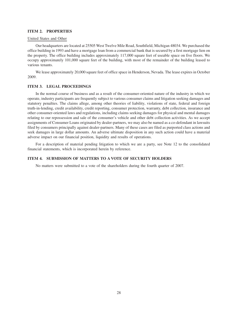# **ITEM 2. PROPERTIES**

#### United States and Other

Our headquarters are located at 25505 West Twelve Mile Road, Southfield, Michigan 48034. We purchased the office building in 1993 and have a mortgage loan from a commercial bank that is secured by a first mortgage lien on the property. The office building includes approximately 117,000 square feet of useable space on five floors. We occupy approximately 101,000 square feet of the building, with most of the remainder of the building leased to various tenants.

We lease approximately 20,000 square feet of office space in Henderson, Nevada. The lease expires in October 2009.

#### **ITEM 3. LEGAL PROCEEDINGS**

In the normal course of business and as a result of the consumer-oriented nature of the industry in which we operate, industry participants are frequently subject to various consumer claims and litigation seeking damages and statutory penalties. The claims allege, among other theories of liability, violations of state, federal and foreign truth-in-lending, credit availability, credit reporting, consumer protection, warranty, debt collection, insurance and other consumer-oriented laws and regulations, including claims seeking damages for physical and mental damages relating to our repossession and sale of the consumer's vehicle and other debt collection activities. As we accept assignments of Consumer Loans originated by dealer-partners, we may also be named as a co-defendant in lawsuits filed by consumers principally against dealer-partners. Many of these cases are filed as purported class actions and seek damages in large dollar amounts. An adverse ultimate disposition in any such action could have a material adverse impact on our financial position, liquidity and results of operations.

For a description of material pending litigation to which we are a party, see Note 12 to the consolidated financial statements, which is incorporated herein by reference.

#### **ITEM 4. SUBMISSION OF MATTERS TO A VOTE OF SECURITY HOLDERS**

No matters were submitted to a vote of the shareholders during the fourth quarter of 2007.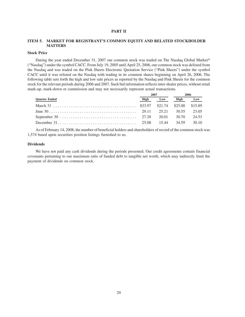#### **PART II**

# **ITEM 5. MARKET FOR REGISTRANT'S COMMON EQUITY AND RELATED STOCKHOLDER MATTERS**

## **Stock Price**

During the year ended December 31, 2007 our common stock was traded on The Nasdaq Global Market» ("Nasdaq") under the symbol CACC. From July 19, 2005 until April 25, 2006, our common stock was delisted from the Nasdaq and was traded on the Pink Sheets Electronic Quotation Service ("Pink Sheets") under the symbol CACC until it was relisted on the Nasdaq with trading in its common shares beginning on April 26, 2006. The following table sets forth the high and low sale prices as reported by the Nasdaq and Pink Sheets for the common stock for the relevant periods during 2006 and 2007. Such bid information reflects inter-dealer prices, without retail mark-up, mark-down or commission and may not necessarily represent actual transactions.

|                      |  | 2007 — 2007 — 2007 — 2007 — 2007 — 2007 — 2007 — 2007 — 2007 — 2008 — 2008 — 2008 — 2008 — 2008 — 2008 — 2008 — 2008 — 2008 — 2008 — 2008 — 2008 — 2008 — 2008 — 2008 — 2008 — 2008 — 2008 — 2008 — 2008 — 2008 — 2008 — 2008 — | 2006 |     |
|----------------------|--|---------------------------------------------------------------------------------------------------------------------------------------------------------------------------------------------------------------------------------|------|-----|
| <b>Quarter Ended</b> |  | High Low High                                                                                                                                                                                                                   |      | Low |
|                      |  |                                                                                                                                                                                                                                 |      |     |
|                      |  |                                                                                                                                                                                                                                 |      |     |
|                      |  |                                                                                                                                                                                                                                 |      |     |
|                      |  |                                                                                                                                                                                                                                 |      |     |

As of February 14, 2008, the number of beneficial holders and shareholders of record of the common stock was 1,574 based upon securities position listings furnished to us.

#### **Dividends**

We have not paid any cash dividends during the periods presented. Our credit agreements contain financial covenants pertaining to our maximum ratio of funded debt to tangible net worth, which may indirectly limit the payment of dividends on common stock.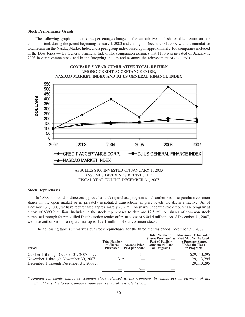#### **Stock Performance Graph**

The following graph compares the percentage change in the cumulative total shareholder return on our common stock during the period beginning January 1, 2003 and ending on December 31, 2007 with the cumulative total return on the Nasdaq Market Index and a peer group index based upon approximately 100 companies included in the Dow Jones — US General Financial Index. The comparison assumes that \$100 was invested on January 1, 2003 in our common stock and in the foregoing indices and assumes the reinvestment of dividends.



# **COMPARE 5-YEAR CUMULATIVE TOTAL RETURN AMONG CREDIT ACCEPTANCE CORP., NASDAQ MARKET INDEX AND DJ US GENERAL FINANCE INDEX**

#### **Stock Repurchases**

In 1999, our board of directors approved a stock repurchase program which authorizes us to purchase common shares in the open market or in privately negotiated transactions at price levels we deem attractive. As of December 31, 2007, we have repurchased approximately 20.4 million shares under the stock repurchase program at a cost of \$399.2 million. Included in the stock repurchases to date are 12.5 million shares of common stock purchased through four modified Dutch auction tender offers at a cost of \$304.4 million. As of December 31, 2007, we have authorization to repurchase up to \$29.1 million of our common stock.

The following table summarizes our stock repurchases for the three months ended December 31, 2007:

| Period                               | <b>Total Number</b><br>of Shares<br>Purchased | <b>Average Price</b><br>Paid per Share | <b>Total Number of</b><br><b>Shares Purchased as</b><br><b>Part of Publicly</b><br><b>Announced Plans</b><br>or Programs | <b>Maximum Dollar Value</b><br>that May Yet Be Used<br>to Purchase Shares<br><b>Under the Plans</b><br>or Programs |
|--------------------------------------|-----------------------------------------------|----------------------------------------|--------------------------------------------------------------------------------------------------------------------------|--------------------------------------------------------------------------------------------------------------------|
| October 1 through October 31, $2007$ |                                               |                                        |                                                                                                                          | \$29,113,295                                                                                                       |
| November 1 through November 30, 2007 | $31*$                                         |                                        |                                                                                                                          | 29, 113, 295                                                                                                       |
| December 1 through December 31, 2007 |                                               |                                        |                                                                                                                          | 29, 113, 295                                                                                                       |
|                                      |                                               |                                        |                                                                                                                          |                                                                                                                    |

*\* Amount represents shares of common stock released to the Company by employees as payment of tax withholdings due to the Company upon the vesting of restricted stock.*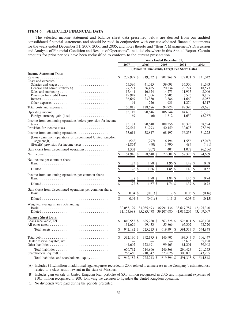#### **ITEM 6. SELECTED FINANCIAL DATA**

The selected income statement and balance sheet data presented below are derived from our audited consolidated financial statements and should be read in conjunction with our consolidated financial statements for the years ended December 31, 2007, 2006, and 2005, and notes thereto and "Item 7. Management's Discussion and Analysis of Financial Condition and Results of Operations", included elsewhere in this Annual Report. Certain amounts for prior periods have been reclassified to conform to the current presentation.

|                                                                                                                   | <b>Years Ended December 31,</b> |                   |                    |                                               |                  |
|-------------------------------------------------------------------------------------------------------------------|---------------------------------|-------------------|--------------------|-----------------------------------------------|------------------|
|                                                                                                                   | 2007                            | 2006              | 2005               | 2004                                          | 2003             |
|                                                                                                                   |                                 |                   |                    | (Dollars in Thousands, Except Per Share Data) |                  |
| <b>Income Statement Data:</b>                                                                                     |                                 |                   |                    |                                               |                  |
|                                                                                                                   | 239.927 \$                      | 219,332 \$        | 201,268 \$         | 172,071 \$                                    | 141,042          |
| Costs and expenses:                                                                                               |                                 |                   |                    |                                               |                  |
| Salaries and wages                                                                                                | 55,396<br>27,271                | 41,015<br>36,485  | 39,093<br>20.834   | 35,300<br>20.724                              | 31,693<br>18,573 |
|                                                                                                                   | 17,441                          | 16.624            | 14.275             | 11.915                                        | 8,006            |
|                                                                                                                   | 19,947                          | 11,006            | 5,705              | 6,526                                         | 8,835            |
|                                                                                                                   | 36,669                          | 23,330            | 13,886             | 11,660                                        | 8,057            |
|                                                                                                                   | 91                              | 226               | 931                | 1,270                                         | 4,517            |
|                                                                                                                   | 156,815                         | 128,686           | 94,724             | 87,395                                        | 79.681           |
| Operating income                                                                                                  | 83,112                          | 90,646            | 106,544            | 84,676                                        | 61,361           |
|                                                                                                                   | 69                              | (6)               | 1,812              | 1,650                                         | (2,767)          |
| Income from continuing operations before provision for income                                                     |                                 |                   |                    |                                               |                  |
|                                                                                                                   | 83,181                          | 90,640            | 108,356            | 86,326                                        | 58,594           |
|                                                                                                                   | 29,567                          | 31,793            | 40,159             | 30,073                                        | 27,369           |
| Income from continuing operations                                                                                 | 53,614                          | 58,847            | 68,197             | 56,253                                        | 31,225           |
| (Loss) gain from operations of discontinued United Kingdom                                                        |                                 |                   |                    |                                               |                  |
| $segment(B) \ldots \ldots \ldots \ldots \ldots \ldots \ldots \ldots \ldots \ldots \ldots$                         | (562)                           | (297)             | 6,194              | 1,556                                         | (7,047)          |
| (Benefit) provision for income taxes                                                                              | (1,864)                         | (90)              | 1,790              | 484                                           | (491)            |
| Gain (loss) from discontinued operations                                                                          | 1,302                           | (207)             | 4.404              | 1,072                                         | (6, 556)         |
|                                                                                                                   | 54,916 \$                       | 58,640 \$         | 72,601 \$          | 57,325 \$                                     | 24,669           |
| Net income per common share:                                                                                      |                                 |                   |                    |                                               |                  |
|                                                                                                                   | 1.83 \$                         | 1.78 \$           | 1.96 \$            | 1.48 \$                                       | 0.58             |
| $Diluted \dots \dots \dots \dots \dots \dots \dots \dots \dots \dots \dots \dots$                                 | 1.76~\$<br>\$.                  | 1.66~\$           | $1.85$ \$          | 1.40S                                         | 0.57             |
| Income from continuing operations per common share:                                                               |                                 |                   |                    |                                               |                  |
|                                                                                                                   | 1.78 \$                         | 1.78 \$           | 1.84 \$            | 1.46 $\frac{1}{2}$                            | 0.74             |
| Diluted                                                                                                           | 1.72S<br>\$.                    | 1.67 <sup>°</sup> | 1.74S              | 1.37S                                         | 0.72             |
| Gain (loss) from discontinued operations per common share:                                                        |                                 |                   |                    |                                               |                  |
|                                                                                                                   | $0.04$ \$                       | $(0.01)$ \$       | $0.12 \text{ }$ \$ | $0.03 \text{ }$ \$                            | (0.16)           |
| $Diluted \dots \dots \dots \dots \dots \dots \dots \dots \dots \dots \dots \dots \dots$                           | 0.04S<br>\$                     | $(0.01)$ \$       | $0.11 \text{ }$ \$ | $0.03 \text{ }$ \$                            | (0.15)           |
|                                                                                                                   |                                 |                   |                    |                                               |                  |
| Weighted average shares outstanding:                                                                              | 30,053,129                      | 33,035,693        | 36,991,136         | 38,617,787                                    | 42,195,340       |
|                                                                                                                   | 31,153,688                      | 35,283,478        | 39,207,680         | 41,017,205                                    | 43,409,007       |
|                                                                                                                   |                                 |                   |                    |                                               |                  |
| <b>Balance Sheet Data:</b><br>Loans receivable, net $\dots \dots \dots \dots \dots \dots \dots \dots \dots \dots$ | 810.553 \$                      | 625,780 \$        | 563,528 \$         | 526,011 \$                                    | 476,128          |
|                                                                                                                   | 131,629                         | 99,433            | 55,866             | 65,302                                        | 68,720           |
|                                                                                                                   | 942,182 \$                      | 725,213 \$        | 619,394 \$         | 591,313 \$                                    | 544,848          |
|                                                                                                                   |                                 |                   |                    |                                               |                  |
|                                                                                                                   | 532,130 \$                      | 392,175 \$        | 146,905            | 193,547 \$                                    | 106,447          |
|                                                                                                                   |                                 |                   |                    | 15.675                                        | 35.198           |
|                                                                                                                   | 144,602                         | 122,691           | 99,463             | 81,201                                        | 59,908           |
|                                                                                                                   | 676,732                         | 514.866           | 246,368            | 290.423                                       | 201.553          |
| Shareholders' equity(C) $\ldots \ldots \ldots \ldots \ldots \ldots \ldots \ldots$                                 | 265,450                         | 210,347           | 373,026            | 300,890                                       | 343,295          |
| Total liabilities and shareholders' equity                                                                        | 942.182 \$                      | 725,213 \$        | 619.394 \$         | 591,313 \$                                    | 544.848          |

(A) Includes \$11.2 million of additional legal expenses recorded in 2006 related to an increase in the Company's estimated loss related to a class action lawsuit in the state of Missouri.

(B) Includes gain on sale of United Kingdom loan portfolio of \$3.0 million recognized in 2005 and impairment expenses of \$10.5 million recognized in 2003 following the decision to liquidate the United Kingdom operation.

(C) No dividends were paid during the periods presented.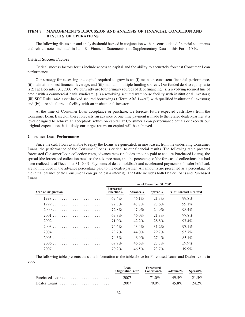# **ITEM 7. MANAGEMENT'S DISCUSSION AND ANALYSIS OF FINANCIAL CONDITION AND RESULTS OF OPERATIONS**

The following discussion and analysis should be read in conjunction with the consolidated financial statements and related notes included in Item 8 - Financial Statements and Supplementary Data in this Form 10-K.

## **Critical Success Factors**

Critical success factors for us include access to capital and the ability to accurately forecast Consumer Loan performance.

Our strategy for accessing the capital required to grow is to: (i) maintain consistent financial performance, (ii) maintain modest financial leverage, and (iii) maintain multiple funding sources. Our funded debt to equity ratio is 2:1 at December 31, 2007. We currently use four primary sources of debt financing: (i) a revolving secured line of credit with a commercial bank syndicate; (ii) a revolving secured warehouse facility with institutional investors; (iii) SEC Rule 144A asset-backed secured borrowings ("Term ABS 144A") with qualified institutional investors; and (iv) a residual credit facility with an institutional investor.

At the time of Consumer Loan acceptance or purchase, we forecast future expected cash flows from the Consumer Loan. Based on these forecasts, an advance or one time payment is made to the related dealer-partner at a level designed to achieve an acceptable return on capital. If Consumer Loan performance equals or exceeds our original expectation, it is likely our target return on capital will be achieved.

#### **Consumer Loan Performance**

Since the cash flows available to repay the Loans are generated, in most cases, from the underlying Consumer Loans, the performance of the Consumer Loans is critical to our financial results. The following table presents forecasted Consumer Loan collection rates, advance rates (includes amounts paid to acquire Purchased Loans), the spread (the forecasted collection rate less the advance rate), and the percentage of the forecasted collections that had been realized as of December 31, 2007. Payments of dealer holdback and accelerated payments of dealer holdback are not included in the advance percentage paid to the dealer-partner. All amounts are presented as a percentage of the initial balance of the Consumer Loan (principal + interest). The table includes both Dealer Loans and Purchased Loans.

|                            | As of December 31, 2007          |             |            |                        |  |  |
|----------------------------|----------------------------------|-------------|------------|------------------------|--|--|
| <b>Year of Origination</b> | <b>Forecasted</b><br>Collection% | Advance $%$ | Spread $%$ | % of Forecast Realized |  |  |
| 1998                       | 67.4%                            | $46.1\%$    | 21.3%      | 99.8%                  |  |  |
|                            | 72.3%                            | 48.7%       | 23.6%      | $99.1\%$               |  |  |
|                            | 72.8%                            | 47.9%       | 24.9%      | 98.4%                  |  |  |
|                            | 67.8%                            | $46.0\%$    | 21.8%      | 97.8%                  |  |  |
|                            | 71.0%                            | $42.2\%$    | 28.8%      | $97.4\%$               |  |  |
|                            | 74.6%                            | $43.4\%$    | $31.2\%$   | $97.1\%$               |  |  |
|                            | 73.7%                            | 44.0%       | 29.7%      | 93.7%                  |  |  |
|                            | 74.3%                            | 46.9%       | $27.4\%$   | $85.1\%$               |  |  |
|                            | 69.9%                            | $46.6\%$    | 23.3%      | 59.9%                  |  |  |
|                            | 70.2%                            | $46.5\%$    | 23.7%      | $19.9\%$               |  |  |

The following table presents the same information as the table above for Purchased Loans and Dealer Loans in 2007:

|                                                                 | Loan<br>Origination Year Collection% Advance% Spread% | Forecasted                 |                   |  |
|-----------------------------------------------------------------|-------------------------------------------------------|----------------------------|-------------------|--|
|                                                                 | 2007                                                  | $71.0\%$ $49.5\%$ $21.5\%$ |                   |  |
| Dealer Loans $\ldots \ldots \ldots \ldots \ldots \ldots \ldots$ | 2007                                                  |                            | 70.0% 45.8% 24.2% |  |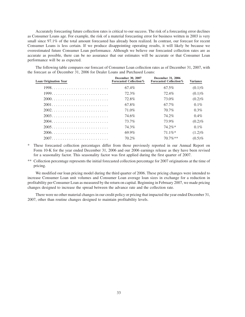Accurately forecasting future collection rates is critical to our success. The risk of a forecasting error declines as Consumer Loans age. For example, the risk of a material forecasting error for business written in 2003 is very small since 97.1% of the total amount forecasted has already been realized. In contrast, our forecast for recent Consumer Loans is less certain. If we produce disappointing operating results, it will likely be because we overestimated future Consumer Loan performance. Although we believe our forecasted collection rates are as accurate as possible, there can be no assurance that our estimates will be accurate or that Consumer Loan performance will be as expected.

The following table compares our forecast of Consumer Loan collection rates as of December 31, 2007, with the forecast as of December 31, 2006 for Dealer Loans and Purchased Loans:

| <b>Loan Origination Year</b> | December 30, 2007<br><b>Forecasted Collection%</b> | December 31, 2006<br><b>Forecasted Collection%</b> | <b>Variance</b> |  |
|------------------------------|----------------------------------------------------|----------------------------------------------------|-----------------|--|
|                              | 67.4%                                              | 67.5%                                              | $(0.1)\%$       |  |
|                              | $72.3\%$                                           | 72.4%                                              | $(0.1)\%$       |  |
|                              | 72.8%                                              | 73.0%                                              | $(0.2)\%$       |  |
|                              | 67.8%                                              | 67.7%                                              | $0.1\%$         |  |
|                              | 71.0%                                              | 70.7%                                              | $0.3\%$         |  |
|                              | 74.6%                                              | 74.2%                                              | $0.4\%$         |  |
|                              | 73.7%                                              | 73.9%                                              | $(0.2)\%$       |  |
|                              | 74.3%                                              | $74.2\%*$                                          | $0.1\%$         |  |
|                              | 69.9%                                              | $71.1\%*$                                          | $(1.2)\%$       |  |
|                              | 70.2%                                              | $70.7\%**$                                         | $(0.5)\%$       |  |

\* These forecasted collection percentages differ from those previously reported in our Annual Report on Form 10-K for the year ended December 31, 2006 and our 2006 earnings release as they have been revised for a seasonality factor. This seasonality factor was first applied during the first quarter of 2007.

\*\* Collection percentage represents the initial forecasted collection percentage for 2007 originations at the time of pricing.

We modified our loan pricing model during the third quarter of 2006. These pricing changes were intended to increase Consumer Loan unit volumes and Consumer Loan average loan sizes in exchange for a reduction in profitability per Consumer Loan as measured by the return on capital. Beginning in February 2007, we made pricing changes designed to increase the spread between the advance rate and the collection rate.

There were no other material changes in our credit policy or pricing that impacted the year ended December 31, 2007, other than routine changes designed to maintain profitability levels.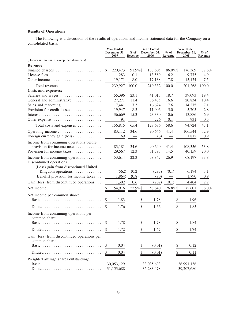# **Results of Operations**

The following is a discussion of the results of operations and income statement data for the Company on a consolidated basis:

|                                                               | <b>Year Ended</b><br>December 31,<br>2007 | $%$ of<br>Revenue |    | <b>Year Ended</b><br>December 31,<br>2006 | $%$ of<br>Revenue             | <b>Year Ended</b><br>December 31,<br>2005 | $%$ of<br>Revenue |
|---------------------------------------------------------------|-------------------------------------------|-------------------|----|-------------------------------------------|-------------------------------|-------------------------------------------|-------------------|
| (Dollars in thousands, except per share data)                 |                                           |                   |    |                                           |                               |                                           |                   |
| <b>Revenue:</b>                                               |                                           |                   |    |                                           |                               |                                           |                   |
|                                                               | \$<br>220,473                             | 91.9%\$           |    | 188,605                                   | 86.0%\$                       | 176,369                                   | 87.6%             |
|                                                               | 283                                       | 0.1               |    | 13,589                                    | 6.2                           | 9,775                                     | 4.9               |
| Other income                                                  | 19,171                                    | 8.0               |    | 17,138                                    | 7.8                           | 15,124                                    | 7.5               |
|                                                               | 239,927                                   | 100.0             |    | 219,332                                   | 100.0                         | 201,268                                   | 100.0             |
| Costs and expenses:                                           |                                           |                   |    |                                           |                               |                                           |                   |
|                                                               | 55,396                                    | 23.1              |    | 41,015                                    | 18.7                          | 39,093                                    | 19.4              |
| General and administrative                                    | 27,271                                    | 11.4              |    | 36,485                                    | 16.6                          | 20,834                                    | 10.4              |
| Sales and marketing                                           | 17,441                                    | 7.3               |    | 16,624                                    | 7.6                           | 14,275                                    | 7.1               |
| Provision for credit losses                                   | 19,947                                    | 8.3               |    | 11,006                                    | 5.0                           | 5,705                                     | 2.8               |
|                                                               | 36,669                                    | 15.3              |    | 23,330                                    | 10.6                          | 13,886                                    | 6.9               |
|                                                               | 91                                        |                   |    | 226                                       | 0.1                           | 931                                       | 0.5               |
| Total costs and expenses                                      | 156,815                                   | 65.4              |    | 128,686                                   | 58.6                          | 94,724                                    | 47.1              |
|                                                               | 83,112                                    | 34.6              |    | 90,646                                    | 41.4                          | 106,544                                   | 52.9              |
| Foreign currency gain (loss)                                  | 69                                        |                   |    | (6)                                       | $\overbrace{\phantom{12333}}$ | 1,812                                     | 0.9               |
| Income from continuing operations before                      |                                           |                   |    |                                           |                               |                                           |                   |
| provision for income taxes                                    | 83,181                                    | 34.6              |    | 90,640                                    | 41.4                          | 108,356                                   | 53.8              |
| Provision for income taxes                                    | 29,567                                    | 12.3              |    | 31,793                                    | 14.5                          | 40,159                                    | 20.0              |
| Income from continuing operations<br>Discontinued operations  | 53,614                                    | 22.3              |    | 58,847                                    | 26.9                          | 68,197                                    | 33.8              |
| (Loss) gain from discontinued United                          |                                           |                   |    |                                           |                               |                                           |                   |
| Kingdom operations                                            | (562)                                     | (0.2)             |    | (297)                                     | (0.1)                         | 6,194                                     | 3.1               |
| (Benefit) provision for income taxes                          | (1,864)                                   | (0.8)             |    | (90)                                      |                               | 1,790                                     | 0.9               |
| Gain (loss) from discontinued operations                      | 1,302                                     | 0.6               |    | (207)                                     | (0.1)                         | 4,404                                     | 2.2               |
| Net income                                                    | \$<br>54,916                              | 22.9%\$           |    | 58,640                                    | 26.8%\$                       | 72,601                                    | 36.0%             |
| Net income per common share:                                  |                                           |                   |    |                                           |                               |                                           |                   |
|                                                               | \$<br>1.83                                |                   | S  | 1.78                                      |                               | 1.96                                      |                   |
|                                                               | \$<br>1.76                                |                   | S  | 1.66                                      |                               | 1.85                                      |                   |
| Income from continuing operations per<br>common share:        |                                           |                   |    |                                           |                               |                                           |                   |
| Basic                                                         | \$<br>1.78                                |                   | \$ | 1.78                                      |                               | 1.84                                      |                   |
|                                                               | \$<br>1.72                                |                   | \$ | 1.67                                      |                               | 1.74                                      |                   |
| Gain (loss) from discontinued operations per<br>common share: |                                           |                   |    |                                           |                               |                                           |                   |
| Basic                                                         | \$<br>0.04                                |                   |    | (0.01)                                    |                               | 0.12                                      |                   |
| $Diluted \ldots \ldots \ldots \ldots \ldots \ldots \ldots$    | \$<br>0.04                                |                   | \$ | (0.01)                                    |                               | \$<br>0.11                                |                   |
| Weighted average shares outstanding:                          |                                           |                   |    |                                           |                               |                                           |                   |
|                                                               | 30,053,129                                |                   |    | 33,035,693                                |                               | 36,991,136                                |                   |
| $Diluted \ldots \ldots \ldots \ldots \ldots \ldots \ldots$    | 31,153,688                                |                   |    | 35,283,478                                |                               | 39,207,680                                |                   |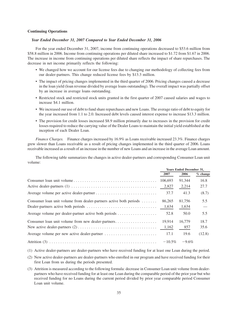### **Continuing Operations**

#### *Year Ended December 31, 2007 Compared to Year Ended December 31, 2006*

For the year ended December 31, 2007, income from continuing operations decreased to \$53.6 million from \$58.8 million in 2006. Income from continuing operations per diluted share increased to \$1.72 from \$1.67 in 2006. The increase in income from continuing operations per diluted share reflects the impact of share repurchases. The decrease in net income primarily reflects the following:

- We changed how we account for our license fees due to changing our methodology of collecting fees from our dealer-partners. This change reduced license fees by \$13.3 million.
- The impact of pricing changes implemented in the third quarter of 2006. Pricing changes caused a decrease in the loan yield (loan revenue divided by average loans outstanding). The overall impact was partially offset by an increase in average loans outstanding.
- Restricted stock and restricted stock units granted in the first quarter of 2007 caused salaries and wages to increase \$4.1 million.
- We increased our use of debt to fund share repurchases and new Loans. The average ratio of debt to equity for the year increased from 1.1 to 2.0. Increased debt levels caused interest expense to increase \$13.3 million.
- The provision for credit losses increased \$8.9 million primarily due to increases in the provision for credit losses required to reduce the carrying value of the Dealer Loans to maintain the initial yield established at the inception of each Dealer Loan.

*Finance Charges.* Finance charges increased by 16.9% as Loans receivable increased 23.3%. Finance charges grew slower than Loans receivable as a result of pricing changes implemented in the third quarter of 2006. Loans receivable increased as a result of an increase in the number of new Loans and an increase in the average Loan amount.

The following table summarizes the changes in active dealer-partners and corresponding Consumer Loan unit volume:

|                                                                    | <b>Years Ended December 31,</b> |         |            |
|--------------------------------------------------------------------|---------------------------------|---------|------------|
|                                                                    | 2007                            | 2006    | $%$ change |
|                                                                    | 106.693                         | 91,344  | 16.8       |
|                                                                    | 2,827                           | 2,214   | 27.7       |
|                                                                    | 37.7                            | 41.3    | (8.7)      |
| Consumer loan unit volume from dealer-partners active both periods | 86,265                          | 81,756  | 5.5        |
|                                                                    | 1,634                           | 1,634   |            |
|                                                                    | 52.8                            | 50.0    | 5.5        |
|                                                                    | 19.914                          | 16.779  | 18.7       |
|                                                                    | 1,162                           | 857     | 35.6       |
|                                                                    | 17.1                            | 19.6    | (12.8)     |
|                                                                    | $-10.5\%$                       | $-9.6%$ |            |

- (1) Active dealer-partners are dealer-partners who have received funding for at least one Loan during the period.
- (2) New active dealer-partners are dealer-partners who enrolled in our program and have received funding for their first Loan from us during the periods presented.
- (3) Attrition is measured according to the following formula: decrease in Consumer Loan unit volume from dealerpartners who have received funding for at least one Loan during the comparable period of the prior year but who received funding for no Loans during the current period divided by prior year comparable period Consumer Loan unit volume.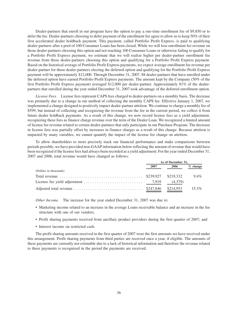Dealer-partners that enroll in our program have the option to pay a one-time enrollment fee of \$9,850 or to defer the fee. Dealer-partners choosing to defer payment of the enrollment fee agree to allow us to keep 50% of their first accelerated dealer holdback payment. This payment, called Portfolio Profit Express, is paid to qualifying dealer-partners after a pool of 100 Consumer Loans has been closed. While we will lose enrollment fee revenue on those dealer-partners choosing this option and not reaching 100 Consumer Loans or otherwise failing to qualify for a Portfolio Profit Express payment, we estimate that we will realize higher per dealer-partner enrollment fee revenue from those dealer-partners choosing this option and qualifying for a Portfolio Profit Express payment. Based on the historical average of Portfolio Profit Express payments, we expect average enrollment fee revenue per dealer-partner for those dealer-partners electing the deferred option and qualifying for the Portfolio Profit Express payment will be approximately \$12,000. Through December 31, 2007, 88 dealer-partners that have enrolled under the deferred option have earned Portfolio Profit Express payments. The amount kept by the Company (50% of the first Portfolio Profit Express payment) averaged \$12,000 per dealer-partner. Approximately 81% of the dealerpartners that enrolled during the year ended December 31, 2007 took advantage of the deferred enrollment option.

*License Fees.* License fees represent CAPS fees charged to dealer-partners on a monthly basis. The decrease was primarily due to a change in our method of collecting the monthly CAPS fee. Effective January 1, 2007, we implemented a change designed to positively impact dealer-partner attrition. We continue to charge a monthly fee of \$599, but instead of collecting and recognizing the revenue from the fee in the current period, we collect it from future dealer holdback payments. As a result of this change, we now record license fees as a yield adjustment, recognizing these fees as finance charge revenue over the term of the Dealer Loan. We recognized a limited amount of license fee revenue related to certain dealer-partners that only participate in our Purchase Program. The decrease in license fees was partially offset by increases in finance charges as a result of this change. Because attrition is impacted by many variables, we cannot quantify the impact of the license fee change on attrition.

To allow shareholders to more precisely track our financial performance and make comparisons between periods possible, we have provided non-GAAP information below reflecting the amount of revenue that would have been recognized if the license fees had always been recorded as a yield adjustment. For the year ended December 31, 2007 and 2006, total revenue would have changed as follows:

|                        | As of December 31, |         |            |  |
|------------------------|--------------------|---------|------------|--|
|                        | 2007               | 2006    | $%$ change |  |
| (Dollars in thousands) |                    |         |            |  |
|                        |                    |         | $9.4\%$    |  |
|                        |                    | (4,379) |            |  |
|                        |                    |         | $15.3\%$   |  |

*Other Income.* The increase for the year ended December 31, 2007 was due to:

- Marketing income related to an increase in the average Loans receivable balance and an increase in the fee structure with one of our vendors;
- Profit sharing payments received from ancillary product providers during the first quarter of 2007; and
- Interest income on restricted cash.

The profit sharing amounts received in the first quarter of 2007 were the first amounts we have received under this arrangement. Profit sharing payments from third parties are received once a year, if eligible. The amounts of these payments are currently not estimable due to a lack of historical information and therefore the revenue related to these payments is recognized in the period the payments are received.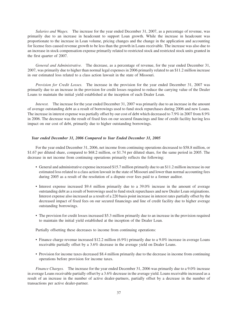*Salaries and Wages.* The increase for the year ended December 31, 2007, as a percentage of revenue, was primarily due to an increase in headcount to support Loan growth. While the increase in headcount was proportionate to the increase in Loan volume, pricing changes and the change in the application and accounting for license fees caused revenue growth to be less than the growth in Loans receivable. The increase was also due to an increase in stock compensation expense primarily related to restricted stock and restricted stock units granted in the first quarter of 2007.

*General and Administrative.* The decrease, as a percentage of revenue, for the year ended December 31, 2007, was primarily due to higher than normal legal expenses in 2006 primarily related to an \$11.2 million increase in our estimated loss related to a class action lawsuit in the state of Missouri.

*Provision for Credit Losses.* The increase in the provision for the year ended December 31, 2007 was primarily due to an increase in the provision for credit losses required to reduce the carrying value of the Dealer Loans to maintain the initial yield established at the inception of each Dealer Loan.

*Interest.* The increase for the year ended December 31, 2007 was primarily due to an increase in the amount of average outstanding debt as a result of borrowings used to fund stock repurchases during 2006 and new Loans. The increase in interest expense was partially offset by our cost of debt which decreased to 7.9% in 2007 from 8.9% in 2006. The decrease was the result of fixed fees on our secured financings and line of credit facility having less impact on our cost of debt, primarily due to higher outstanding borrowings.

### *Year ended December 31, 2006 Compared to Year Ended December 31, 2005*

For the year ended December 31, 2006, net income from continuing operations decreased to \$58.8 million, or \$1.67 per diluted share, compared to \$68.2 million, or \$1.74 per diluted share, for the same period in 2005. The decrease in net income from continuing operations primarily reflects the following:

- General and administrative expense increased \$15.7 million primarily due to an \$11.2 million increase in our estimated loss related to a class action lawsuit in the state of Missouri and lower than normal accounting fees during 2005 as a result of the resolution of a dispute over fees paid to a former auditor.
- Interest expense increased \$9.4 million primarily due to a 39.0% increase in the amount of average outstanding debt as a result of borrowings used to fund stock repurchases and new Dealer Loan originations. Interest expense also increased as a result of a 220 basis point increase in interest rates partially offset by the decreased impact of fixed fees on our secured financings and line of credit facility due to higher average outstanding borrowings.
- The provision for credit losses increased \$5.3 million primarily due to an increase in the provision required to maintain the initial yield established at the inception of the Dealer Loan.

Partially offsetting these decreases to income from continuing operations:

- Finance charge revenue increased \$12.2 million (6.9%) primarily due to a 9.0% increase in average Loans receivable partially offset by a 3.6% decrease in the average yield on Dealer Loans.
- Provision for income taxes decreased \$8.4 million primarily due to the decrease in income from continuing operations before provision for income taxes.

*Finance Charges.* The increase for the year ended December 31, 2006 was primarily due to a 9.0% increase in average Loans receivable partially offset by a 3.6% decrease in the average yield. Loans receivable increased as a result of an increase in the number of active dealer-partners, partially offset by a decrease in the number of transactions per active dealer-partner.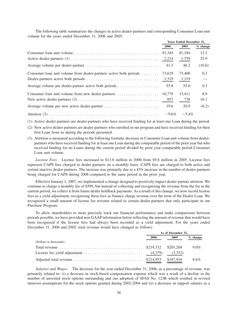The following table summarizes the changes in active dealer-partners and corresponding Consumer Loan unit volume for the years ended December 31, 2006 and 2005:

|                                                                                  | <b>Years Ended December 31,</b> |                 |                               |
|----------------------------------------------------------------------------------|---------------------------------|-----------------|-------------------------------|
|                                                                                  | 2006                            | 2005            | $%$ change                    |
|                                                                                  | 91.344                          | 81,184          | 12.5                          |
|                                                                                  | 2,214                           | 1,759           | 25.9                          |
|                                                                                  | 41.3                            | 46.2            | (10.6)                        |
| Consumer loan unit volume from dealer-partners active both periods $\dots \dots$ | 73,629                          | 73,400          | 0.3                           |
|                                                                                  | 1,319                           | 1,319           | $\overbrace{\phantom{12333}}$ |
|                                                                                  | 55.8                            | 55.6            | 0.3                           |
| Consumer loan unit volume from new dealer-partners                               | 16.779                          | 15.411          | 8.9                           |
|                                                                                  |                                 | 738             | 16.1                          |
|                                                                                  | 19.6                            | 20.9            | (6.2)                         |
|                                                                                  |                                 | $-9.6\% -5.4\%$ |                               |

(1) Active dealer-partners are dealer-partners who have received funding for at least one Loan during the period.

(2) New active dealer-partners are dealer-partners who enrolled in our program and have received funding for their first Loan from us during the periods presented.

(3) Attrition is measured according to the following formula: decrease in Consumer Loan unit volume from dealerpartners who have received funding for at least one Loan during the comparable period of the prior year but who received funding for no Loans during the current period divided by prior year comparable period Consumer Loan unit volume.

*License Fees.* License fees increased to \$13.6 million in 2006 from \$9.8 million in 2005. License fees represent CAPS fees charged to dealer-partners on a monthly basis. CAPS fees are charged to both active and certain inactive dealer-partners. The increase was primarily due to a 43% increase in the number of dealer-partners being charged for CAPS during 2006 compared to the same period in the prior year.

Effective January 1, 2007, we implemented a change designed to positively impact dealer-partner attrition. We continue to charge a monthly fee of \$599, but instead of collecting and recognizing the revenue from the fee in the current period, we collect it from future dealer holdback payments. As a result of this change, we now record license fees as a yield adjustment, recognizing these fees as finance charge revenue over the term of the Dealer Loan. We recognized a small amount of license fee revenue related to certain dealer-partners that only participate in our Purchase Program.

To allow shareholders to more precisely track our financial performance and make comparisons between periods possible, we have provided non-GAAP information below reflecting the amount of revenue that would have been recognized if the license fees had always been recorded as a yield adjustment. For the years ended December 31, 2006 and 2005, total revenue would have changed as follows:

|                        | As of December 31, |         |            |  |
|------------------------|--------------------|---------|------------|--|
|                        | 2006               | 2005    | $%$ change |  |
| (Dollars in thousands) |                    |         |            |  |
|                        |                    |         | $9.0\%$    |  |
|                        |                    | (3,352) |            |  |
|                        |                    |         | 8.6%       |  |

*Salaries and Wages.* The decrease for the year ended December 31, 2006, as a percentage of revenue, was primarily related to: (i) a decrease in stock-based compensation expense which was a result of a decline in the number of unvested stock options outstanding and our adoption of SFAS No. 123R which resulted in revised turnover assumptions for the stock options granted during 2002-2004 and (ii) a decrease in support salaries as a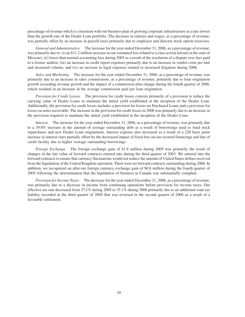percentage of revenue which is consistent with our business plan of growing corporate infrastructure at a rate slower than the growth rate of the Dealer Loan portfolio. The decrease in salaries and wages, as a percentage of revenue, was partially offset by an increase in payroll taxes primarily due to employee and director stock option exercises.

*General and Administrative.* The increase for the year ended December 31, 2006, as a percentage of revenue, was primarily due to: (i) an \$11.2 million increase in our estimated loss related to a class action lawsuit in the state of Missouri, (ii) lower than normal accounting fees during 2005 as a result of the resolution of a dispute over fees paid to a former auditor, (iii) an increase in credit report expenses primarily due to an increase in vendor costs per unit and increased volume, and (iv) an increase in legal expenses related to increased litigation during 2006.

*Sales and Marketing.* The increase for the year ended December 31, 2006, as a percentage of revenue, was primarily due to an increase in sales commissions, as a percentage of revenue, primarily due to loan origination growth exceeding revenue growth and the impact of a commission plan change during the fourth quarter of 2006, which resulted in an increase in the average commission paid per loan origination.

*Provision for Credit Losses.* The provision for credit losses consists primarily of a provision to reduce the carrying value of Dealer Loans to maintain the initial yield established at the inception of the Dealer Loan. Additionally, the provision for credit losses includes a provision for losses on Purchased Loans and a provision for losses on notes receivable. The increase in the provision for credit losses in 2006 was primarily due to an increase in the provision required to maintain the initial yield established at the inception of the Dealer Loan.

*Interest.* The increase for the year ended December 31, 2006, as a percentage of revenue, was primarily due to a 39.0% increase in the amount of average outstanding debt as a result of borrowings used to fund stock repurchases and new Dealer Loan originations. Interest expense also increased as a result of a 220 basis point increase in interest rates partially offset by the decreased impact of fixed fees on our secured financings and line of credit facility due to higher average outstanding borrowings.

*Foreign Exchange.* The foreign exchange gain of \$1.8 million during 2005 was primarily the result of changes in the fair value of forward contracts entered into during the third quarter of 2003. We entered into the forward contracts to ensure that currency fluctuations would not reduce the amount of United States dollars received from the liquidation of the United Kingdom operation. There were no forward contracts outstanding during 2006. In addition, we recognized an after-tax foreign currency exchange gain of \$0.8 million during the fourth quarter of 2005 following the determination that the liquidation of business in Canada was substantially complete.

*Provision for Income Taxes.* The decrease for the year ended December 31, 2006, as a percentage of revenue, was primarily due to a decrease in income from continuing operations before provision for income taxes. Our effective tax rate decreased from 37.1% during 2005 to 35.1% during 2006 primarily due to an additional state tax liability recorded in the third quarter of 2005 that was reversed in the second quarter of 2006 as a result of a favorable settlement.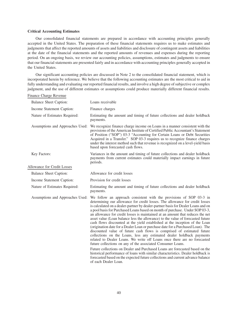#### **Critical Accounting Estimates**

Our consolidated financial statements are prepared in accordance with accounting principles generally accepted in the United States. The preparation of these financial statements requires us to make estimates and judgments that affect the reported amounts of assets and liabilities and disclosure of contingent assets and liabilities at the date of the financial statements and the reported amounts of revenues and expenses during the reporting period. On an ongoing basis, we review our accounting policies, assumptions, estimates and judgments to ensure that our financial statements are presented fairly and in accordance with accounting principles generally accepted in the United States.

Our significant accounting policies are discussed in Note 2 to the consolidated financial statement, which is incorporated herein by reference. We believe that the following accounting estimates are the most critical to aid in fully understanding and evaluating our reported financial results, and involve a high degree of subjective or complex judgment, and the use of different estimates or assumptions could produce materially different financial results.

### Finance Charge Revenue

| <b>Balance Sheet Caption:</b>    | Loans receivable                                                                                                                                                                                                                                                                                                                                                                                                                                                                                                                                                                                                                                                                                                                                                                                                                                                                                                                                                                                                                                                                                                                                                                                                                             |
|----------------------------------|----------------------------------------------------------------------------------------------------------------------------------------------------------------------------------------------------------------------------------------------------------------------------------------------------------------------------------------------------------------------------------------------------------------------------------------------------------------------------------------------------------------------------------------------------------------------------------------------------------------------------------------------------------------------------------------------------------------------------------------------------------------------------------------------------------------------------------------------------------------------------------------------------------------------------------------------------------------------------------------------------------------------------------------------------------------------------------------------------------------------------------------------------------------------------------------------------------------------------------------------|
| Income Statement Caption:        | Finance charges                                                                                                                                                                                                                                                                                                                                                                                                                                                                                                                                                                                                                                                                                                                                                                                                                                                                                                                                                                                                                                                                                                                                                                                                                              |
| Nature of Estimates Required:    | Estimating the amount and timing of future collections and dealer holdback<br>payments.                                                                                                                                                                                                                                                                                                                                                                                                                                                                                                                                                                                                                                                                                                                                                                                                                                                                                                                                                                                                                                                                                                                                                      |
| Assumptions and Approaches Used: | We recognize finance charge income on Loans in a manner consistent with the<br>provisions of the American Institute of Certified Public Accountant's Statement<br>of Position ("SOP") 03-3 "Accounting for Certain Loans or Debt Securities<br>Acquired in a Transfer." SOP 03-3 requires us to recognize finance charges<br>under the interest method such that revenue is recognized on a level-yield basis<br>based upon forecasted cash flows.                                                                                                                                                                                                                                                                                                                                                                                                                                                                                                                                                                                                                                                                                                                                                                                           |
| Key Factors:                     | Variances in the amount and timing of future collections and dealer holdback<br>payments from current estimates could materially impact earnings in future<br>periods.                                                                                                                                                                                                                                                                                                                                                                                                                                                                                                                                                                                                                                                                                                                                                                                                                                                                                                                                                                                                                                                                       |
| Allowance for Credit Losses      |                                                                                                                                                                                                                                                                                                                                                                                                                                                                                                                                                                                                                                                                                                                                                                                                                                                                                                                                                                                                                                                                                                                                                                                                                                              |
| <b>Balance Sheet Caption:</b>    | Allowance for credit losses                                                                                                                                                                                                                                                                                                                                                                                                                                                                                                                                                                                                                                                                                                                                                                                                                                                                                                                                                                                                                                                                                                                                                                                                                  |
| Income Statement Caption:        | Provision for credit losses                                                                                                                                                                                                                                                                                                                                                                                                                                                                                                                                                                                                                                                                                                                                                                                                                                                                                                                                                                                                                                                                                                                                                                                                                  |
| Nature of Estimates Required:    | Estimating the amount and timing of future collections and dealer holdback<br>payments.                                                                                                                                                                                                                                                                                                                                                                                                                                                                                                                                                                                                                                                                                                                                                                                                                                                                                                                                                                                                                                                                                                                                                      |
| Assumptions and Approaches Used: | We follow an approach consistent with the provisions of SOP 03-3 in<br>determining our allowance for credit losses. The allowance for credit losses<br>is calculated on a dealer-partner by dealer-partner basis for Dealer Loans and on<br>a pool basis for Purchased Loans based on month of purchase. Under SOP 03-3,<br>an allowance for credit losses is maintained at an amount that reduces the net<br>asset value (Loan balance less the allowance) to the value of forecasted future<br>cash flows discounted at the yield established at the inception of the Loan<br>(origination date for a Dealer Loan or purchase date for a Purchased Loan). The<br>discounted value of future cash flows is comprised of estimated future<br>collections on the Loans, less any estimated dealer holdback payments<br>related to Dealer Loans. We write off Loans once there are no forecasted<br>future collections on any of the associated Consumer Loans.<br>Future collections on Dealer and Purchased Loans are forecasted based on the<br>historical performance of loans with similar characteristics. Dealer holdback is<br>forecasted based on the expected future collections and current advance balance<br>of each Dealer Loan. |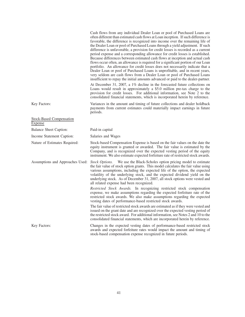|                                     | Cash flows from any individual Dealer Loan or pool of Purchased Loans are<br>often different than estimated cash flows at Loan inception. If such difference is<br>favorable, the difference is recognized into income over the remaining life of<br>the Dealer Loan or pool of Purchased Loans through a yield adjustment. If such<br>difference is unfavorable, a provision for credit losses is recorded as a current<br>period expense and a corresponding allowance for credit losses is established.<br>Because differences between estimated cash flows at inception and actual cash<br>flows occur often, an allowance is required for a significant portion of our Loan<br>portfolio. An allowance for credit losses does not necessarily indicate that a<br>Dealer Loan or pool of Purchased Loans is unprofitable, and in recent years,<br>very seldom are cash flows from a Dealer Loan or pool of Purchased Loans<br>insufficient to repay the initial amounts advanced or paid to the dealer-partner.<br>At December 31, 2007, a 1% decline in the forecasted future collections on<br>Loans would result in approximately a \$5.0 million pre-tax charge to the<br>provision for credit losses. For additional information, see Note 2 to the<br>consolidated financial statements, which is incorporated herein by reference. |
|-------------------------------------|-----------------------------------------------------------------------------------------------------------------------------------------------------------------------------------------------------------------------------------------------------------------------------------------------------------------------------------------------------------------------------------------------------------------------------------------------------------------------------------------------------------------------------------------------------------------------------------------------------------------------------------------------------------------------------------------------------------------------------------------------------------------------------------------------------------------------------------------------------------------------------------------------------------------------------------------------------------------------------------------------------------------------------------------------------------------------------------------------------------------------------------------------------------------------------------------------------------------------------------------------------------------------------------------------------------------------------------------------|
| Key Factors:                        | Variances in the amount and timing of future collections and dealer holdback<br>payments from current estimates could materially impact earnings in future<br>periods.                                                                                                                                                                                                                                                                                                                                                                                                                                                                                                                                                                                                                                                                                                                                                                                                                                                                                                                                                                                                                                                                                                                                                                        |
| Stock-Based Compensation<br>Expense |                                                                                                                                                                                                                                                                                                                                                                                                                                                                                                                                                                                                                                                                                                                                                                                                                                                                                                                                                                                                                                                                                                                                                                                                                                                                                                                                               |
| <b>Balance Sheet Caption:</b>       | Paid-in capital                                                                                                                                                                                                                                                                                                                                                                                                                                                                                                                                                                                                                                                                                                                                                                                                                                                                                                                                                                                                                                                                                                                                                                                                                                                                                                                               |
| Income Statement Caption:           | Salaries and Wages                                                                                                                                                                                                                                                                                                                                                                                                                                                                                                                                                                                                                                                                                                                                                                                                                                                                                                                                                                                                                                                                                                                                                                                                                                                                                                                            |
| Nature of Estimates Required:       | Stock-based Compensation Expense is based on the fair values on the date the<br>equity instrument is granted or awarded. The fair value is estimated by the<br>Company, and is recognized over the expected vesting period of the equity<br>instrument. We also estimate expected forfeiture rate of restricted stock awards.                                                                                                                                                                                                                                                                                                                                                                                                                                                                                                                                                                                                                                                                                                                                                                                                                                                                                                                                                                                                                 |
| Assumptions and Approaches Used:    | We use the Black-Scholes option pricing model to estimate<br><i>Stock Options.</i><br>the fair value of stock option grants. This model calculates the fair value using<br>various assumptions, including the expected life of the option, the expected<br>volatility of the underlying stock, and the expected dividend yield on the<br>underlying stock. As of December 31, 2007, all stock options were vested and<br>all related expense had been recognized.                                                                                                                                                                                                                                                                                                                                                                                                                                                                                                                                                                                                                                                                                                                                                                                                                                                                             |
|                                     | Restricted Stock Awards. In recognizing restricted stock compensation<br>expense, we make assumptions regarding the expected forfeiture rate of the<br>restricted stock awards. We also make assumptions regarding the expected<br>vesting dates of performance-based restricted stock awards.                                                                                                                                                                                                                                                                                                                                                                                                                                                                                                                                                                                                                                                                                                                                                                                                                                                                                                                                                                                                                                                |
|                                     | The fair value of restricted stock awards are estimated as if they were vested and<br>issued on the grant date and are recognized over the expected vesting period of<br>the restricted stock award. For additional information, see Notes 2 and 10 to the<br>consolidated financial statements, which are incorporated herein by reference.                                                                                                                                                                                                                                                                                                                                                                                                                                                                                                                                                                                                                                                                                                                                                                                                                                                                                                                                                                                                  |
| Key Factors:                        | Changes in the expected vesting dates of performance-based restricted stock<br>awards and expected forfeiture rates would impact the amount and timing of<br>stock-based compensation expense recognized in future periods.                                                                                                                                                                                                                                                                                                                                                                                                                                                                                                                                                                                                                                                                                                                                                                                                                                                                                                                                                                                                                                                                                                                   |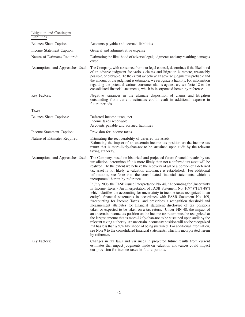| Litigation and Contingent<br>Liabilities |                                                                                                                                                                                                                                                                                                                                                                                                                                                                                                                                                                                                                                                                                                                                                                                                                                                                                                                                                                                                                                  |
|------------------------------------------|----------------------------------------------------------------------------------------------------------------------------------------------------------------------------------------------------------------------------------------------------------------------------------------------------------------------------------------------------------------------------------------------------------------------------------------------------------------------------------------------------------------------------------------------------------------------------------------------------------------------------------------------------------------------------------------------------------------------------------------------------------------------------------------------------------------------------------------------------------------------------------------------------------------------------------------------------------------------------------------------------------------------------------|
| <b>Balance Sheet Caption:</b>            | Accounts payable and accrued liabilities                                                                                                                                                                                                                                                                                                                                                                                                                                                                                                                                                                                                                                                                                                                                                                                                                                                                                                                                                                                         |
| Income Statement Caption:                | General and administrative expense                                                                                                                                                                                                                                                                                                                                                                                                                                                                                                                                                                                                                                                                                                                                                                                                                                                                                                                                                                                               |
| Nature of Estimates Required:            | Estimating the likelihood of adverse legal judgments and any resulting damages<br>owed.                                                                                                                                                                                                                                                                                                                                                                                                                                                                                                                                                                                                                                                                                                                                                                                                                                                                                                                                          |
| Assumptions and Approaches Used:         | The Company, with assistance from our legal counsel, determines if the likelihood<br>of an adverse judgment for various claims and litigation is remote, reasonably<br>possible, or probable. To the extent we believe an adverse judgment is probable and<br>the amount of the judgment is estimable, we recognize a liability. For information<br>regarding the potential various consumer claims against us, see Note 12 to the<br>consolidated financial statements, which is incorporated herein by reference.                                                                                                                                                                                                                                                                                                                                                                                                                                                                                                              |
| Key Factors:                             | Negative variances in the ultimate disposition of claims and litigation<br>outstanding from current estimates could result in additional expense in<br>future periods.                                                                                                                                                                                                                                                                                                                                                                                                                                                                                                                                                                                                                                                                                                                                                                                                                                                           |
| <b>Taxes</b>                             |                                                                                                                                                                                                                                                                                                                                                                                                                                                                                                                                                                                                                                                                                                                                                                                                                                                                                                                                                                                                                                  |
| <b>Balance Sheet Captions:</b>           | Deferred income taxes, net<br>Income taxes receivable<br>Accounts payable and accrued liabilities                                                                                                                                                                                                                                                                                                                                                                                                                                                                                                                                                                                                                                                                                                                                                                                                                                                                                                                                |
| Income Statement Caption:                | Provision for income taxes                                                                                                                                                                                                                                                                                                                                                                                                                                                                                                                                                                                                                                                                                                                                                                                                                                                                                                                                                                                                       |
| Nature of Estimates Required:            | Estimating the recoverability of deferred tax assets.<br>Estimating the impact of an uncertain income tax position on the income tax<br>return that is more-likely-than-not to be sustained upon audit by the relevant<br>taxing authority.                                                                                                                                                                                                                                                                                                                                                                                                                                                                                                                                                                                                                                                                                                                                                                                      |
| Assumptions and Approaches Used:         | The Company, based on historical and projected future financial results by tax<br>jurisdiction, determines if it is more likely than not a deferred tax asset will be<br>realized. To the extent we believe the recovery of all or a portion of a deferred<br>tax asset is not likely, a valuation allowance is established. For additional<br>information, see Note 9 to the consolidated financial statements, which is<br>incorporated herein by reference.                                                                                                                                                                                                                                                                                                                                                                                                                                                                                                                                                                   |
|                                          | In July 2006, the FASB issued Interpretation No. 48, "Accounting for Uncertainty<br>in Income Taxes - An Interpretation of FASB Statement No. 109" ("FIN 48")<br>which clarifies the accounting for uncertainty in income taxes recognized in an<br>entity's financial statements in accordance with FASB Statement No. 109,<br>"Accounting for Income Taxes" and prescribes a recognition threshold and<br>measurement attributes for financial statement disclosure of tax positions<br>taken or expected to be taken on a tax return. Under FIN 48, the impact of<br>an uncertain income tax position on the income tax return must be recognized at<br>the largest amount that is more-likely-than-not to be sustained upon audit by the<br>relevant taxing authority. An uncertain income tax position will not be recognized<br>if it has less than a 50% likelihood of being sustained. For additional information,<br>see Note 9 to the consolidated financial statements, which is incorporated herein<br>by reference. |
| Key Factors:                             | Changes in tax laws and variances in projected future results from current<br>estimates that impact judgments made on valuation allowances could impact<br>our provision for income taxes in future periods.                                                                                                                                                                                                                                                                                                                                                                                                                                                                                                                                                                                                                                                                                                                                                                                                                     |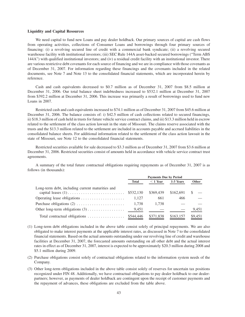### **Liquidity and Capital Resources**

We need capital to fund new Loans and pay dealer holdback. Our primary sources of capital are cash flows from operating activities, collections of Consumer Loans and borrowings through four primary sources of financing: (i) a revolving secured line of credit with a commercial bank syndicate; (ii) a revolving secured warehouse facility with institutional investors; (iii) SEC Rule 144A asset-backed secured borrowings ("Term ABS 144A") with qualified institutional investors; and (iv) a residual credit facility with an institutional investor. There are various restrictive debt covenants for each source of financing and we are in compliance with those covenants as of December 31, 2007. For information regarding these financings and the covenants included in the related documents, see Note 7 and Note 13 to the consolidated financial statements, which are incorporated herein by reference.

Cash and cash equivalents decreased to \$0.7 million as of December 31, 2007 from \$8.5 million at December 31, 2006. Our total balance sheet indebtedness increased to \$532.1 million at December 31, 2007 from \$392.2 million at December 31, 2006. This increase was primarily a result of borrowings used to fund new Loans in 2007.

Restricted cash and cash equivalents increased to \$74.1 million as of December 31, 2007 from \$45.6 million at December 31, 2006. The balance consists of: i) \$42.5 million of cash collections related to secured financings, ii) \$18.3 million of cash held in trusts for future vehicle service contract claims, and iii) \$13.3 million held in escrow related to the settlement of the class action lawsuit in the state of Missouri. The claims reserve associated with the trusts and the \$13.3 million related to the settlement are included in accounts payable and accrued liabilities in the consolidated balance sheets. For additional information related to the settlement of the class action lawsuit in the state of Missouri, see Note 12 to the consolidated financial statements.

Restricted securities available for sale decreased to \$3.3 million as of December 31, 2007 from \$3.6 million at December 31, 2006. Restricted securities consist of amounts held in accordance with vehicle service contract trust agreements.

A summary of the total future contractual obligations requiring repayments as of December 31, 2007 is as follows (in thousands):

|                                                                         | <b>Payments Due by Period</b> |            |           |         |  |  |
|-------------------------------------------------------------------------|-------------------------------|------------|-----------|---------|--|--|
|                                                                         | <b>Total</b>                  | $<$ 1 Year | 1-3 Years | Other   |  |  |
| Long-term debt, including current maturities and                        |                               |            |           |         |  |  |
|                                                                         |                               | \$369.439  | \$162,691 |         |  |  |
|                                                                         | 1,127                         | 661        | 466       |         |  |  |
|                                                                         | 1,738                         | 1.738      |           |         |  |  |
| Other long-term obligations $(3)$                                       | 9,451                         |            |           | 9,451   |  |  |
| Total contractual obligations $\dots \dots \dots \dots \dots$ \$544,446 |                               | \$371,838  | \$163,157 | \$9,451 |  |  |

- (1) Long-term debt obligations included in the above table consist solely of principal repayments. We are also obligated to make interest payments at the applicable interest rates, as discussed in Note 7 to the consolidated financial statements. Based on the actual amounts outstanding under our revolving line of credit and warehouse facilities at December 31, 2007, the forecasted amounts outstanding on all other debt and the actual interest rates in effect as of December 31, 2007, interest is expected to be approximately \$20.3 million during 2008 and \$5.1 million during 2009.
- (2) Purchase obligations consist solely of contractual obligations related to the information system needs of the Company.
- (3) Other long-term obligations included in the above table consist solely of reserves for uncertain tax positions recognized under FIN 48. Additionally, we have contractual obligations to pay dealer holdback to our dealerpartners; however, as payments of dealer holdback are contingent upon the receipt of customer payments and the repayment of advances, these obligations are excluded from the table above.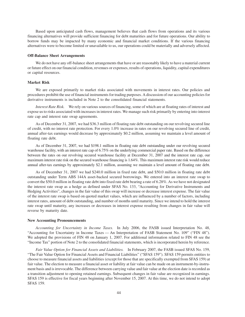Based upon anticipated cash flows, management believes that cash flows from operations and its various financing alternatives will provide sufficient financing for debt maturities and for future operations. Our ability to borrow funds may be impacted by many economic and financial market conditions. If the various financing alternatives were to become limited or unavailable to us, our operations could be materially and adversely affected.

#### **Off-Balance Sheet Arrangements**

We do not have any off-balance sheet arrangements that have or are reasonably likely to have a material current or future effect on our financial condition, revenues or expenses, results of operations, liquidity, capital expenditures or capital resources.

### **Market Risk**

We are exposed primarily to market risks associated with movements in interest rates. Our policies and procedures prohibit the use of financial instruments for trading purposes. A discussion of our accounting policies for derivative instruments is included in Note 2 to the consolidated financial statements.

*Interest Rate Risk.* We rely on various sources of financing, some of which are at floating rates of interest and expose us to risks associated with increases in interest rates. We manage such risk primarily by entering into interest rate cap and interest rate swap agreements.

As of December 31, 2007, we had \$36.3 million of floating rate debt outstanding on our revolving secured line of credit, with no interest rate protection. For every 1.0% increase in rates on our revolving secured line of credit, annual after-tax earnings would decrease by approximately \$0.2 million, assuming we maintain a level amount of floating rate debt.

As of December 31, 2007, we had \$198.1 million in floating rate debt outstanding under our revolving secured warehouse facility, with an interest rate cap of 6.75% on the underlying commercial paper rate. Based on the difference between the rates on our revolving secured warehouse facility at December 31, 2007 and the interest rate cap, our maximum interest rate risk on the secured warehouse financing is 1.64%. This maximum interest rate risk would reduce annual after-tax earnings by approximately \$2.1 million, assuming we maintain a level amount of floating rate debt.

As of December 31, 2007 we had \$240.0 million in fixed rate debt, and \$50.0 million in floating rate debt outstanding under Term ABS 144A asset-backed secured borrowings. We entered into an interest rate swap to convert the \$50.0 million in floating rate debt into fixed rate debt bearing a rate of 6.28%. As we have not designated the interest rate swap as a hedge as defined under SFAS No. 133, "Accounting for Derivative Instruments and Hedging Activities", changes in the fair value of this swap will increase or decrease interest expense. The fair value of the interest rate swap is based on quoted market values, which are influenced by a number of factors, including interest rates, amount of debt outstanding, and number of months until maturity. Since we intend to hold the interest rate swap until maturity, any increases or decreases in interest expense resulting from changes in fair value will reverse by maturity date.

#### **New Accounting Pronouncements**

*Accounting for Uncertainty in Income Taxes.* In July 2006, the FASB issued Interpretation No. 48, "Accounting for Uncertainty in Income Taxes — An Interpretation of FASB Statement No. 109" ("FIN 48"). We adopted the provisions of FIN 48 on January 1, 2007. For additional information related to FIN 48 see the "Income Tax" portion of Note 2 to the consolidated financial statements, which is incorporated herein by reference.

*Fair Value Option for Financial Assets and Liabilities.* In February 2007, the FASB issued SFAS No. 159, "The Fair Value Option for Financial Assets and Financial Liabilities" ("SFAS 159"). SFAS 159 permits entities to choose to measure financial assets and liabilities (except for those that are specifically exempted from SFAS 159) at fair value. The election to measure a financial asset or liability at fair value can be made on an instrument-by-instrument basis and is irrevocable. The difference between carrying value and fair value at the election date is recorded as a transition adjustment to opening retained earnings. Subsequent changes in fair value are recognized in earnings. SFAS 159 is effective for fiscal years beginning after November 15, 2007. At this time, we do not intend to adopt SFAS 159.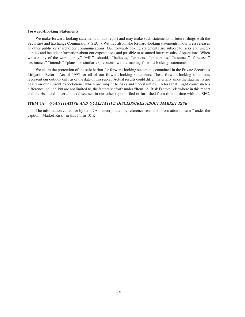#### **Forward-Looking Statements**

We make forward-looking statements in this report and may make such statements in future filings with the Securities and Exchange Commission ("SEC"). We may also make forward-looking statements in our press releases or other public or shareholder communications. Our forward-looking statements are subject to risks and uncertainties and include information about our expectations and possible or assumed future results of operations. When we use any of the words "may," "will," "should," "believes," "expects," "anticipates," "assumes," "forecasts," "estimates," "intends," "plans" or similar expressions, we are making forward-looking statements.

We claim the protection of the safe harbor for forward-looking statements contained in the Private Securities Litigation Reform Act of 1995 for all of our forward-looking statements. These forward-looking statements represent our outlook only as of the date of this report. Actual results could differ materially since the statements are based on our current expectations, which are subject to risks and uncertainties. Factors that might cause such a difference include, but are not limited to, the factors set forth under "Item 1A. Risk Factors" elsewhere in this report and the risks and uncertainties discussed in our other reports filed or furnished from time to time with the SEC.

# **ITEM 7A.** *QUANTITATIVE AND QUALITATIVE DISCLOSURES ABOUT MARKET RISK*

The information called for by Item 7A is incorporated by reference from the information in Item 7 under the caption "Market Risk" in this Form 10-K.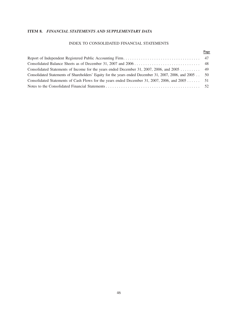# **ITEM 8.** *FINANCIAL STATEMENTS AND SUPPLEMENTARY DATA*

### INDEX TO CONSOLIDATED FINANCIAL STATEMENTS

**Page**

# Report of Independent Registered Public Accounting Firm. . . . . . . . . . . . . . . . . . . . . . . . . . . . . . . . . . . 47 Consolidated Balance Sheets as of December 31, 2007 and 2006 . . . . . . . . . . . . . . . . . . . . . . . . . . . . . . 48 Consolidated Statements of Income for the years ended December 31, 2007, 2006, and 2005 . . . . . . . . . 49 Consolidated Statements of Shareholders' Equity for the years ended December 31, 2007, 2006, and 2005 . . 50 Consolidated Statements of Cash Flows for the years ended December 31, 2007, 2006, and 2005 . . . . . . 51 Notes to the Consolidated Financial Statements . . . . . . . . . . . . . . . . . . . . . . . . . . . . . . . . . . . . . . . . . . . 52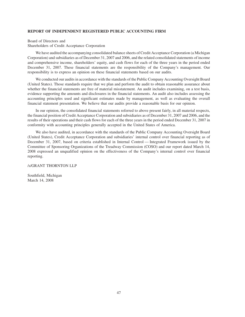# **REPORT OF INDEPENDENT REGISTERED PUBLIC ACCOUNTING FIRM**

### Board of Directors and Shareholders of Credit Acceptance Corporation

We have audited the accompanying consolidated balance sheets of Credit Acceptance Corporation (a Michigan Corporation) and subsidiaries as of December 31, 2007 and 2006, and the related consolidated statements of income and comprehensive income, shareholders' equity, and cash flows for each of the three years in the period ended December 31, 2007. These financial statements are the responsibility of the Company's management. Our responsibility is to express an opinion on these financial statements based on our audits.

We conducted our audits in accordance with the standards of the Public Company Accounting Oversight Board (United States). Those standards require that we plan and perform the audit to obtain reasonable assurance about whether the financial statements are free of material misstatement. An audit includes examining, on a test basis, evidence supporting the amounts and disclosures in the financial statements. An audit also includes assessing the accounting principles used and significant estimates made by management, as well as evaluating the overall financial statement presentation. We believe that our audits provide a reasonable basis for our opinion.

In our opinion, the consolidated financial statements referred to above present fairly, in all material respects, the financial position of Credit Acceptance Corporation and subsidiaries as of December 31, 2007 and 2006, and the results of their operations and their cash flows for each of the three years in the period ended December 31, 2007 in conformity with accounting principles generally accepted in the United States of America.

We also have audited, in accordance with the standards of the Public Company Accounting Oversight Board (United States), Credit Acceptance Corporation and subsidiaries' internal control over financial reporting as of December 31, 2007, based on criteria established in Internal Control — Integrated Framework issued by the Committee of Sponsoring Organizations of the Treadway Commission (COSO) and our report dated March 14, 2008 expressed an unqualified opinion on the effectiveness of the Company's internal control over financial reporting.

#### /s/GRANT THORNTON LLP

Southfield, Michigan March 14, 2008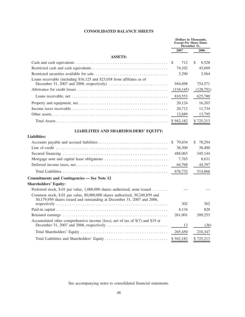# **CONSOLIDATED BALANCE SHEETS**

|                                                                                                                                                                              | (Dollars in Thousands,<br><b>Except Per Share Data)</b><br>December 31, |              |  |
|------------------------------------------------------------------------------------------------------------------------------------------------------------------------------|-------------------------------------------------------------------------|--------------|--|
|                                                                                                                                                                              | 2007                                                                    | 2006         |  |
| <b>ASSETS:</b>                                                                                                                                                               |                                                                         |              |  |
|                                                                                                                                                                              | 712<br>\$.                                                              | \$<br>8,528  |  |
|                                                                                                                                                                              | 74.102                                                                  | 45,609       |  |
|                                                                                                                                                                              | 3,290                                                                   | 3,564        |  |
| Loans receivable (including \$16,125 and \$23,038 from affiliates as of<br>December 31, 2007 and 2006, respectively) $\dots \dots \dots \dots \dots \dots \dots \dots \dots$ | 944,698                                                                 | 754,571      |  |
|                                                                                                                                                                              | (134, 145)                                                              | (128,791)    |  |
|                                                                                                                                                                              | 810,553                                                                 | 625,780      |  |
|                                                                                                                                                                              | 20,124                                                                  | 16,203       |  |
|                                                                                                                                                                              | 20,712                                                                  | 11,734       |  |
|                                                                                                                                                                              | 12,689                                                                  | 13,795       |  |
|                                                                                                                                                                              | \$942,182                                                               | \$725,213    |  |
| <b>LIABILITIES AND SHAREHOLDERS' EQUITY:</b>                                                                                                                                 |                                                                         |              |  |
| <b>Liabilities:</b>                                                                                                                                                          |                                                                         |              |  |
|                                                                                                                                                                              | 79,834<br>S.                                                            | 78,294<br>S. |  |
|                                                                                                                                                                              | 36,300                                                                  | 38,400       |  |
|                                                                                                                                                                              | 488,065                                                                 | 345,144      |  |
|                                                                                                                                                                              | 7,765                                                                   | 8,631        |  |
|                                                                                                                                                                              | 64,768                                                                  | 44,397       |  |
|                                                                                                                                                                              | 676,732                                                                 | 514,866      |  |
| <b>Commitments and Contingencies — See Note 12</b>                                                                                                                           |                                                                         |              |  |
| <b>Shareholders' Equity:</b>                                                                                                                                                 |                                                                         |              |  |
| Preferred stock, \$.01 par value, 1,000,000 shares authorized, none issued                                                                                                   |                                                                         |              |  |
| Common stock, \$.01 par value, 80,000,000 shares authorized, 30,240,859 and<br>30,179,959 shares issued and outstanding at December 31, 2007 and 2006,                       |                                                                         |              |  |
|                                                                                                                                                                              | 302                                                                     | 302          |  |
|                                                                                                                                                                              | 4,134                                                                   | 828          |  |
|                                                                                                                                                                              | 261,001                                                                 | 209,253      |  |
| Accumulated other comprehensive income (loss), net of tax of \$(7) and \$19 at                                                                                               | 13                                                                      | (36)         |  |
|                                                                                                                                                                              | 265,450                                                                 | 210,347      |  |
|                                                                                                                                                                              | \$942,182                                                               | \$ 725,213   |  |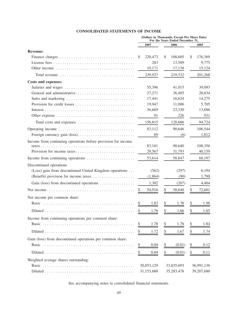# **CONSOLIDATED STATEMENTS OF INCOME**

| 2007<br>2006<br>2005<br>Revenue:<br>\$<br>188,605<br>220,473<br>S<br>176,369<br>S<br>283<br>13,589<br>9,775<br>19,171<br>17,138<br>15,124<br>239,927<br>219,332<br>201,268<br>Costs and expenses:<br>55,396<br>39,093<br>Salaries and wages<br>41,015<br>General and administrative<br>27,271<br>36,485<br>20,834<br>17,441<br>16,624<br>14,275<br>Sales and marketing<br>11,006<br>Provision for credit losses<br>19,947<br>5,705<br>36,669<br>23,330<br>13,886<br>91<br>226<br>931<br>Other expense $\dots \dots \dots \dots \dots \dots \dots \dots \dots \dots \dots \dots \dots$<br>156,815<br>128,686<br>94,724<br>Total costs and expenses<br>90,646<br>106,544<br>83,112<br>69<br>1,812<br>(6)<br>Income from continuing operations before provision for income<br>90,640<br>83,181<br>108,356<br>29,567<br>31,793<br>40,159<br>68,197<br>53,614<br>58,847<br>Discontinued operations<br>(Loss) gain from discontinued United Kingdom operations<br>(562)<br>(297)<br>6,194<br>(Benefit) provision for income taxes<br>(1,864)<br>(90)<br>1,790<br>Gain (loss) from discontinued operations<br>1,302<br>4,404<br>(207)<br>54,916<br>\$<br>58,640<br>72,601<br>S<br>S,<br>Net income per common share:<br>1.83<br>\$<br>1.78<br>1.96<br>S<br>S<br>1.85<br>1.76<br>1.66<br>Income from continuing operations per common share:<br>1.78<br>1.78<br>1.84<br>S.<br>D.<br>P<br>\$<br>\$<br>$Diluted \dots \dots \dots \dots \dots \dots \dots \dots \dots \dots \dots \dots \dots \dots$<br>\$<br>1.72<br>1.67<br>1.74<br>Gain (loss) from discontinued operations per common share:<br>\$<br>\$<br>0.04<br>(0.01)<br>\$<br>0.12<br>\$<br>\$<br>$Diluted \dots \dots \dots \dots \dots \dots \dots \dots \dots \dots \dots \dots \dots \dots$<br>\$<br>0.11<br>0.04<br>(0.01)<br>Weighted average shares outstanding: | (Dollars in Thousands, Except Per Share Data)<br>For the Years Ended December 31, |  |  |  |  |
|-------------------------------------------------------------------------------------------------------------------------------------------------------------------------------------------------------------------------------------------------------------------------------------------------------------------------------------------------------------------------------------------------------------------------------------------------------------------------------------------------------------------------------------------------------------------------------------------------------------------------------------------------------------------------------------------------------------------------------------------------------------------------------------------------------------------------------------------------------------------------------------------------------------------------------------------------------------------------------------------------------------------------------------------------------------------------------------------------------------------------------------------------------------------------------------------------------------------------------------------------------------------------------------------------------------------------------------------------------------------------------------------------------------------------------------------------------------------------------------------------------------------------------------------------------------------------------------------------------------------------------------------------------------------------------------------------------------------------------------------------------------------------------------------------------------------------|-----------------------------------------------------------------------------------|--|--|--|--|
|                                                                                                                                                                                                                                                                                                                                                                                                                                                                                                                                                                                                                                                                                                                                                                                                                                                                                                                                                                                                                                                                                                                                                                                                                                                                                                                                                                                                                                                                                                                                                                                                                                                                                                                                                                                                                         |                                                                                   |  |  |  |  |
|                                                                                                                                                                                                                                                                                                                                                                                                                                                                                                                                                                                                                                                                                                                                                                                                                                                                                                                                                                                                                                                                                                                                                                                                                                                                                                                                                                                                                                                                                                                                                                                                                                                                                                                                                                                                                         |                                                                                   |  |  |  |  |
|                                                                                                                                                                                                                                                                                                                                                                                                                                                                                                                                                                                                                                                                                                                                                                                                                                                                                                                                                                                                                                                                                                                                                                                                                                                                                                                                                                                                                                                                                                                                                                                                                                                                                                                                                                                                                         |                                                                                   |  |  |  |  |
|                                                                                                                                                                                                                                                                                                                                                                                                                                                                                                                                                                                                                                                                                                                                                                                                                                                                                                                                                                                                                                                                                                                                                                                                                                                                                                                                                                                                                                                                                                                                                                                                                                                                                                                                                                                                                         |                                                                                   |  |  |  |  |
|                                                                                                                                                                                                                                                                                                                                                                                                                                                                                                                                                                                                                                                                                                                                                                                                                                                                                                                                                                                                                                                                                                                                                                                                                                                                                                                                                                                                                                                                                                                                                                                                                                                                                                                                                                                                                         |                                                                                   |  |  |  |  |
|                                                                                                                                                                                                                                                                                                                                                                                                                                                                                                                                                                                                                                                                                                                                                                                                                                                                                                                                                                                                                                                                                                                                                                                                                                                                                                                                                                                                                                                                                                                                                                                                                                                                                                                                                                                                                         |                                                                                   |  |  |  |  |
|                                                                                                                                                                                                                                                                                                                                                                                                                                                                                                                                                                                                                                                                                                                                                                                                                                                                                                                                                                                                                                                                                                                                                                                                                                                                                                                                                                                                                                                                                                                                                                                                                                                                                                                                                                                                                         |                                                                                   |  |  |  |  |
|                                                                                                                                                                                                                                                                                                                                                                                                                                                                                                                                                                                                                                                                                                                                                                                                                                                                                                                                                                                                                                                                                                                                                                                                                                                                                                                                                                                                                                                                                                                                                                                                                                                                                                                                                                                                                         |                                                                                   |  |  |  |  |
|                                                                                                                                                                                                                                                                                                                                                                                                                                                                                                                                                                                                                                                                                                                                                                                                                                                                                                                                                                                                                                                                                                                                                                                                                                                                                                                                                                                                                                                                                                                                                                                                                                                                                                                                                                                                                         |                                                                                   |  |  |  |  |
|                                                                                                                                                                                                                                                                                                                                                                                                                                                                                                                                                                                                                                                                                                                                                                                                                                                                                                                                                                                                                                                                                                                                                                                                                                                                                                                                                                                                                                                                                                                                                                                                                                                                                                                                                                                                                         |                                                                                   |  |  |  |  |
|                                                                                                                                                                                                                                                                                                                                                                                                                                                                                                                                                                                                                                                                                                                                                                                                                                                                                                                                                                                                                                                                                                                                                                                                                                                                                                                                                                                                                                                                                                                                                                                                                                                                                                                                                                                                                         |                                                                                   |  |  |  |  |
|                                                                                                                                                                                                                                                                                                                                                                                                                                                                                                                                                                                                                                                                                                                                                                                                                                                                                                                                                                                                                                                                                                                                                                                                                                                                                                                                                                                                                                                                                                                                                                                                                                                                                                                                                                                                                         |                                                                                   |  |  |  |  |
|                                                                                                                                                                                                                                                                                                                                                                                                                                                                                                                                                                                                                                                                                                                                                                                                                                                                                                                                                                                                                                                                                                                                                                                                                                                                                                                                                                                                                                                                                                                                                                                                                                                                                                                                                                                                                         |                                                                                   |  |  |  |  |
|                                                                                                                                                                                                                                                                                                                                                                                                                                                                                                                                                                                                                                                                                                                                                                                                                                                                                                                                                                                                                                                                                                                                                                                                                                                                                                                                                                                                                                                                                                                                                                                                                                                                                                                                                                                                                         |                                                                                   |  |  |  |  |
|                                                                                                                                                                                                                                                                                                                                                                                                                                                                                                                                                                                                                                                                                                                                                                                                                                                                                                                                                                                                                                                                                                                                                                                                                                                                                                                                                                                                                                                                                                                                                                                                                                                                                                                                                                                                                         |                                                                                   |  |  |  |  |
|                                                                                                                                                                                                                                                                                                                                                                                                                                                                                                                                                                                                                                                                                                                                                                                                                                                                                                                                                                                                                                                                                                                                                                                                                                                                                                                                                                                                                                                                                                                                                                                                                                                                                                                                                                                                                         |                                                                                   |  |  |  |  |
|                                                                                                                                                                                                                                                                                                                                                                                                                                                                                                                                                                                                                                                                                                                                                                                                                                                                                                                                                                                                                                                                                                                                                                                                                                                                                                                                                                                                                                                                                                                                                                                                                                                                                                                                                                                                                         |                                                                                   |  |  |  |  |
|                                                                                                                                                                                                                                                                                                                                                                                                                                                                                                                                                                                                                                                                                                                                                                                                                                                                                                                                                                                                                                                                                                                                                                                                                                                                                                                                                                                                                                                                                                                                                                                                                                                                                                                                                                                                                         |                                                                                   |  |  |  |  |
|                                                                                                                                                                                                                                                                                                                                                                                                                                                                                                                                                                                                                                                                                                                                                                                                                                                                                                                                                                                                                                                                                                                                                                                                                                                                                                                                                                                                                                                                                                                                                                                                                                                                                                                                                                                                                         |                                                                                   |  |  |  |  |
|                                                                                                                                                                                                                                                                                                                                                                                                                                                                                                                                                                                                                                                                                                                                                                                                                                                                                                                                                                                                                                                                                                                                                                                                                                                                                                                                                                                                                                                                                                                                                                                                                                                                                                                                                                                                                         |                                                                                   |  |  |  |  |
|                                                                                                                                                                                                                                                                                                                                                                                                                                                                                                                                                                                                                                                                                                                                                                                                                                                                                                                                                                                                                                                                                                                                                                                                                                                                                                                                                                                                                                                                                                                                                                                                                                                                                                                                                                                                                         |                                                                                   |  |  |  |  |
|                                                                                                                                                                                                                                                                                                                                                                                                                                                                                                                                                                                                                                                                                                                                                                                                                                                                                                                                                                                                                                                                                                                                                                                                                                                                                                                                                                                                                                                                                                                                                                                                                                                                                                                                                                                                                         |                                                                                   |  |  |  |  |
|                                                                                                                                                                                                                                                                                                                                                                                                                                                                                                                                                                                                                                                                                                                                                                                                                                                                                                                                                                                                                                                                                                                                                                                                                                                                                                                                                                                                                                                                                                                                                                                                                                                                                                                                                                                                                         |                                                                                   |  |  |  |  |
|                                                                                                                                                                                                                                                                                                                                                                                                                                                                                                                                                                                                                                                                                                                                                                                                                                                                                                                                                                                                                                                                                                                                                                                                                                                                                                                                                                                                                                                                                                                                                                                                                                                                                                                                                                                                                         |                                                                                   |  |  |  |  |
|                                                                                                                                                                                                                                                                                                                                                                                                                                                                                                                                                                                                                                                                                                                                                                                                                                                                                                                                                                                                                                                                                                                                                                                                                                                                                                                                                                                                                                                                                                                                                                                                                                                                                                                                                                                                                         |                                                                                   |  |  |  |  |
|                                                                                                                                                                                                                                                                                                                                                                                                                                                                                                                                                                                                                                                                                                                                                                                                                                                                                                                                                                                                                                                                                                                                                                                                                                                                                                                                                                                                                                                                                                                                                                                                                                                                                                                                                                                                                         |                                                                                   |  |  |  |  |
|                                                                                                                                                                                                                                                                                                                                                                                                                                                                                                                                                                                                                                                                                                                                                                                                                                                                                                                                                                                                                                                                                                                                                                                                                                                                                                                                                                                                                                                                                                                                                                                                                                                                                                                                                                                                                         |                                                                                   |  |  |  |  |
|                                                                                                                                                                                                                                                                                                                                                                                                                                                                                                                                                                                                                                                                                                                                                                                                                                                                                                                                                                                                                                                                                                                                                                                                                                                                                                                                                                                                                                                                                                                                                                                                                                                                                                                                                                                                                         |                                                                                   |  |  |  |  |
|                                                                                                                                                                                                                                                                                                                                                                                                                                                                                                                                                                                                                                                                                                                                                                                                                                                                                                                                                                                                                                                                                                                                                                                                                                                                                                                                                                                                                                                                                                                                                                                                                                                                                                                                                                                                                         |                                                                                   |  |  |  |  |
|                                                                                                                                                                                                                                                                                                                                                                                                                                                                                                                                                                                                                                                                                                                                                                                                                                                                                                                                                                                                                                                                                                                                                                                                                                                                                                                                                                                                                                                                                                                                                                                                                                                                                                                                                                                                                         |                                                                                   |  |  |  |  |
|                                                                                                                                                                                                                                                                                                                                                                                                                                                                                                                                                                                                                                                                                                                                                                                                                                                                                                                                                                                                                                                                                                                                                                                                                                                                                                                                                                                                                                                                                                                                                                                                                                                                                                                                                                                                                         |                                                                                   |  |  |  |  |
|                                                                                                                                                                                                                                                                                                                                                                                                                                                                                                                                                                                                                                                                                                                                                                                                                                                                                                                                                                                                                                                                                                                                                                                                                                                                                                                                                                                                                                                                                                                                                                                                                                                                                                                                                                                                                         |                                                                                   |  |  |  |  |
|                                                                                                                                                                                                                                                                                                                                                                                                                                                                                                                                                                                                                                                                                                                                                                                                                                                                                                                                                                                                                                                                                                                                                                                                                                                                                                                                                                                                                                                                                                                                                                                                                                                                                                                                                                                                                         |                                                                                   |  |  |  |  |
|                                                                                                                                                                                                                                                                                                                                                                                                                                                                                                                                                                                                                                                                                                                                                                                                                                                                                                                                                                                                                                                                                                                                                                                                                                                                                                                                                                                                                                                                                                                                                                                                                                                                                                                                                                                                                         |                                                                                   |  |  |  |  |
|                                                                                                                                                                                                                                                                                                                                                                                                                                                                                                                                                                                                                                                                                                                                                                                                                                                                                                                                                                                                                                                                                                                                                                                                                                                                                                                                                                                                                                                                                                                                                                                                                                                                                                                                                                                                                         |                                                                                   |  |  |  |  |
| 30,053,129<br>33,035,693<br>36,991,136                                                                                                                                                                                                                                                                                                                                                                                                                                                                                                                                                                                                                                                                                                                                                                                                                                                                                                                                                                                                                                                                                                                                                                                                                                                                                                                                                                                                                                                                                                                                                                                                                                                                                                                                                                                  |                                                                                   |  |  |  |  |
| 31,153,688<br>35,283,478<br>39,207,680<br>$Diluted \dots \dots \dots \dots \dots \dots \dots \dots \dots \dots \dots \dots \dots \dots$                                                                                                                                                                                                                                                                                                                                                                                                                                                                                                                                                                                                                                                                                                                                                                                                                                                                                                                                                                                                                                                                                                                                                                                                                                                                                                                                                                                                                                                                                                                                                                                                                                                                                 |                                                                                   |  |  |  |  |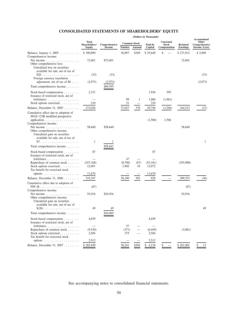|                                                                                                                                                                             |                                         |                                |                  |                                      | (Dollars in Thousands) |                                          |                                    |                                                        |
|-----------------------------------------------------------------------------------------------------------------------------------------------------------------------------|-----------------------------------------|--------------------------------|------------------|--------------------------------------|------------------------|------------------------------------------|------------------------------------|--------------------------------------------------------|
|                                                                                                                                                                             | <b>Total</b><br>Shareholders'<br>Equity | Comprehensive<br><b>Income</b> | Number           | <b>Common Stock</b><br><b>Amount</b> | Paid-In<br>Capital     | <b>Unearned</b><br>Stock<br>Compensation | <b>Retained</b><br><b>Earnings</b> | Accumulated<br>Other<br>Comprehensive<br>Income (Loss) |
| Balance, January $1, 2005$                                                                                                                                                  | \$300,890                               |                                | 36,897           | \$369                                | \$25,640               | \$                                       | \$271,912                          | \$2,969                                                |
| Comprehensive income:<br>Net income $\ldots \ldots \ldots \ldots \ldots$<br>Other comprehensive loss:<br>Unrealized loss on securities<br>available for sale, net of tax of | 72,601                                  | \$72,601                       |                  |                                      |                        |                                          | 72,601                             |                                                        |
| Foreign currency translation                                                                                                                                                | (33)                                    | (33)                           |                  |                                      |                        |                                          |                                    | (33)                                                   |
| adjustment, net of tax of $\$0 \ldots$ .                                                                                                                                    | (2,973)                                 | (2,973)                        |                  |                                      |                        |                                          |                                    | (2,973)                                                |
| Total comprehensive income                                                                                                                                                  |                                         | \$69,595                       |                  |                                      |                        |                                          |                                    |                                                        |
| Stock-based compensation<br>Issuance of restricted stock, net of                                                                                                            | 2,331                                   |                                |                  |                                      | 1,936                  | 395                                      |                                    |                                                        |
| forfeitures<br>Stock options exercised                                                                                                                                      | 210                                     |                                | 99<br>31         | 1                                    | 1,960<br>210           | (1,961)                                  |                                    |                                                        |
| Balance, December 31, 2005                                                                                                                                                  | 373,026                                 |                                | 37,027           | 370                                  | 29,746                 | (1,566)                                  | 344,513                            | (37)                                                   |
| Cumulative affect due to adoption of<br>SFAS 123R modified prospective                                                                                                      |                                         |                                |                  |                                      |                        |                                          |                                    |                                                        |
| application $\ldots \ldots \ldots \ldots \ldots$<br>Comprehensive income:                                                                                                   |                                         |                                |                  |                                      | (1,566)                | 1,566                                    |                                    |                                                        |
| Net income<br>Other comprehensive income:<br>Unrealized gain on securities<br>available for sale, net of tax of                                                             | 58,640                                  | \$58,640                       |                  |                                      |                        |                                          | 58,640                             |                                                        |
| \$3                                                                                                                                                                         | 1                                       |                                |                  |                                      |                        |                                          |                                    | 1                                                      |
| Total comprehensive income                                                                                                                                                  |                                         | \$58,641                       |                  |                                      |                        |                                          |                                    |                                                        |
| Stock-based compensation<br>Issuance of restricted stock, net of<br>forfeitures                                                                                             | 87                                      |                                | 47               |                                      | 87                     |                                          |                                    |                                                        |
| Repurchase of common stock<br>Stock options exercised<br>Tax benefit for exercised stock                                                                                    | (247, 168)<br>12,091                    |                                | (8,796)<br>1,902 | (87)<br>19                           | (53, 181)<br>12,072    |                                          | (193,900)                          |                                                        |
| options $\ldots \ldots \ldots \ldots \ldots$                                                                                                                                | 13,670                                  |                                |                  |                                      | 13,670                 |                                          |                                    |                                                        |
| Balance, December 31, 2006                                                                                                                                                  | 210,347                                 |                                | 30,180           | 302                                  | 828                    |                                          | 209,253                            | (36)                                                   |
| Cumulative affect due to adoption of<br>Comprehensive income:                                                                                                               | (87)                                    |                                |                  |                                      |                        |                                          | (87)                               |                                                        |
| Net income $\ldots$ , $\ldots$ , $\ldots$ , $\ldots$<br>Other comprehensive income:<br>Unrealized gain on securities                                                        | 54,916                                  | \$54,916                       |                  |                                      |                        |                                          | 54,916                             |                                                        |
| available for sale, net of tax of<br>$\S(26)$                                                                                                                               | 49                                      | 49                             |                  |                                      |                        |                                          |                                    | 49                                                     |
| Total comprehensive income                                                                                                                                                  |                                         | \$54,965                       |                  |                                      |                        |                                          |                                    |                                                        |
| Stock-based compensation<br>Issuance of restricted stock, net of                                                                                                            | 4,659                                   |                                |                  |                                      | 4,659                  |                                          |                                    |                                                        |
| forfeitures                                                                                                                                                                 |                                         |                                | 57               |                                      |                        |                                          |                                    |                                                        |
| Repurchase of common stock<br>Stock options exercised $\ldots \ldots \ldots$<br>Tax benefit for exercised stock                                                             | (9,530)<br>2,584                        |                                | (371)<br>375     |                                      | (6, 449)<br>2,584      |                                          | (3,081)                            |                                                        |
| $options \ldots \ldots \ldots \ldots \ldots$                                                                                                                                | 2,512                                   |                                |                  |                                      | 2,512                  |                                          |                                    |                                                        |
| Balance, December 31, 2007                                                                                                                                                  | \$265,450                               |                                | 30,241           | \$302                                | 4,134<br>\$            | \$                                       | \$261,001                          | \$<br>13                                               |

# **CONSOLIDATED STATEMENTS OF SHAREHOLDERS' EQUITY**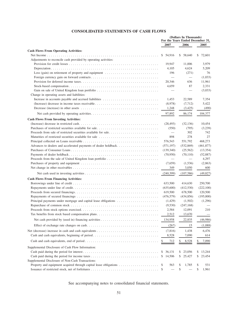# **CONSOLIDATED STATEMENTS OF CASH FLOWS**

|                                                                                                             | (Dollars In Thousands)<br>For the Years Ended December 31, |              |              |
|-------------------------------------------------------------------------------------------------------------|------------------------------------------------------------|--------------|--------------|
|                                                                                                             | 2007                                                       | 2006         | 2005         |
| <b>Cash Flows From Operating Activities:</b>                                                                |                                                            |              |              |
|                                                                                                             | \$54,916                                                   | \$<br>58,640 | \$<br>72,601 |
| Adjustments to reconcile cash provided by operating activities:                                             |                                                            |              |              |
|                                                                                                             | 19,947                                                     | 11,006       | 3,979        |
|                                                                                                             | 4,105                                                      | 4,624        | 5,209        |
| Loss (gain) on retirement of property and equipment $\dots \dots \dots \dots \dots \dots \dots \dots \dots$ | 196                                                        | (271)        | 76           |
|                                                                                                             |                                                            |              | (1,033)      |
|                                                                                                             | 20,346                                                     | 636          | 11,961       |
|                                                                                                             | 4,659                                                      | 87           | 2,331        |
| Gain on sale of United Kingdom loan portfolio                                                               |                                                            |              | (3,033)      |
| Change in operating assets and liabilities:                                                                 |                                                            |              |              |
| Increase in accounts payable and accrued liabilities                                                        | 1,453                                                      | 22,589       | 7,354        |
| (Increase) decrease in income taxes receivable                                                              | (8,978)                                                    | (7, 712)     | 5,422        |
|                                                                                                             | 1,248                                                      | (3, 425)     | (490)        |
|                                                                                                             |                                                            |              |              |
|                                                                                                             | 97,892                                                     | 86,174       | 104,377      |
| <b>Cash Flows From Investing Activities:</b>                                                                |                                                            |              |              |
|                                                                                                             | (28, 493)                                                  | (32, 136)    | 10,454       |
| Purchases of restricted securities available for sale                                                       | (550)                                                      | (795)        | (3,239)      |
| Proceeds from sale of restricted securities available for sale                                              |                                                            | 302          | 742          |
|                                                                                                             | 898                                                        | 278          | 27           |
|                                                                                                             | 576,543                                                    | 551,792      | 468,273      |
| Advances to dealers and accelerated payments of dealer holdback                                             | (571, 197)                                                 | (532, 869)   | (461, 877)   |
|                                                                                                             | (139, 340)                                                 | (25, 562)    | (13, 354)    |
|                                                                                                             | (70,950)                                                   | (70, 110)    | (52, 887)    |
|                                                                                                             |                                                            |              | 4,297        |
|                                                                                                             | (7,659)                                                    | (1,536)      | (2,863)      |
|                                                                                                             | 349                                                        | 3,050        | 600          |
|                                                                                                             |                                                            |              | (49, 827)    |
|                                                                                                             | (240,399)                                                  | (107, 586)   |              |
| <b>Cash Flows From Financing Activities:</b>                                                                |                                                            |              |              |
|                                                                                                             | 633,500                                                    | 414,630      | 250,700      |
|                                                                                                             | (635,600)                                                  | (412, 530)   | (222,100)    |
|                                                                                                             | 619,500                                                    | 678,500      | 120,500      |
|                                                                                                             | (476, 579)                                                 | (434, 856)   | (195,000)    |
|                                                                                                             | (1,429)                                                    | (1,502)      | (1,296)      |
|                                                                                                             | (9,530)                                                    | (247, 168)   |              |
|                                                                                                             | 2,584                                                      | 12,091       | 210          |
| Tax benefits from stock based compensation plans                                                            | 2,512                                                      | 13,670       |              |
|                                                                                                             | 134,958                                                    | 22,835       | (46,986)     |
|                                                                                                             | (267)                                                      | 15           | (1,088)      |
|                                                                                                             | (7,816)                                                    | 1,438        | 6,476        |
| Cash and cash equivalents, beginning of period                                                              | 8,528                                                      | 7,090        | 614          |
|                                                                                                             | 712<br>S,                                                  | 8,528<br>\$  | \$<br>7,090  |
| Supplemental Disclosure of Cash Flow Information:                                                           |                                                            |              |              |
|                                                                                                             | 36,131<br>\$                                               | 23,056<br>\$ | \$<br>13,244 |
|                                                                                                             | \$<br>14,506                                               | 25,427<br>\$ | \$<br>23,454 |
| Supplemental Disclosure of Non-Cash Transactions:                                                           |                                                            |              |              |
| Property and equipment acquired through capital lease obligations                                           | 563<br>-S                                                  | \$<br>1,785  | \$<br>531    |
|                                                                                                             |                                                            | \$           | \$<br>1,961  |
|                                                                                                             |                                                            |              |              |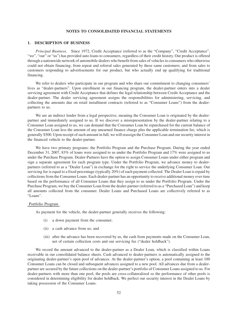### **NOTES TO CONSOLIDATED FINANCIAL STATEMENTS**

### **1. DESCRIPTION OF BUSINESS**

*Principal Business.* Since 1972, Credit Acceptance (referred to as the "Company", "Credit Acceptance", "we", "our" or "us") has provided auto loans to consumers, regardless of their credit history. Our product is offered through a nationwide network of automobile dealers who benefit from sales of vehicles to consumers who otherwise could not obtain financing; from repeat and referral sales generated by these same customers; and from sales to customers responding to advertisements for our product, but who actually end up qualifying for traditional financing.

We refer to dealers who participate in our program and who share our commitment to changing consumers' lives as "dealer-partners". Upon enrollment in our financing program, the dealer-partner enters into a dealer servicing agreement with Credit Acceptance that defines the legal relationship between Credit Acceptance and the dealer-partner. The dealer servicing agreement assigns the responsibilities for administering, servicing, and collecting the amounts due on retail installment contracts (referred to as "Consumer Loans") from the dealerpartners to us.

We are an indirect lender from a legal perspective, meaning the Consumer Loan is originated by the dealerpartner and immediately assigned to us. If we discover a misrepresentation by the dealer-partner relating to a Consumer Loan assigned to us, we can demand that the Consumer Loan be repurchased for the current balance of the Consumer Loan less the amount of any unearned finance charge plus the applicable termination fee, which is generally \$500. Upon receipt of such amount in full, we will reassign the Consumer Loan and our security interest in the financed vehicle to the dealer-partner.

We have two primary programs: the Portfolio Program and the Purchase Program. During the year ended December 31, 2007, 83% of loans were assigned to us under the Portfolio Program and 17% were assigned to us under the Purchase Program. Dealer-Partners have the option to assign Consumer Loans under either program and sign a separate agreement for each program type. Under the Portfolio Program, we advance money to dealerpartners (referred to as a "Dealer Loan") in exchange for the right to service the underlying Consumer Loan. Our servicing fee is equal to a fixed percentage (typically 20%) of each payment collected. The Dealer Loan is repaid by collections from the Consumer Loans. Each dealer-partner has an opportunity to receive additional money over time based on the performance of all Consumer Loans that they assign to us under the Portfolio Program. Under the Purchase Program, we buy the Consumer Loan from the dealer-partner (referred to as a "Purchased Loan") and keep all amounts collected from the consumer. Dealer Loans and Purchased Loans are collectively referred to as "Loans".

### Portfolio Program

As payment for the vehicle, the dealer-partner generally receives the following:

- (i) a down payment from the consumer;
- (ii) a cash advance from us; and
- (iii) after the advance has been recovered by us, the cash from payments made on the Consumer Loan, net of certain collection costs and our servicing fee ("dealer holdback").

We record the amount advanced to the dealer-partner as a Dealer Loan, which is classified within Loans receivable in our consolidated balance sheets. Cash advanced to dealer-partners is automatically assigned to the originating dealer-partner's open pool of advances. At the dealer-partner's option, a pool containing at least 100 Consumer Loans can be closed and subsequent advances assigned to a new pool. All advances due from a dealerpartner are secured by the future collections on the dealer-partner's portfolio of Consumer Loans assigned to us. For dealer-partners with more than one pool, the pools are cross-collateralized so the performance of other pools is considered in determining eligibility for dealer holdback. We perfect our security interest in the Dealer Loans by taking possession of the Consumer Loans.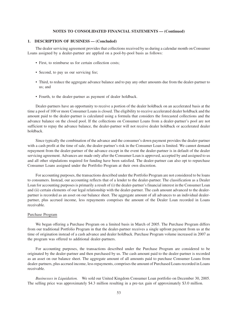### **1. DESCRIPTION OF BUSINESS — (Concluded)**

The dealer servicing agreement provides that collections received by us during a calendar month on Consumer Loans assigned by a dealer-partner are applied on a pool-by-pool basis as follows:

- First, to reimburse us for certain collection costs;
- Second, to pay us our servicing fee;
- Third, to reduce the aggregate advance balance and to pay any other amounts due from the dealer-partner to us; and
- Fourth, to the dealer-partner as payment of dealer holdback.

Dealer-partners have an opportunity to receive a portion of the dealer holdback on an accelerated basis at the time a pool of 100 or more Consumer Loans is closed. The eligibility to receive accelerated dealer holdback and the amount paid to the dealer-partner is calculated using a formula that considers the forecasted collections and the advance balance on the closed pool. If the collections on Consumer Loans from a dealer-partner's pool are not sufficient to repay the advance balance, the dealer-partner will not receive dealer holdback or accelerated dealer holdback.

Since typically the combination of the advance and the consumer's down payment provides the dealer-partner with a cash profit at the time of sale, the dealer-partner's risk in the Consumer Loan is limited. We cannot demand repayment from the dealer-partner of the advance except in the event the dealer-partner is in default of the dealer servicing agreement. Advances are made only after the Consumer Loan is approved, accepted by and assigned to us and all other stipulations required for funding have been satisfied. The dealer-partner can also opt to repurchase Consumer Loans assigned under the Portfolio Program at their own discretion.

For accounting purposes, the transactions described under the Portfolio Program are not considered to be loans to consumers. Instead, our accounting reflects that of a lender to the dealer-partner. The classification as a Dealer Loan for accounting purposes is primarily a result of (i) the dealer-partner's financial interest in the Consumer Loan and (ii) certain elements of our legal relationship with the dealer-partner. The cash amount advanced to the dealerpartner is recorded as an asset on our balance sheet. The aggregate amount of all advances to an individual dealerpartner, plus accrued income, less repayments comprises the amount of the Dealer Loan recorded in Loans receivable.

### Purchase Program

We began offering a Purchase Program on a limited basis in March of 2005. The Purchase Program differs from our traditional Portfolio Program in that the dealer-partner receives a single upfront payment from us at the time of origination instead of a cash advance and dealer holdback. Purchase Program volume increased in 2007 as the program was offered to additional dealer-partners.

For accounting purposes, the transactions described under the Purchase Program are considered to be originated by the dealer-partner and then purchased by us. The cash amount paid to the dealer-partner is recorded as an asset on our balance sheet. The aggregate amount of all amounts paid to purchase Consumer Loans from dealer-partners, plus accrued income, less repayments, comprises the amount of Purchased Loans recorded in Loans receivable.

*Businesses in Liquidation.* We sold our United Kingdom Consumer Loan portfolio on December 30, 2005. The selling price was approximately \$4.3 million resulting in a pre-tax gain of approximately \$3.0 million.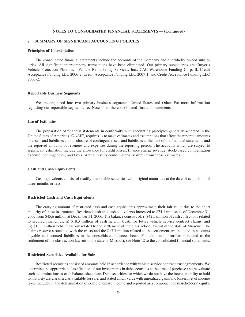### **2. SUMMARY OF SIGNIFICANT ACCOUNTING POLICIES**

#### **Principles of Consolidation**

The consolidated financial statements include the accounts of the Company and our wholly owned subsidiaries. All significant intercompany transactions have been eliminated. Our primary subsidiaries are: Buyer's Vehicle Protection Plan, Inc., Vehicle Remarketing Services, Inc., CAC Warehouse Funding Corp. II, Credit Acceptance Funding LLC 2006-2, Credit Acceptance Funding LLC 2007-1, and Credit Acceptance Funding LLC 2007-2.

#### **Reportable Business Segments**

We are organized into two primary business segments: United States and Other. For more information regarding our reportable segments, see Note 11 to the consolidated financial statements.

### **Use of Estimates**

The preparation of financial statements in conformity with accounting principles generally accepted in the United States of America ("GAAP") requires us to make estimates and assumptions that affect the reported amounts of assets and liabilities and disclosure of contingent assets and liabilities at the date of the financial statements and the reported amounts of revenues and expenses during the reporting period. The accounts which are subject to significant estimation include the allowance for credit losses, finance charge revenue, stock-based compensation expense, contingencies, and taxes. Actual results could materially differ from those estimates.

### **Cash and Cash Equivalents**

Cash equivalents consist of readily marketable securities with original maturities at the date of acquisition of three months or less.

### **Restricted Cash and Cash Equivalents**

The carrying amount of restricted cash and cash equivalents approximate their fair value due to the short maturity of these instruments. Restricted cash and cash equivalents increased to \$74.1 million as of December 31, 2007 from \$45.6 million at December 31, 2006. The balance consists of: i) \$42.5 million of cash collections related to secured financings, ii) \$18.3 million of cash held in trusts for future vehicle service contract claims, and iii) \$13.3 million held in escrow related to the settlement of the class action lawsuit in the state of Missouri. The claims reserve associated with the trusts and the \$13.3 million related to the settlement are included in accounts payable and accrued liabilities in the consolidated balance sheets. For additional information related to the settlement of the class action lawsuit in the state of Missouri, see Note 12 to the consolidated financial statements.

#### **Restricted Securities Available for Sale**

Restricted securities consist of amounts held in accordance with vehicle service contract trust agreements. We determine the appropriate classification of our investments in debt securities at the time of purchase and reevaluate such determinations at each balance sheet date. Debt securities for which we do not have the intent or ability to hold to maturity are classified as available for sale, and stated at fair value with unrealized gains and losses, net of income taxes included in the determination of comprehensive income and reported as a component of shareholders' equity.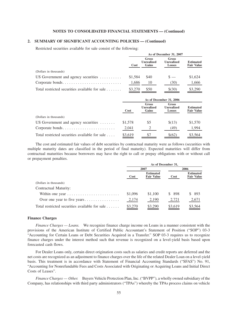### **2. SUMMARY OF SIGNIFICANT ACCOUNTING POLICIES — (Continued)**

Restricted securities available for sale consist of the following:

|                                                              | As of December 31, 2007 |                                     |                                             |                                       |
|--------------------------------------------------------------|-------------------------|-------------------------------------|---------------------------------------------|---------------------------------------|
|                                                              | <b>Cost</b>             | Gross<br><b>Unrealized</b><br>Gains | Gross<br><b>Unrealized</b><br><b>Losses</b> | <b>Estimated</b><br><b>Fair Value</b> |
| (Dollars in thousands)                                       |                         |                                     |                                             |                                       |
| US Government and agency securities                          | \$1,584                 | \$40                                | $\mathbb{S}$ —                              | \$1,624                               |
| Corporate bonds                                              | 1,686                   | 10                                  | (30)                                        | 1,666                                 |
| Total restricted securities available for sale $\dots \dots$ | \$3,270                 | \$50                                | \$(30)                                      | \$3,290                               |
|                                                              |                         |                                     | As of December 31, 2006                     |                                       |
|                                                              | Cost                    | Gross<br><b>Unrealized</b><br>Gains | Gross<br><b>Unrealized</b><br><b>Losses</b> | <b>Estimated</b><br><b>Fair Value</b> |
| (Dollars in thousands)                                       |                         |                                     |                                             |                                       |
| US Government and agency securities $\dots \dots$            | \$1,578                 | \$5                                 | \$(13)                                      | \$1,570                               |
| Corporate bonds                                              | 2,041                   | 2                                   | (49)                                        | 1,994                                 |
| Total restricted securities available for sale               | \$3,619                 | \$7                                 | \$(62)                                      | \$3,564                               |

The cost and estimated fair values of debt securities by contractual maturity were as follows (securities with multiple maturity dates are classified in the period of final maturity). Expected maturities will differ from contractual maturities because borrowers may have the right to call or prepay obligations with or without call or prepayment penalties.

|                                                          | As of December 31, |                                       |         |                                       |
|----------------------------------------------------------|--------------------|---------------------------------------|---------|---------------------------------------|
|                                                          |                    | 2007                                  |         | 2006                                  |
|                                                          | Cost               | <b>Estimated</b><br><b>Fair Value</b> | Cost    | <b>Estimated</b><br><b>Fair Value</b> |
| (Dollars in thousands)                                   |                    |                                       |         |                                       |
| Contractual Maturity:                                    |                    |                                       |         |                                       |
| Within one year                                          | \$1,096            | \$1,100                               | \$ 898  | 893                                   |
|                                                          | 2,174              | 2,190                                 | 2,721   | 2,671                                 |
| Total restricted securities available for sale $\dots$ . | \$3,270            | \$3,290                               | \$3,619 | \$3,564                               |

# **Finance Charges**

*Finance Charges — Loans.* We recognize finance charge income on Loans in a manner consistent with the provisions of the American Institute of Certified Public Accountant's Statement of Position ("SOP") 03-3 "Accounting for Certain Loans or Debt Securities Acquired in a Transfer." SOP 03-3 requires us to recognize finance charges under the interest method such that revenue is recognized on a level-yield basis based upon forecasted cash flows.

For Dealer Loans only, certain direct origination costs such as salaries and credit reports are deferred and the net costs are recognized as an adjustment to finance charges over the life of the related Dealer Loan on a level-yield basis. This treatment is in accordance with Statement of Financial Accounting Standards ("SFAS") No. 91, "Accounting for Nonrefundable Fees and Costs Associated with Originating or Acquiring Loans and Initial Direct Costs of Leases".

*Finance Charges — Other.* Buyers Vehicle Protection Plan, Inc. ("BVPP"), a wholly owned subsidiary of the Company, has relationships with third party administrators ("TPAs") whereby the TPAs process claims on vehicle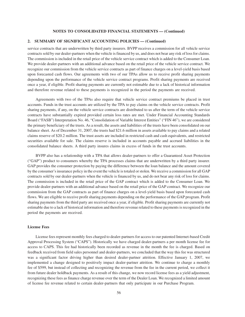### **2. SUMMARY OF SIGNIFICANT ACCOUNTING POLICIES — (Continued)**

service contracts that are underwritten by third party insurers. BVPP receives a commission for all vehicle service contracts sold by our dealer-partners when the vehicle is financed by us, and does not bear any risk of loss for claims. The commission is included in the retail price of the vehicle service contract which is added to the Consumer Loan. We provide dealer-partners with an additional advance based on the retail price of the vehicle service contract. We recognize our commission from the vehicle service contracts as part of finance charges on a level-yield basis based upon forecasted cash flows. Our agreements with two of our TPAs allow us to receive profit sharing payments depending upon the performance of the vehicle service contract programs. Profit sharing payments are received once a year, if eligible. Profit sharing payments are currently not estimable due to a lack of historical information and therefore revenue related to these payments is recognized in the period the payments are received.

Agreements with two of the TPAs also require that vehicle service contract premiums be placed in trust accounts. Funds in the trust accounts are utilized by the TPA to pay claims on the vehicle service contracts. Profit sharing payments, if any, on the vehicle service contracts are distributed to us after the term of the vehicle service contracts have substantially expired provided certain loss rates are met. Under Financial Accounting Standards Board ("FASB") Interpretation No. 46, "Consolidation of Variable Interest Entities" ("FIN 46"), we are considered the primary beneficiary of the trusts. As a result, the assets and liabilities of the trusts have been consolidated on our balance sheet. As of December 31, 2007, the trusts had \$21.6 million in assets available to pay claims and a related claims reserve of \$20.2 million. The trust assets are included in restricted cash and cash equivalents, and restricted securities available for sale. The claims reserve is included in accounts payable and accrued liabilities in the consolidated balance sheets. A third party insures claims in excess of funds in the trust accounts.

BVPP also has a relationship with a TPA that allows dealer-partners to offer a Guaranteed Asset Protection ("GAP") product to consumers whereby the TPA processes claims that are underwritten by a third party insurer. GAP provides the consumer protection by paying the difference between the loan balance and the amount covered by the consumer's insurance policy in the event the vehicle is totaled or stolen. We receive a commission for all GAP contracts sold by our dealer-partners when the vehicle is financed by us, and do not bear any risk of loss for claims. The commission is included in the retail price of the GAP contract which is added to the Consumer Loan. We provide dealer-partners with an additional advance based on the retail price of the GAP contract. We recognize our commission from the GAP contracts as part of finance charges on a level-yield basis based upon forecasted cash flows. We are eligible to receive profit sharing payments depending on the performance of the GAP program. Profit sharing payments from the third party are received once a year, if eligible. Profit sharing payments are currently not estimable due to a lack of historical information and therefore revenue related to these payments is recognized in the period the payments are received.

### **License Fees**

License fees represent monthly fees charged to dealer-partners for access to our patented Internet-based Credit Approval Processing System ("CAPS"). Historically we have charged dealer-partners a per month license fee for access to CAPS. This fee had historically been recorded as revenue in the month the fee is charged. Based on feedback received from field sales personnel and dealer-partners, we concluded that the way this fee was structured was a significant factor driving higher than desired dealer-partner attrition. Effective January 1, 2007, we implemented a change designed to positively impact dealer-partner attrition. We continue to charge a monthly fee of \$599, but instead of collecting and recognizing the revenue from the fee in the current period, we collect it from future dealer holdback payments. As a result of this change, we now record license fees as a yield adjustment, recognizing these fees as finance charge revenue over the term of the Dealer Loan. We recognized a limited amount of license fee revenue related to certain dealer-partners that only participate in our Purchase Program.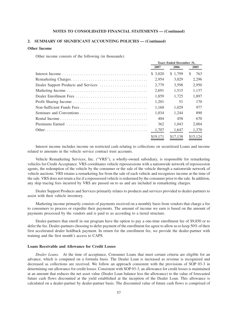### **2. SUMMARY OF SIGNIFICANT ACCOUNTING POLICIES — (Continued)**

### **Other Income**

Other income consists of the following (in thousands):

|                           | <b>Years Ended December 31.</b> |          |                      |
|---------------------------|---------------------------------|----------|----------------------|
|                           | 2007                            | 2006     | 2005                 |
|                           | \$ 3,020                        | \$1.799  | <sup>\$</sup><br>763 |
|                           | 2.954                           | 3,029    | 2,296                |
|                           | 2.779                           | 3.598    | 2.950                |
|                           | 2.691                           | 1.515    | 1.137                |
|                           | 1.859                           | 1,725    | 1,897                |
|                           | 1.201                           | 51       | 170                  |
| Non-Sufficient Funds Fees | 1.160                           | 1.029    | 977                  |
|                           | 1.034                           | 1,244    | 890                  |
|                           | 404                             | 458      | 670                  |
|                           | 362                             | 1.043    | 2.004                |
|                           | 1,707                           | 1,647    | 1,370                |
|                           | \$19.171                        | \$17,138 | \$15,124             |

Interest income includes income on restricted cash relating to collections on securitized Loans and income related to amounts in the vehicle service contract trust accounts.

Vehicle Remarketing Services, Inc. ("VRS"), a wholly-owned subsidiary, is responsible for remarketing vehicles for Credit Acceptance. VRS coordinates vehicle repossessions with a nationwide network of repossession agents, the redemption of the vehicle by the consumer or the sale of the vehicle through a nationwide network of vehicle auctions. VRS retains a remarketing fee from the sale of each vehicle and recognizes income at the time of the sale. VRS does not retain a fee if a repossessed vehicle is redeemed by the consumer prior to the sale. In addition, any skip tracing fees incurred by VRS are passed on to us and are included in remarketing charges.

Dealer Support Products and Services primarily relates to products and services provided to dealer-partners to assist with their vehicle inventory.

Marketing income primarily consists of payments received on a monthly basis from vendors that charge a fee to consumers to process or expedite their payments. The amount of income we earn is based on the amount of payments processed by the vendors and is paid to us according to a tiered structure.

Dealer-partners that enroll in our program have the option to pay a one-time enrollment fee of \$9,850 or to defer the fee. Dealer-partners choosing to defer payment of the enrollment fee agree to allow us to keep 50% of their first accelerated dealer holdback payment. In return for the enrollment fee, we provide the dealer-partner with training and the first month's access to CAPS.

## **Loans Receivable and Allowance for Credit Losses**

*Dealer Loans.* At the time of acceptance, Consumer Loans that meet certain criteria are eligible for an advance, which is computed on a formula basis. The Dealer Loan is increased as revenue is recognized and decreased as collections are received. We follow an approach consistent with the provisions of SOP 03-3 in determining our allowance for credit losses. Consistent with SOP 03-3, an allowance for credit losses is maintained at an amount that reduces the net asset value (Dealer Loan balance less the allowance) to the value of forecasted future cash flows discounted at the yield established at the inception of the Dealer Loan. This allowance is calculated on a dealer-partner by dealer-partner basis. The discounted value of future cash flows is comprised of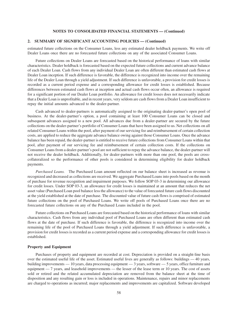### **2. SUMMARY OF SIGNIFICANT ACCOUNTING POLICIES — (Continued)**

estimated future collections on the Consumer Loans, less any estimated dealer holdback payments. We write off Dealer Loans once there are no forecasted future collections on any of the associated Consumer Loans.

Future collections on Dealer Loans are forecasted based on the historical performance of loans with similar characteristics. Dealer holdback is forecasted based on the expected future collections and current advance balance of each Dealer Loan. Cash flows from any individual Dealer Loan are often different than estimated cash flows at Dealer Loan inception. If such difference is favorable, the difference is recognized into income over the remaining life of the Dealer Loan through a yield adjustment. If such difference is unfavorable, a provision for credit losses is recorded as a current period expense and a corresponding allowance for credit losses is established. Because differences between estimated cash flows at inception and actual cash flows occur often, an allowance is required for a significant portion of our Dealer Loan portfolio. An allowance for credit losses does not necessarily indicate that a Dealer Loan is unprofitable, and in recent years, very seldom are cash flows from a Dealer Loan insufficient to repay the initial amounts advanced to the dealer-partner.

Cash advanced to dealer-partners is automatically assigned to the originating dealer-partner's open pool of business. At the dealer-partner's option, a pool containing at least 100 Consumer Loans can be closed and subsequent advances assigned to a new pool. All advances due from a dealer-partner are secured by the future collections on the dealer-partner's portfolio of Consumer Loans that have been assigned to us. Net collections on all related Consumer Loans within the pool, after payment of our servicing fee and reimbursement of certain collection costs, are applied to reduce the aggregate advance balance owing against those Consumer Loans. Once the advance balance has been repaid, the dealer-partner is entitled to receive future collections from Consumer Loans within that pool, after payment of our servicing fee and reimbursement of certain collection costs. If the collections on Consumer Loans from a dealer-partner's pool are not sufficient to repay the advance balance, the dealer-partner will not receive the dealer holdback. Additionally, for dealer-partners with more than one pool, the pools are crosscollateralized so the performance of other pools is considered in determining eligibility for dealer holdback payments.

*Purchased Loans.* The Purchased Loan amount reflected on our balance sheet is increased as revenue is recognized and decreased as collections are received. We aggregate Purchased Loans into pools based on the month of purchase for revenue recognition and impairment purposes. We follow SOP 03-3 in determining our allowance for credit losses. Under SOP 03-3, an allowance for credit losses is maintained at an amount that reduces the net asset value (Purchased Loan pool balance less the allowance) to the value of forecasted future cash flows discounted at the yield established at the date of purchase. The discounted value of future cash flows is comprised of estimated future collections on the pool of Purchased Loans. We write off pools of Purchased Loans once there are no forecasted future collections on any of the Purchased Loans included in the pool.

Future collections on Purchased Loans are forecasted based on the historical performance of loans with similar characteristics. Cash flows from any individual pool of Purchased Loans are often different than estimated cash flows at the date of purchase. If such difference is favorable, the difference is recognized into income over the remaining life of the pool of Purchased Loans through a yield adjustment. If such difference is unfavorable, a provision for credit losses is recorded as a current period expense and a corresponding allowance for credit losses is established.

### **Property and Equipment**

Purchases of property and equipment are recorded at cost. Depreciation is provided on a straight-line basis over the estimated useful life of the asset. Estimated useful lives are generally as follows: buildings — 40 years, building improvements — 10 years, data processing equipment — 3 years, software — 5 years, office furniture and equipment — 7 years, and leasehold improvements — the lesser of the lease term or 10 years. The cost of assets sold or retired and the related accumulated depreciation are removed from the balance sheet at the time of disposition and any resulting gain or loss is included in operations. Maintenance, repairs and minor replacements are charged to operations as incurred; major replacements and improvements are capitalized. Software developed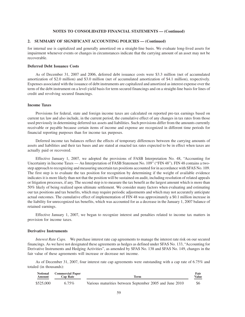#### **2. SUMMARY OF SIGNIFICANT ACCOUNTING POLICIES — (Continued)**

for internal use is capitalized and generally amortized on a straight-line basis. We evaluate long-lived assets for impairment whenever events or changes in circumstances indicate that the carrying amount of an asset may not be recoverable.

# **Deferred Debt Issuance Costs**

As of December 31, 2007 and 2006, deferred debt issuance costs were \$3.3 million (net of accumulated amortization of \$2.0 million) and \$3.0 million (net of accumulated amortization of \$4.1 million), respectively. Expenses associated with the issuance of debt instruments are capitalized and amortized as interest expense over the term of the debt instrument on a level-yield basis for term secured financings and on a straight-line basis for lines of credit and revolving secured financings.

### **Income Taxes**

Provisions for federal, state and foreign income taxes are calculated on reported pre-tax earnings based on current tax law and also include, in the current period, the cumulative effect of any changes in tax rates from those used previously in determining deferred tax assets and liabilities. Such provisions differ from the amounts currently receivable or payable because certain items of income and expense are recognized in different time periods for financial reporting purposes than for income tax purposes.

Deferred income tax balances reflect the effects of temporary differences between the carrying amounts of assets and liabilities and their tax bases and are stated at enacted tax rates expected to be in effect when taxes are actually paid or recovered.

Effective January 1, 2007, we adopted the provisions of FASB Interpretation No. 48, "Accounting for Uncertainty in Income Taxes — An Interpretation of FASB Statement No. 109" ("FIN 48"). FIN 48 contains a twostep approach to recognizing and measuring uncertain tax positions accounted for in accordance with SFAS No. 109. The first step is to evaluate the tax position for recognition by determining if the weight of available evidence indicates it is more likely than not that the position will be sustained on audit, including resolution of related appeals or litigation processes, if any. The second step is to measure the tax benefit as the largest amount which is more than 50% likely of being realized upon ultimate settlement. We consider many factors when evaluating and estimating our tax positions and tax benefits, which may require periodic adjustments and which may not accurately anticipate actual outcomes. The cumulative effect of implementation of FIN 48 was approximately a \$0.1 million increase in the liability for unrecognized tax benefits, which was accounted for as a decrease in the January 1, 2007 balance of retained earnings.

Effective January 1, 2007, we began to recognize interest and penalties related to income tax matters in provision for income taxes.

### **Derivative Instruments**

*Interest Rate Caps.* We purchase interest rate cap agreements to manage the interest rate risk on our secured financings. As we have not designated these agreements as hedges as defined under SFAS No. 133, "Accounting for Derivative Instruments and Hedging Activities", as amended by SFAS No. 138 and SFAS No. 149, changes in the fair value of these agreements will increase or decrease net income.

As of December 31, 2007, four interest rate cap agreements were outstanding with a cap rate of 6.75% and totaled (in thousands):

| <b>Notional</b> | <b>Commercial Paper</b> | Term                                                    | Fair  |
|-----------------|-------------------------|---------------------------------------------------------|-------|
| Amount          | Cap Rate                |                                                         | Value |
| \$525,000       | $6.75\%$                | Various maturities between September 2005 and June 2010 | \$6   |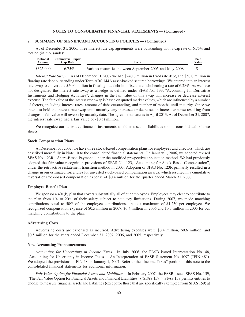#### **2. SUMMARY OF SIGNIFICANT ACCOUNTING POLICIES — (Continued)**

As of December 31, 2006, three interest rate cap agreements were outstanding with a cap rate of 6.75% and totaled (in thousands):

| <b>Notional</b> | <b>Commercial Paper</b> | Term                                                   | Fair  |
|-----------------|-------------------------|--------------------------------------------------------|-------|
| Amount          | <b>Cap Rate</b>         |                                                        | Value |
| \$325,000       | $6.75\%$                | Various maturities between September 2005 and May 2008 |       |

*Interest Rate Swap.* As of December 31, 2007 we had \$240.0 million in fixed rate debt, and \$50.0 million in floating rate debt outstanding under Term ABS 144A asset-backed secured borrowings. We entered into an interest rate swap to convert the \$50.0 million in floating rate debt into fixed rate debt bearing a rate of 6.28%. As we have not designated the interest rate swap as a hedge as defined under SFAS No. 133, "Accounting for Derivative Instruments and Hedging Activities", changes in the fair value of this swap will increase or decrease interest expense. The fair value of the interest rate swap is based on quoted market values, which are influenced by a number of factors, including interest rates, amount of debt outstanding, and number of months until maturity. Since we intend to hold the interest rate swap until maturity, any increases or decreases in interest expense resulting from changes in fair value will reverse by maturity date. The agreement matures in April 2013. As of December 31, 2007, the interest rate swap had a fair value of (\$0.5) million.

We recognize our derivative financial instruments as either assets or liabilities on our consolidated balance sheets.

# **Stock Compensation Plans**

At December 31, 2007, we have three stock-based compensation plans for employees and directors, which are described more fully in Note 10 to the consolidated financial statements. On January 1, 2006, we adopted revised SFAS No. 123R, "Share-Based Payment" under the modified prospective application method. We had previously adopted the fair value recognition provisions of SFAS No. 123, "Accounting for Stock-Based Compensation", under the retroactive restatement transition method in 2003. Adoption of SFAS No. 123R primarily resulted in a change in our estimated forfeitures for unvested stock-based compensation awards, which resulted in a cumulative reversal of stock-based compensation expense of \$0.4 million for the quarter ended March 31, 2006.

### **Employee Benefit Plan**

We sponsor a 401(k) plan that covers substantially all of our employees. Employees may elect to contribute to the plan from 1% to 20% of their salary subject to statutory limitations. During 2007, we made matching contributions equal to 50% of the employee contributions, up to a maximum of \$1,250 per employee. We recognized compensation expense of \$0.5 million in 2007, \$0.4 million in 2006 and \$0.3 million in 2005 for our matching contributions to the plan.

#### **Advertising Costs**

Advertising costs are expensed as incurred. Advertising expenses were \$0.4 million, \$0.6 million, and \$0.5 million for the years ended December 31, 2007, 2006, and 2005, respectively.

### **New Accounting Pronouncements**

*Accounting for Uncertainty in Income Taxes.* In July 2006, the FASB issued Interpretation No. 48, "Accounting for Uncertainty in Income Taxes — An Interpretation of FASB Statement No. 109" ("FIN 48"). We adopted the provisions of FIN 48 on January 1, 2007. Refer to the "Income Taxes" portion of this note to the consolidated financial statements for additional information.

*Fair Value Option for Financial Assets and Liabilities.* In February 2007, the FASB issued SFAS No. 159, "The Fair Value Option for Financial Assets and Financial Liabilities" ("SFAS 159"). SFAS 159 permits entities to choose to measure financial assets and liabilities (except for those that are specifically exempted from SFAS 159) at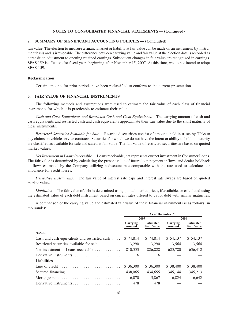### **2. SUMMARY OF SIGNIFICANT ACCOUNTING POLICIES — (Concluded)**

fair value. The election to measure a financial asset or liability at fair value can be made on an instrument-by-instrument basis and is irrevocable. The difference between carrying value and fair value at the election date is recorded as a transition adjustment to opening retained earnings. Subsequent changes in fair value are recognized in earnings. SFAS 159 is effective for fiscal years beginning after November 15, 2007. At this time, we do not intend to adopt SFAS 159.

### **Reclassification**

Certain amounts for prior periods have been reclassified to conform to the current presentation.

### **3. FAIR VALUE OF FINANCIAL INSTRUMENTS**

The following methods and assumptions were used to estimate the fair value of each class of financial instruments for which it is practicable to estimate their value.

*Cash and Cash Equivalents and Restricted Cash and Cash Equivalents.* The carrying amount of cash and cash equivalents and restricted cash and cash equivalents approximate their fair value due to the short maturity of these instruments.

*Restricted Securities Available for Sale.* Restricted securities consist of amounts held in trusts by TPAs to pay claims on vehicle service contracts. Securities for which we do not have the intent or ability to hold to maturity are classified as available for sale and stated at fair value. The fair value of restricted securities are based on quoted market values.

*Net Investment in Loans Receivable.* Loans receivable, net represents our net investment in Consumer Loans. The fair value is determined by calculating the present value of future loan payment inflows and dealer holdback outflows estimated by the Company utilizing a discount rate comparable with the rate used to calculate our allowance for credit losses.

*Derivative Instruments.* The fair value of interest rate caps and interest rate swaps are based on quoted market values.

*Liabilities.* The fair value of debt is determined using quoted market prices, if available, or calculated using the estimated value of each debt instrument based on current rates offered to us for debt with similar maturities.

A comparison of the carrying value and estimated fair value of these financial instruments is as follows (in thousands):

|                                                                             | As of December 31, |                                       |                    |                                       |
|-----------------------------------------------------------------------------|--------------------|---------------------------------------|--------------------|---------------------------------------|
|                                                                             |                    | 2007                                  |                    | 2006                                  |
|                                                                             | Carrying<br>Amount | <b>Estimated</b><br><b>Fair Value</b> | Carrying<br>Amount | <b>Estimated</b><br><b>Fair Value</b> |
| <b>Assets</b>                                                               |                    |                                       |                    |                                       |
| Cash and cash equivalents and restricted cash                               | \$74.814           | \$74,814                              | \$54,137           | \$54,137                              |
| Restricted securities available for sale                                    | 3,290              | 3,290                                 | 3,564              | 3,564                                 |
| Net investment in Loans receivable                                          | 810,553            | 826,828                               | 625,780            | 636,412                               |
| Derivative instruments                                                      | 6                  | 6                                     |                    |                                       |
| <b>Liabilities</b>                                                          |                    |                                       |                    |                                       |
|                                                                             | \$ 36,300          | \$ 36,300                             | \$ 38,400          | \$ 38,400                             |
| Secured financing $\ldots \ldots \ldots \ldots \ldots \ldots \ldots \ldots$ | 438,065            | 434.655                               | 345,144            | 345,213                               |
|                                                                             | 6.070              | 5,867                                 | 6.824              | 6.642                                 |
| Derivative instruments                                                      | 478                | 478                                   |                    |                                       |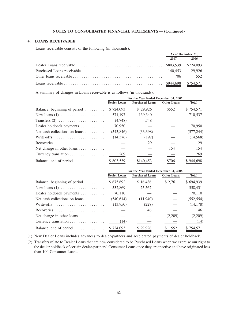# **4. LOANS RECEIVABLE**

Loans receivable consists of the following (in thousands):

| As of December 31, |           |
|--------------------|-----------|
|                    | 2007 2006 |
|                    |           |
|                    |           |
|                    |           |
|                    |           |

A summary of changes in Loans receivable is as follows (in thousands):

|                                               | For the Year Ended December 31, 2007 |                        |                    |           |  |
|-----------------------------------------------|--------------------------------------|------------------------|--------------------|-----------|--|
|                                               | <b>Dealer Loans</b>                  | <b>Purchased Loans</b> | <b>Other Loans</b> | Total     |  |
| Balance, beginning of period                  | \$724,093                            | \$29,926               | \$552              | \$754,571 |  |
| New loans $(1)$                               | 571,197                              | 139,340                |                    | 710,537   |  |
|                                               | (4,748)                              | 4.748                  |                    |           |  |
| Dealer holdback payments                      | 70,950                               |                        |                    | 70,950    |  |
| Net cash collections on loans $\dots \dots$   | (543.846)                            | (33,398)               |                    | (577,244) |  |
|                                               | (14,376)                             | (192)                  |                    | (14, 568) |  |
|                                               |                                      | 29                     |                    | 29        |  |
| Net change in other loans $\dots \dots \dots$ |                                      |                        | 154                | 154       |  |
| Currency translation                          | 269                                  |                        |                    | 269       |  |
| Balance, end of period                        | \$803,539                            | \$140.453              | \$706              | \$944,698 |  |

|                                            | For the Year Ended December 31, 2006 |                        |                    |            |  |
|--------------------------------------------|--------------------------------------|------------------------|--------------------|------------|--|
|                                            | <b>Dealer Loans</b>                  | <b>Purchased Loans</b> | <b>Other Loans</b> | Total      |  |
| Balance, beginning of period               | \$675,692                            | \$16.486               | \$ 2.761           | \$694,939  |  |
| New loans $(1)$                            | 532,869                              | 25,562                 |                    | 558,431    |  |
| Dealer holdback payments                   | 70,110                               |                        |                    | 70,110     |  |
| Net cash collections on loans              | (540, 614)                           | (11,940)               |                    | (552, 554) |  |
|                                            | (13,950)                             | (228)                  |                    | (14, 178)  |  |
|                                            |                                      | 46                     |                    | 46         |  |
| Net change in other loans                  |                                      |                        | (2,209)            | (2,209)    |  |
| Currency translation                       | (14)                                 |                        |                    | (14)       |  |
| Balance, end of period $\dots \dots \dots$ | \$724,093                            | \$29,926               | 552                | \$754,571  |  |

(1) New Dealer Loans includes advances to dealer-partners and accelerated payments of dealer holdback.

(2) Transfers relate to Dealer Loans that are now considered to be Purchased Loans when we exercise our right to the dealer holdback of certain dealer-partners' Consumer Loans once they are inactive and have originated less than 100 Consumer Loans.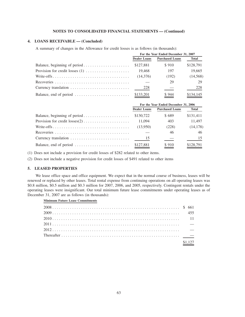### **4. LOANS RECEIVABLE — (Concluded)**

A summary of changes in the Allowance for credit losses is as follows (in thousands):

| For the Year Ended December 31, 2007 |                        |           |  |
|--------------------------------------|------------------------|-----------|--|
| <b>Dealer Loans</b>                  | <b>Purchased Loans</b> | Total     |  |
| \$127,881                            | \$910                  | \$128,791 |  |
| 19.468                               | 197                    | 19,665    |  |
| (14.376)                             | (192)                  | (14,568)  |  |
|                                      | 29                     | 29        |  |
|                                      |                        | 228       |  |
| \$133,201                            | \$944                  | \$134,145 |  |

|                                                                     | For the Year Ended December 31, 2006 |                        |           |  |
|---------------------------------------------------------------------|--------------------------------------|------------------------|-----------|--|
|                                                                     | <b>Dealer Loans</b>                  | <b>Purchased Loans</b> | Total     |  |
| Balance, beginning of period                                        | \$130,722                            | \$689                  | \$131,411 |  |
| Provision for credit $losses(2) \ldots \ldots \ldots \ldots \ldots$ | 11,094                               | 403                    | 11.497    |  |
|                                                                     | (13,950)                             | (228)                  | (14, 178) |  |
|                                                                     |                                      | 46                     | 46        |  |
|                                                                     |                                      |                        | 15        |  |
|                                                                     | \$127,881                            | \$910                  | \$128,791 |  |

(1) Does not include a provision for credit losses of \$282 related to other items.

(2) Does not include a negative provision for credit losses of \$491 related to other items

# **5. LEASED PROPERTIES**

We lease office space and office equipment. We expect that in the normal course of business, leases will be renewed or replaced by other leases. Total rental expense from continuing operations on all operating leases was \$0.8 million, \$0.5 million and \$0.3 million for 2007, 2006, and 2005, respectively. Contingent rentals under the operating leases were insignificant. Our total minimum future lease commitments under operating leases as of December 31, 2007 are as follows (in thousands):

### **Minimum Future Lease Commitments**

| \$1 127 |
|---------|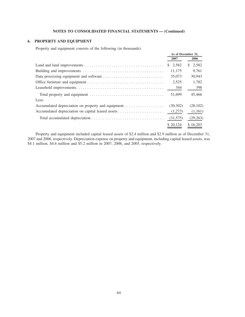# **6. PROPERTY AND EQUIPMENT**

Property and equipment consists of the following (in thousands):

|                                                    | As of December 31, |           |
|----------------------------------------------------|--------------------|-----------|
|                                                    | 2007               | 2006      |
|                                                    | \$2,582            | \$2,582   |
|                                                    | 11,175             | 9,761     |
|                                                    | 35,073             | 30,943    |
|                                                    | 2,525              | 1,782     |
|                                                    | 344                | 398       |
|                                                    | 51.699             | 45,466    |
| Less:                                              |                    |           |
| Accumulated depreciation on property and equipment | (30,302)           | (28, 102) |
|                                                    | (1,273)            | (1,161)   |
|                                                    | (31,575)           | (29,263)  |
|                                                    | \$20,124           | \$16,203  |

Property and equipment included capital leased assets of \$2.4 million and \$2.9 million as of December 31, 2007 and 2006, respectively. Depreciation expense on property and equipment, including capital leased assets, was \$4.1 million, \$4.6 million and \$5.2 million in 2007, 2006, and 2005, respectively.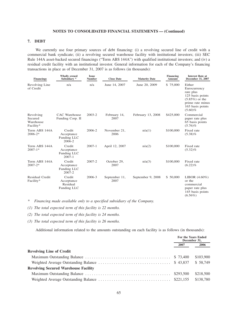#### **7. DEBT**

We currently use four primary sources of debt financing: (i) a revolving secured line of credit with a commercial bank syndicate; (ii) a revolving secured warehouse facility with institutional investors; (iii) SEC Rule 144A asset-backed secured financings ("Term ABS 144A") with qualified institutional investors; and (iv) a residual credit facility with an institutional investor. General information for each of the Company's financing transactions in place as of December 31, 2007 is as follows (in thousands):

| <b>Financings</b>                              | <b>Wholly owned</b><br>Subsidiary *               | <b>Issue</b><br><b>Number</b> | <b>Close Date</b>     | <b>Maturity Date</b> | <b>Financing</b><br><b>Amount</b> | <b>Interest Rate at</b><br>December 31, 2007                                                                                      |
|------------------------------------------------|---------------------------------------------------|-------------------------------|-----------------------|----------------------|-----------------------------------|-----------------------------------------------------------------------------------------------------------------------------------|
| Revolving Line<br>of Credit                    | n/a                                               | n/a                           | June 14, 2007         | June 20, 2009        | \$75,000                          | Either<br>Eurocurrency<br>rate plus<br>125 basis points<br>$(5.85%)$ or the<br>prime rate minus<br>165 basis points<br>$(5.60)\%$ |
| Revolving<br>Secured<br>Warehouse<br>Facility* | CAC Warehouse<br>Funding Corp. II                 | 2003-2                        | February 14,<br>2007  | February 13, 2008    | \$425,000                         | Commercial<br>paper rate plus<br>65 basis points<br>(5.76)%                                                                       |
| Term ABS 144A<br>$2006 - 2*$                   | Credit<br>Acceptance<br>Funding LLC<br>2006-2     | 2006-2                        | November 21,<br>2006  | n/a(1)               | \$100,000                         | Fixed rate<br>$(5.38)\%$                                                                                                          |
| Term ABS 144A<br>$2007 - 1*$                   | Credit<br>Acceptance<br>Funding LLC<br>$2007 - 1$ | $2007 - 1$                    | April 12, 2007        | n/a(2)               | \$100,000                         | Fixed rate<br>$(5.32)\%$                                                                                                          |
| Term ABS 144A<br>$2007 - 2*$                   | Credit<br>Acceptance<br>Funding LLC<br>2007-2     | 2007-2                        | October 29,<br>2007   | n/a(3)               | \$100,000                         | Fixed rate<br>$(6.22)\%$                                                                                                          |
| <b>Residual Credit</b><br>Facility*            | Credit<br>Acceptance<br>Residual<br>Funding LLC   | 2006-3                        | September 11,<br>2007 | September 9, 2008    | \$50,000                          | LIBOR $(4.60\%)$<br>or the<br>commercial<br>paper rate plus<br>145 basis points<br>$(6.56\%)$                                     |

*\* Financing made available only to a specified subsidiary of the Company.*

*(1) The total expected term of this facility is 22 months.*

- *(2) The total expected term of this facility is 24 months.*
- *(3) The total expected term of this facility is 26 months.*

Additional information related to the amounts outstanding on each facility is as follows (in thousands):

|                                             | For the Years Ended<br>December 31, |           |
|---------------------------------------------|-------------------------------------|-----------|
|                                             | 2007                                | 2006      |
| <b>Revolving Line of Credit</b>             |                                     |           |
|                                             |                                     | \$103,900 |
|                                             |                                     | \$58,749  |
| <b>Revolving Secured Warehouse Facility</b> |                                     |           |
|                                             |                                     | \$218,500 |
|                                             |                                     | \$138,780 |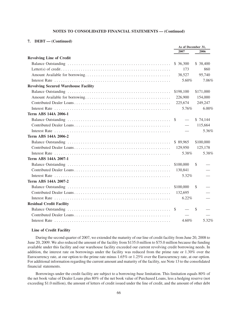### **7. DEBT — (Continued)**

|                                             | As of December 31,       |               |
|---------------------------------------------|--------------------------|---------------|
|                                             | 2007                     | 2006          |
| <b>Revolving Line of Credit</b>             |                          |               |
|                                             | \$36,300                 | \$ 38,400     |
|                                             | 173                      | 860           |
|                                             | 38,527                   | 95,740        |
|                                             | 5.60%                    | 7.06%         |
| <b>Revolving Secured Warehouse Facility</b> |                          |               |
|                                             | \$198,100                | \$171,000     |
|                                             | 226,900                  | 154,000       |
|                                             | 225,674                  | 249,247       |
|                                             | 5.76%                    | 6.00%         |
| <b>Term ABS 144A 2006-1</b>                 |                          |               |
|                                             | $\overline{\phantom{m}}$ | \$74,144      |
|                                             |                          | 115,664       |
|                                             |                          | 5.36%         |
| <b>Term ABS 144A 2006-2</b>                 |                          |               |
|                                             | \$89,965                 | \$100,000     |
|                                             | 129,950                  | 125,178       |
|                                             | 5.38%                    | 5.38%         |
| Term ABS 144A 2007-1                        |                          |               |
|                                             | \$100,000                | $\mathbb{S}$  |
|                                             | 130,841                  |               |
|                                             | 5.32%                    |               |
| <b>Term ABS 144A 2007-2</b>                 |                          |               |
|                                             | \$100,000                | \$            |
|                                             | 132,695                  |               |
|                                             | 6.22%                    |               |
| <b>Residual Credit Facility</b>             |                          |               |
|                                             |                          | $\mathcal{S}$ |
|                                             |                          |               |
|                                             | 4.60%                    | 5.32%         |

#### **Line of Credit Facility**

During the second quarter of 2007, we extended the maturity of our line of credit facility from June 20, 2008 to June 20, 2009. We also reduced the amount of the facility from \$135.0 million to \$75.0 million because the funding available under this facility and our warehouse facility exceeded our current revolving credit borrowing needs. In addition, the interest rate on borrowings under the facility was reduced from the prime rate or 1.30% over the Eurocurrency rate, at our option to the prime rate minus 1.65% or 1.25% over the Eurocurrency rate, at our option. For additional information regarding the current amount and maturity of the facility, see Note 13 to the consolidated financial statements.

Borrowings under the credit facility are subject to a borrowing-base limitation. This limitation equals 80% of the net book value of Dealer Loans plus 80% of the net book value of Purchased Loans, less a hedging reserve (not exceeding \$1.0 million), the amount of letters of credit issued under the line of credit, and the amount of other debt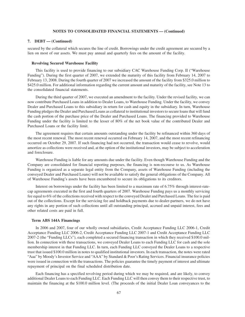### **7. DEBT — (Continued)**

secured by the collateral which secures the line of credit. Borrowings under the credit agreement are secured by a lien on most of our assets. We must pay annual and quarterly fees on the amount of the facility.

#### **Revolving Secured Warehouse Facility**

This facility is used to provide financing to our subsidiary CAC Warehouse Funding Corp. II ("Warehouse Funding"). During the first quarter of 2007, we extended the maturity of this facility from February 14, 2007 to February 13, 2008. During the fourth quarter of 2007 we increased the amount of the facility from \$325.0 million to \$425.0 million. For additional information regarding the current amount and maturity of the facility, see Note 13 to the consolidated financial statements.

During the third quarter of 2007, we executed an amendment to the facility. Under the revised facility, we can now contribute Purchased Loans in addition to Dealer Loans, to Warehouse Funding. Under the facility, we convey Dealer and Purchased Loans to this subsidiary in return for cash and equity in the subsidiary. In turn, Warehouse Funding pledges the Dealer and Purchased Loans as collateral to institutional investors to secure loans that will fund the cash portion of the purchase price of the Dealer and Purchased Loans. The financing provided to Warehouse Funding under the facility is limited to the lesser of 80% of the net book value of the contributed Dealer and Purchased Loans or the facility limit.

The agreement requires that certain amounts outstanding under the facility be refinanced within 360 days of the most recent renewal. The most recent renewal occurred on February 14, 2007, and the most recent refinancing occurred on October 29, 2007. If such financing had not occurred, the transaction would cease to revolve, would amortize as collections were received and, at the option of the institutional investors, may be subject to acceleration and foreclosure.

Warehouse Funding is liable for any amounts due under the facility. Even though Warehouse Funding and the Company are consolidated for financial reporting purposes, the financing is non-recourse to us. As Warehouse Funding is organized as a separate legal entity from the Company, assets of Warehouse Funding (including the conveyed Dealer and Purchased Loans) will not be available to satisfy the general obligations of the Company. All of Warehouse Funding's assets have been encumbered to secure its obligations to its creditors.

Interest on borrowings under the facility has been limited to a maximum rate of 6.75% through interest-ratecap agreements executed in the first and fourth quarters of 2007. Warehouse Funding pays us a monthly servicing fee equal to 6% of the collections received with respect to the conveyed Dealer and Purchased Loans. The fee is paid out of the collections. Except for the servicing fee and holdback payments due to dealer-partners, we do not have any rights in any portion of such collections until all outstanding principal, accrued and unpaid interest, fees and other related costs are paid in full.

#### **Term ABS 144A Financings**

In 2006 and 2007, four of our wholly owned subsidiaries, Credit Acceptance Funding LLC 2006-1, Credit Acceptance Funding LLC 2006-2, Credit Acceptance Funding LLC 2007-1 and Credit Acceptance Funding LLC 2007-2 (the "Funding LLCs"), each completed a secured financing transaction in which they received \$100.0 million. In connection with these transactions, we conveyed Dealer Loans to each Funding LLC for cash and the sole membership interest in that Funding LLC. In turn, each Funding LLC conveyed the Dealer Loans to a respective trust that issued \$100.0 million in notes to qualified institutional investors. In each transaction, the notes were rated "Aaa" by Moody's Investor Service and "AAA" by Standard & Poor's Rating Services. Financial insurance policies were issued in connection with the transactions. The policies guarantee the timely payment of interest and ultimate repayment of principal on the final scheduled distribution date.

Each financing has a specified revolving period during which we may be required, and are likely, to convey additional Dealer Loans to each Funding LLC. Each Funding LLC will then convey them to their respective trust, to maintain the financing at the \$100.0 million level. (The proceeds of the initial Dealer Loan conveyances to the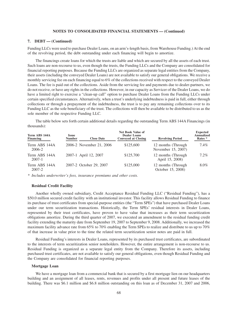### **7. DEBT — (Continued)**

Funding LLCs were used to purchase Dealer Loans, on an arm's-length basis, from Warehouse Funding.) At the end of the revolving period, the debt outstanding under each financing will begin to amortize.

The financings create loans for which the trusts are liable and which are secured by all the assets of each trust. Such loans are non-recourse to us, even though the trusts, the Funding LLCs and the Company are consolidated for financial reporting purposes. Because the Funding LLCs are organized as separate legal entities from the Company, their assets (including the conveyed Dealer Loans) are not available to satisfy our general obligations. We receive a monthly servicing fee on each financing equal to 6% of the collections received with respect to the conveyed Dealer Loans. The fee is paid out of the collections. Aside from the servicing fee and payments due to dealer-partners, we do not receive, or have any rights in the collections. However, in our capacity as Servicer of the Dealer Loans, we do have a limited right to exercise a "clean-up call" option to purchase Dealer Loans from the Funding LLCs under certain specified circumstances. Alternatively, when a trust's underlying indebtedness is paid in full, either through collections or through a prepayment of the indebtedness, the trust is to pay any remaining collections over to its Funding LLC as the sole beneficiary of the trust. The collections will then be available to be distributed to us as the sole member of the respective Funding LLC.

The table below sets forth certain additional details regarding the outstanding Term ABS 144A Financings (in thousands):

| Term ABS 144A<br><b>Financing</b> | <b>Issue</b><br><b>Number</b> | <b>Close Date</b>        | <b>Net Book Value of</b><br><b>Dealer Loans</b><br><b>Conveyed at Closing</b> | <b>Revolving Period</b>                   | <b>Expected</b><br><b>Annualized</b><br>Rates * |
|-----------------------------------|-------------------------------|--------------------------|-------------------------------------------------------------------------------|-------------------------------------------|-------------------------------------------------|
| Term ABS 144A<br>2006-2           |                               | 2006-2 November 21, 2006 | \$125,600                                                                     | 12 months (Through)<br>November 15, 2007) | $7.4\%$                                         |
| Term ABS 144A<br>$2007 - 1$       |                               | 2007-1 April 12, 2007    | \$125,700                                                                     | 12 months (Through)<br>April 15, 2008)    | $7.2\%$                                         |
| Term ABS 144A<br>2007-2           |                               | 2007-2 October 29, 2007  | \$125,000                                                                     | 12 months (Through)<br>October 15, 2008)  | 8.0%                                            |

*\* Includes underwriter's fees, insurance premiums and other costs.*

#### **Residual Credit Facility**

Another wholly owned subsidiary, Credit Acceptance Residual Funding LLC ("Residual Funding"), has a \$50.0 million secured credit facility with an institutional investor. This facility allows Residual Funding to finance its purchase of trust certificates from special-purpose entities (the "Term SPEs") that have purchased Dealer Loans under our term securitization transactions. Historically, the Term SPEs' residual interests in Dealer Loans, represented by their trust certificates, have proven to have value that increases as their term securitization obligations amortize. During the third quarter of 2007, we executed an amendment to the residual funding credit facility extending the maturity date from September 19, 2007 to September 9, 2008. Additionally, we increased the maximum facility advance rate from 65% to 70% enabling the Term SPEs to realize and distribute to us up to 70% of that increase in value prior to the time the related term securitization senior notes are paid in full.

Residual Funding's interests in Dealer Loans, represented by its purchased trust certificates, are subordinated to the interests of term securitization senior noteholders. However, the entire arrangement is non-recourse to us. Residual Funding is organized as a separate legal entity from the Company. Therefore its assets, including purchased trust certificates, are not available to satisfy our general obligations, even though Residual Funding and the Company are consolidated for financial reporting purposes.

#### **Mortgage Loan**

We have a mortgage loan from a commercial bank that is secured by a first mortgage lien on our headquarters building and an assignment of all leases, rents, revenues and profits under all present and future leases of the building. There was \$6.1 million and \$6.8 million outstanding on this loan as of December 31, 2007 and 2006,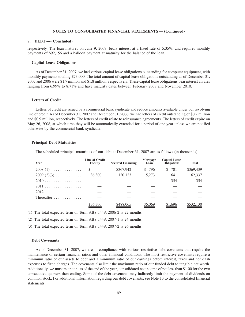### **7. DEBT — (Concluded)**

respectively. The loan matures on June 9, 2009, bears interest at a fixed rate of 5.35%, and requires monthly payments of \$92,156 and a balloon payment at maturity for the balance of the loan.

#### **Capital Lease Obligations**

As of December 31, 2007, we had various capital lease obligations outstanding for computer equipment, with monthly payments totaling \$73,000. The total amount of capital lease obligations outstanding as of December 31, 2007 and 2006 were \$1.7 million and \$1.8 million, respectively. These capital lease obligations bear interest at rates ranging from 6.99% to 8.71% and have maturity dates between February 2008 and November 2010.

### **Letters of Credit**

Letters of credit are issued by a commercial bank syndicate and reduce amounts available under our revolving line of credit. As of December 31, 2007 and December 31, 2006, we had letters of credit outstanding of \$0.2 million and \$0.9 million, respectively. The letters of credit relate to reinsurance agreements. The letters of credit expire on May 26, 2008, at which time they will be automatically extended for a period of one year unless we are notified otherwise by the commercial bank syndicate.

#### **Principal Debt Maturities**

The scheduled principal maturities of our debt at December 31, 2007 are as follows (in thousands):

| Year                                   | <b>Line of Credit</b><br><b>Facility</b> | <b>Secured Financing</b> | Mortgage<br>Loan | <b>Capital Lease</b><br><b>Obligations</b> | <b>Total</b> |  |
|----------------------------------------|------------------------------------------|--------------------------|------------------|--------------------------------------------|--------------|--|
| $2008(1)$                              |                                          | \$367,942                | \$796            | 701<br>S.                                  | \$369,439    |  |
| $2009(2)(3) \ldots \ldots \ldots$      | 36,300                                   | 120,123                  | 5.273            | 641                                        | 162,337      |  |
| 2010                                   |                                          |                          |                  | 354                                        | 354          |  |
| 2011                                   |                                          |                          |                  |                                            |              |  |
| 2012                                   |                                          |                          |                  |                                            |              |  |
| Thereafter $\dots\dots\dots\dots\dots$ |                                          |                          |                  |                                            |              |  |
|                                        | $\frac{$36,300}{$2}$                     | \$488,065                | \$6,069          | \$1,696                                    | \$532,130    |  |

(1) The total expected term of Term ABS 144A 2006-2 is 22 months.

(2) The total expected term of Term ABS 144A 2007-1 is 24 months.

(3) The total expected term of Term ABS 144A 2007-2 is 26 months.

### **Debt Covenants**

As of December 31, 2007, we are in compliance with various restrictive debt covenants that require the maintenance of certain financial ratios and other financial conditions. The most restrictive covenants require a minimum ratio of our assets to debt and a minimum ratio of our earnings before interest, taxes and non-cash expenses to fixed charges. The covenants also limit the maximum ratio of our funded debt to tangible net worth. Additionally, we must maintain, as of the end of the year, consolidated net income of not less than \$1.00 for the two consecutive quarters then ending. Some of the debt covenants may indirectly limit the payment of dividends on common stock. For additional information regarding our debt covenants, see Note 13 to the consolidated financial statements.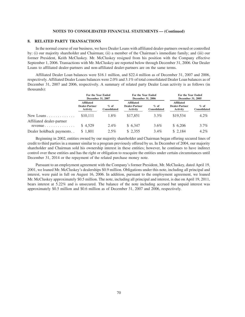### **8. RELATED PARTY TRANSACTIONS**

In the normal course of our business, we have Dealer Loans with affiliated dealer-partners owned or controlled by: (i) our majority shareholder and Chairman; (ii) a member of the Chairman's immediate family; and (iii) our former President, Keith McCluskey. Mr. McCluskey resigned from his position with the Company effective September 1, 2006. Transactions with Mr. McCluskey are reported below through December 31, 2006. Our Dealer Loans to affiliated dealer-partners and non-affiliated dealer-partners are on the same terms.

Affiliated Dealer Loan balances were \$16.1 million, and \$22.4 million as of December 31, 2007 and 2006, respectively. Affiliated Dealer Loans balances were 2.0% and 3.1% of total consolidated Dealer Loan balances as of December 31, 2007 and 2006, respectively. A summary of related party Dealer Loan activity is as follows (in thousands):

|                                      | For the Year Ended<br>December 31, 2007                       |                               | For the Year Ended<br>December 31, 2006                       |                               | For the Year Ended<br>December 31, 2005                |                               |
|--------------------------------------|---------------------------------------------------------------|-------------------------------|---------------------------------------------------------------|-------------------------------|--------------------------------------------------------|-------------------------------|
|                                      | <b>Affiliated</b><br><b>Dealer-Partner</b><br><b>Activity</b> | $%$ of<br><b>Consolidated</b> | <b>Affiliated</b><br><b>Dealer-Partner</b><br><b>Activity</b> | $%$ of<br><b>Consolidated</b> | <b>Affiliated</b><br>Dealer-Partner<br><b>Activity</b> | $%$ of<br><b>Consolidated</b> |
| New Loans $\dots \dots \dots$        | \$10,111                                                      | $1.8\%$                       | \$17,851                                                      | $3.3\%$                       | \$19,534                                               | $4.2\%$                       |
| Affiliated dealer-partner<br>revenue | \$4.529                                                       | $2.4\%$                       | \$ 6.347                                                      | $3.6\%$                       | \$6,206                                                | $3.7\%$                       |
| Dealer holdback payments             | \$1,801                                                       | $2.5\%$                       | \$2.355                                                       | $3.4\%$                       | \$2,184                                                | $4.2\%$                       |

Beginning in 2002, entities owned by our majority shareholder and Chairman began offering secured lines of credit to third parties in a manner similar to a program previously offered by us. In December of 2004, our majority shareholder and Chairman sold his ownership interest in these entities; however, he continues to have indirect control over these entities and has the right or obligation to reacquire the entities under certain circumstances until December 31, 2014 or the repayment of the related purchase money note.

Pursuant to an employment agreement with the Company's former President, Mr. McCluskey, dated April 19, 2001, we loaned Mr. McCluskey's dealerships \$0.9 million. Obligations under this note, including all principal and interest, were paid in full on August 16, 2006. In addition, pursuant to the employment agreement, we loaned Mr. McCluskey approximately \$0.5 million. The note, including all principal and interest, is due on April 19, 2011, bears interest at 5.22% and is unsecured. The balance of the note including accrued but unpaid interest was approximately \$0.5 million and \$0.6 million as of December 31, 2007 and 2006, respectively.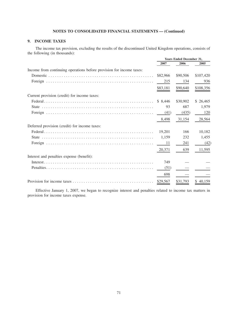## **9. INCOME TAXES**

The income tax provision, excluding the results of the discontinued United Kingdom operations, consists of the following (in thousands):

|                                                                      | <b>Years Ended December 31,</b> |          |           |
|----------------------------------------------------------------------|---------------------------------|----------|-----------|
|                                                                      | 2007                            | 2006     | 2005      |
| Income from continuing operations before provision for income taxes: |                                 |          |           |
|                                                                      | \$82,966                        | \$90,506 | \$107,420 |
|                                                                      | 215                             | 134      | 936       |
|                                                                      | \$83,181                        | \$90,640 | \$108,356 |
| Current provision (credit) for income taxes:                         |                                 |          |           |
|                                                                      | \$ 8.446                        | \$30,902 | \$26,465  |
|                                                                      | 93                              | 687      | 1,979     |
|                                                                      | (41)                            | (435)    | 120       |
|                                                                      | 8,498                           | 31,154   | 28,564    |
| Deferred provision (credit) for income taxes:                        |                                 |          |           |
|                                                                      | 19,201                          | 166      | 10,182    |
|                                                                      | 1,159                           | 232      | 1,455     |
|                                                                      | 11                              | 241      | (42)      |
|                                                                      | 20,371                          | 639      | 11,595    |
| Interest and penalties expense (benefit):                            |                                 |          |           |
|                                                                      | 749                             |          |           |
|                                                                      | (51)                            |          |           |
|                                                                      | 698                             |          |           |
|                                                                      | \$29,567                        | \$31,793 | \$40,159  |

Effective January 1, 2007, we began to recognize interest and penalties related to income tax matters in provision for income taxes expense.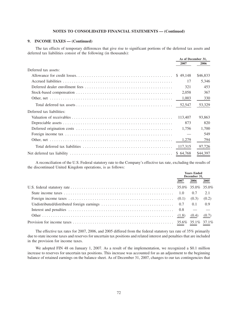#### **9. INCOME TAXES — (Continued)**

The tax effects of temporary differences that give rise to significant portions of the deferred tax assets and deferred tax liabilities consist of the following (in thousands):

|                           | As of December 31, |          |
|---------------------------|--------------------|----------|
|                           | 2007               | 2006     |
| Deferred tax assets:      |                    |          |
|                           | \$49,148           | \$46,833 |
|                           | 17                 | 5,346    |
|                           | 321                | 453      |
|                           | 2,058              | 367      |
|                           | 1,003              | 330      |
|                           | 52,547             | 53,329   |
| Deferred tax liabilities: |                    |          |
|                           | 113,407            | 93,863   |
|                           | 873                | 820      |
|                           | 1,756              | 1,700    |
|                           |                    | 549      |
|                           | 1,279              | 794      |
|                           | 117,315            | 97,726   |
|                           | \$64,768           | \$44,397 |

A reconciliation of the U.S. Federal statutory rate to the Company's effective tax rate, excluding the results of the discontinued United Kingdom operations, is as follows:

| <b>Years Ended</b> | December 31,   |       |
|--------------------|----------------|-------|
|                    | 2007 2006 2005 |       |
|                    |                |       |
|                    |                |       |
|                    |                |       |
|                    |                |       |
|                    |                |       |
|                    |                | (0.7) |
|                    |                |       |

The effective tax rates for 2007, 2006, and 2005 differed from the federal statutory tax rate of 35% primarily due to state income taxes and reserves for uncertain tax positions and related interest and penalties that are included in the provision for income taxes.

We adopted FIN 48 on January 1, 2007. As a result of the implementation, we recognized a \$0.1 million increase to reserves for uncertain tax positions. This increase was accounted for as an adjustment to the beginning balance of retained earnings on the balance sheet. As of December 31, 2007, changes to our tax contingencies that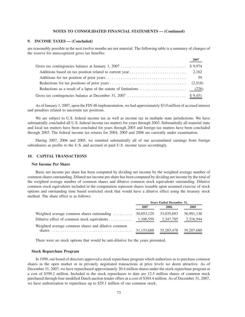#### **9. INCOME TAXES — (Concluded)**

are reasonably possible in the next twelve months are not material. The following table is a summary of changes of the reserve for unrecognized gross tax benefits:

|                                                                                                             | 2007 |
|-------------------------------------------------------------------------------------------------------------|------|
|                                                                                                             |      |
|                                                                                                             |      |
|                                                                                                             |      |
|                                                                                                             |      |
| Reductions as a result of a lapse of the statute of limitations $\dots \dots \dots \dots \dots \dots$ (226) |      |
|                                                                                                             |      |

As of January 1, 2007, upon the FIN 48 implementation, we had approximately \$3.0 million of accrued interest and penalties related to uncertain tax positions.

We are subject to U.S. federal income tax as well as income tax in multiple state jurisdictions. We have substantially concluded all U.S. federal income tax matters for years through 2003. Substantially all material state and local tax matters have been concluded for years through 2003 and foreign tax matters have been concluded through 2003. The federal income tax returns for 2004, 2005 and 2006 are currently under examination.

During 2007, 2006 and 2005, we remitted substantially all of our accumulated earnings from foreign subsidiaries as profits to the U.S. and accrued or paid U.S. income taxes accordingly.

#### **10. CAPITAL TRANSACTIONS**

#### **Net Income Per Share**

Basic net income per share has been computed by dividing net income by the weighted average number of common shares outstanding. Diluted net income per share has been computed by dividing net income by the total of the weighted average number of common shares and dilutive common stock equivalents outstanding. Dilutive common stock equivalents included in the computation represent shares issuable upon assumed exercise of stock options and outstanding time based restricted stock that would have a dilutive effect using the treasury stock method. The share effect is as follows:

|                                                                                       |            | <b>Years Ended December 31,</b> |            |
|---------------------------------------------------------------------------------------|------------|---------------------------------|------------|
|                                                                                       | 2007       | 2006                            | 2005       |
| Weighted average common shares outstanding                                            | 30,053,129 | 33,035,693                      | 36,991,136 |
| Dilutive effect of common stock equivalents $\dots \dots \dots \dots \dots$ 1,100,559 |            | 2,247,785                       | 2,216,544  |
| Weighted average common shares and dilutive common<br>shares                          | 31,153,688 | 35,283,478                      | 39,207,680 |

There were no stock options that would be anti-dilutive for the years presented.

#### **Stock Repurchase Program**

In 1999, our board of directors approved a stock repurchase program which authorizes us to purchase common shares in the open market or in privately negotiated transactions at price levels we deem attractive. As of December 31, 2007, we have repurchased approximately 20.4 million shares under the stock repurchase program at a cost of \$399.2 million. Included in the stock repurchases to date are 12.5 million shares of common stock purchased through four modified Dutch auction tender offers at a cost of \$304.4 million. As of December 31, 2007, we have authorization to repurchase up to \$29.1 million of our common stock.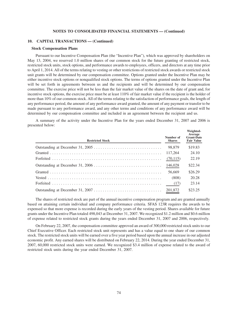#### **10. CAPITAL TRANSACTIONS — (Continued)**

#### **Stock Compensation Plans**

Pursuant to our Incentive Compensation Plan (the "Incentive Plan"), which was approved by shareholders on May 13, 2004, we reserved 1.0 million shares of our common stock for the future granting of restricted stock, restricted stock units, stock options, and performance awards to employees, officers, and directors at any time prior to April 1, 2014. All of the terms relating to vesting or other restrictions of restricted stock awards or restricted stock unit grants will be determined by our compensation committee. Options granted under the Incentive Plan may be either incentive stock options or nonqualified stock options. The terms of options granted under the Incentive Plan will be set forth in agreements between us and the recipients and will be determined by our compensation committee. The exercise price will not be less than the fair market value of the shares on the date of grant and, for incentive stock options, the exercise price must be at least 110% of fair market value if the recipient is the holder of more than 10% of our common stock. All of the terms relating to the satisfaction of performance goals, the length of any performance period, the amount of any performance award granted, the amount of any payment or transfer to be made pursuant to any performance award, and any other terms and conditions of any performance award will be determined by our compensation committee and included in an agreement between the recipient and us.

A summary of the activity under the Incentive Plan for the years ended December 31, 2007 and 2006 is presented below:

| <b>Restricted Stock</b> | Number of<br><b>Shares</b> | Weighted-<br>Average<br><b>Grant-Date</b><br><b>Fair Value</b> |
|-------------------------|----------------------------|----------------------------------------------------------------|
|                         | 98.879                     | \$19.83                                                        |
|                         | 117.264                    | 24.10                                                          |
|                         | (70, 115)                  | 22.19                                                          |
|                         | 146,028                    | \$22.34                                                        |
|                         | 56.669                     | \$26.29                                                        |
|                         | (808)                      | 20.28                                                          |
|                         | (17)                       | 23.14                                                          |
|                         |                            | \$23.25                                                        |

The shares of restricted stock are part of the annual incentive compensation program and are granted annually based on attaining certain individual and company performance criteria. SFAS 123R requires the awards to be expensed so that more expense is recorded during the early years of the vesting period. Shares available for future grants under the Incentive Plan totaled 498,043 at December 31, 2007. We recognized \$1.2 million and \$0.6 million of expense related to restricted stock grants during the years ended December 31, 2007 and 2006, respectively.

On February 22, 2007, the compensation committee approved an award of 300,000 restricted stock units to our Chief Executive Officer. Each restricted stock unit represents and has a value equal to one share of our common stock. The restricted stock units will be earned over a five year period based upon the annual increase in our adjusted economic profit. Any earned shares will be distributed on February 22, 2014. During the year ended December 31, 2007, 60,000 restricted stock units were earned. We recognized \$3.4 million of expense related to the award of restricted stock units during the year ended December 31, 2007.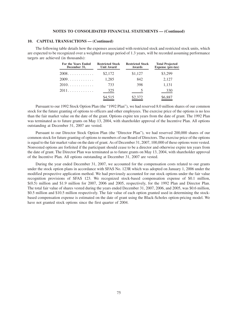#### **10. CAPITAL TRANSACTIONS — (Continued)**

The following table details how the expenses associated with restricted stock and restricted stock units, which are expected to be recognized over a weighted average period of 1.3 years, will be recorded assuming performance targets are achieved (in thousands):

| For the Years Ended<br>December 31, | <b>Restricted Stock</b><br><b>Unit Award</b> | <b>Restricted Stock</b><br>Awards | <b>Total Projected</b><br>Expense (pre-tax) |
|-------------------------------------|----------------------------------------------|-----------------------------------|---------------------------------------------|
| 2008.                               | \$2,172                                      | \$1,127                           | \$3,299                                     |
| $2009. \ldots \ldots \ldots \ldots$ | 1,285                                        | 842                               | 2,127                                       |
| $2010$                              | 733                                          | 398                               | 1,131                                       |
| 2011.                               | 325                                          |                                   | 330                                         |
|                                     | $\frac{$4,515}{2}$                           | \$2,372                           | \$6,887                                     |

Pursuant to our 1992 Stock Option Plan (the "1992 Plan"), we had reserved 8.0 million shares of our common stock for the future granting of options to officers and other employees. The exercise price of the options is no less than the fair market value on the date of the grant. Options expire ten years from the date of grant. The 1992 Plan was terminated as to future grants on May 13, 2004, with shareholder approval of the Incentive Plan. All options outstanding at December 31, 2007 are vested.

Pursuant to our Director Stock Option Plan (the "Director Plan"), we had reserved 200,000 shares of our common stock for future granting of options to members of our Board of Directors. The exercise price of the options is equal to the fair market value on the date of grant. As of December 31, 2007, 100,000 of these options were vested. Nonvested options are forfeited if the participant should cease to be a director and otherwise expire ten years from the date of grant. The Director Plan was terminated as to future grants on May 13, 2004, with shareholder approval of the Incentive Plan. All options outstanding at December 31, 2007 are vested.

During the year ended December 31, 2007, we accounted for the compensation costs related to our grants under the stock option plans in accordance with SFAS No. 123R which was adopted on January 1, 2006 under the modified prospective application method. We had previously accounted for our stock options under the fair value recognition provisions of SFAS 123. We recognized stock-based compensation expense of \$0.1 million, \$(0.5) million and \$1.9 million for 2007, 2006 and 2005, respectively, for the 1992 Plan and Director Plan. The total fair value of shares vested during the years ended December 31, 2007, 2006, and 2005, was \$0.6 million, \$0.5 million and \$10.5 million respectively. The fair value of each option granted used in determining the stockbased compensation expense is estimated on the date of grant using the Black-Scholes option-pricing model. We have not granted stock options since the first quarter of 2004.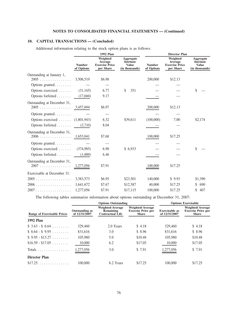#### **10. CAPITAL TRANSACTIONS — (Concluded)**

**Number of Options Weighted Average Exercise Price per Share Aggregate Intrinsic Value (in thousands) Number of Options Weighted Average Exercise Price per Share Aggregate Intrinsic Value (in thousands) 1992 Plan Director Plan** Outstanding at January 1, 2005 . . . . . . . . . . . . . . . 3,506,519 \$6.98 200,000 \$12.13 Options granted. . . . . . . .  $\qquad \qquad \qquad \qquad -$ Options exercised . . . . . . (31,165) 6.77 \$ 351 — — \$ Options forfeited  $\ldots$  . . . . . . (17,660) 9.17 Outstanding at December 31, 2005 . . . . . . . . . . . . . . . 3,457,694 \$6.97 200,000 \$12.13 Options granted. . . . . . . . Options exercised . . . . . (1,801,943) 6.32 \$39,611 (100,000) 7.00 \$2,174 Options forfeited . . . . . . . (2,710) 8.04 — — Outstanding at December 31, 2006 . . . . . . . . . . . . . . 1,653,041 \$7.68 100,000 \$17.25 Options granted. . . . . . . . Options exercised . . . . . (374,985) 6.90 \$ 6.933 - - \$ -Options forfeited . . . . . . . . (1,000) 6.46 — — — — Outstanding at December 31, 2007 . . . . . . . . . . . . . 1,277,056 \$7.91 100,000 \$17.25 Exercisable at December 31: 2005 . . . . . . . . . . . . . . . . . 3,383,573 \$6.95 \$23,501 140,000 \$ 9.93 \$1,390  $2006$  . . . . . . . . . . . . . . 1,641,672 \$7.67 \$12,587 40,000 \$17.25 \$ 690 2007 . . . . . . . . . . . . . . . 1,277,056 \$7.91 \$17,115 100,000 \$17.25 \$407

Additional information relating to the stock option plans is as follows:

The following tables summarize information about options outstanding at December 31, 2007:

|                                      |                                        | <b>Options Outstanding</b>                                      |                                                                      | <b>Options Exercisable</b>             |                                                                      |  |  |  |
|--------------------------------------|----------------------------------------|-----------------------------------------------------------------|----------------------------------------------------------------------|----------------------------------------|----------------------------------------------------------------------|--|--|--|
| <b>Range of Exercisable Prices</b>   | <b>Outstanding as</b><br>of 12/31/2007 | <b>Weighted-Average</b><br>Remaining<br><b>Contractual Life</b> | <b>Weighted-Average</b><br><b>Exercise Price per</b><br><b>Share</b> | <b>Exercisable as</b><br>of 12/31/2007 | <b>Weighted-Average</b><br><b>Exercise Price per</b><br><b>Share</b> |  |  |  |
| 1992 Plan                            |                                        |                                                                 |                                                                      |                                        |                                                                      |  |  |  |
| $$3.63 - $6.64$                      | 329,460                                | 2.0 Years                                                       | \$4.18                                                               | 329,460                                | \$4.18                                                               |  |  |  |
| $$6.64-S9.95$                        | 831.616                                | 3.0                                                             | \$8.96                                                               | 831.616                                | \$8.96                                                               |  |  |  |
| $$9.95 - $13.27  $                   | 105.980                                | 5.0                                                             | \$10.48                                                              | 105.980                                | \$10.48                                                              |  |  |  |
| $$16.59 - $17.05  $                  | 10,000                                 | 6.2                                                             | \$17.05                                                              | 10,000                                 | \$17.05                                                              |  |  |  |
| Totals $\ldots \ldots \ldots \ldots$ | 1,277,056                              | 3.0                                                             | \$ 7.91                                                              | 1,277,056                              | \$ 7.91                                                              |  |  |  |
| <b>Director Plan</b>                 |                                        |                                                                 |                                                                      |                                        |                                                                      |  |  |  |
| \$17.25                              | 100,000                                | 6.2 Years                                                       | \$17.25                                                              | 100,000                                | \$17.25                                                              |  |  |  |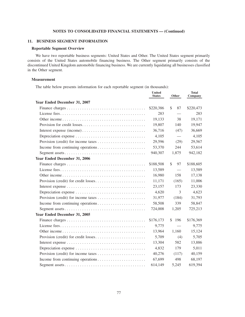## **11. BUSINESS SEGMENT INFORMATION**

## **Reportable Segment Overview**

We have two reportable business segments: United States and Other. The United States segment primarily consists of the United States automobile financing business. The Other segment primarily consists of the discontinued United Kingdom automobile financing business. We are currently liquidating all businesses classified in the Other segment.

## **Measurement**

The table below presents information for each reportable segment (in thousands):

|                              | <b>United</b><br><b>States</b> | Other              | <b>Total</b><br>Company |
|------------------------------|--------------------------------|--------------------|-------------------------|
| Year Ended December 31, 2007 |                                |                    |                         |
|                              | \$220,386                      | $\mathbb{S}$<br>87 | \$220,473               |
|                              | 283                            |                    | 283                     |
|                              | 19,133                         | 38                 | 19,171                  |
| Provision for credit losses  | 19,807                         | 140                | 19,947                  |
|                              | 36,716                         | (47)               | 36,669                  |
|                              | 4,105                          |                    | 4,105                   |
|                              | 29,596                         | (29)               | 29,567                  |
|                              | 53,370                         | 244                | 53,614                  |
|                              | 940,307                        | 1,875              | 942,182                 |
| Year Ended December 31, 2006 |                                |                    |                         |
|                              | \$188,508                      | \$<br>97           | \$188,605               |
|                              | 13,589                         |                    | 13,589                  |
|                              | 16,980                         | 158                | 17,138                  |
|                              | 11,171                         | (165)              | 11,006                  |
|                              | 23,157                         | 173                | 23,330                  |
|                              | 4,620                          | 3                  | 4,623                   |
|                              | 31,977                         | (184)              | 31,793                  |
|                              | 58,508                         | 339                | 58,847                  |
|                              | 724,008                        | 1,205              | 725,213                 |
| Year Ended December 31, 2005 |                                |                    |                         |
|                              | \$176,173                      | 196<br>S.          | \$176,369               |
|                              | 9,775                          |                    | 9,775                   |
|                              | 13,964                         | 1,160              | 15,124                  |
|                              | 5,709                          | (4)                | 5,705                   |
|                              | 13,304                         | 582                | 13,886                  |
|                              | 4,832                          | 179                | 5,011                   |
|                              | 40,276                         | (117)              | 40,159                  |
|                              | 67,699                         | 498                | 68,197                  |
|                              | 614,149                        | 5,245              | 619,394                 |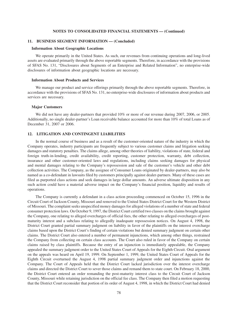## **11. BUSINESS SEGMENT INFORMATION — (Concluded)**

#### **Information About Geographic Locations**

We operate primarily in the United States. As such, our revenues from continuing operations and long-lived assets are evaluated primarily through the above reportable segments. Therefore, in accordance with the provisions of SFAS No. 131, "Disclosures about Segments of an Enterprise and Related Information", no enterprise-wide disclosures of information about geographic locations are necessary.

#### **Information About Products and Services**

We manage our product and service offerings primarily through the above reportable segments. Therefore, in accordance with the provisions of SFAS No. 131, no enterprise-wide disclosures of information about products and services are necessary.

#### **Major Customers**

We did not have any dealer-partners that provided  $10\%$  or more of our revenue during 2007, 2006, or 2005. Additionally, no single dealer-partner's Loan receivable balance accounted for more than 10% of total Loans as of December 31, 2007 or 2006.

## **12. LITIGATION AND CONTINGENT LIABILITIES**

In the normal course of business and as a result of the customer-oriented nature of the industry in which the Company operates, industry participants are frequently subject to various customer claims and litigation seeking damages and statutory penalties. The claims allege, among other theories of liability, violations of state, federal and foreign truth-in-lending, credit availability, credit reporting, customer protection, warranty, debt collection, insurance and other customer-oriented laws and regulations, including claims seeking damages for physical and mental damages relating to the Company's repossession and sale of the customer's vehicle and other debt collection activities. The Company, as the assignee of Consumer Loans originated by dealer-partners, may also be named as a co-defendant in lawsuits filed by customers principally against dealer-partners. Many of these cases are filed as purported class actions and seek damages in large dollar amounts. An adverse ultimate disposition in any such action could have a material adverse impact on the Company's financial position, liquidity and results of operations.

The Company is currently a defendant in a class action proceeding commenced on October 15, 1996 in the Circuit Court of Jackson County, Missouri and removed to the United States District Court for the Western District of Missouri. The complaint seeks unspecified money damages for alleged violations of a number of state and federal consumer protection laws. On October 9, 1997, the District Court certified two classes on the claims brought against the Company, one relating to alleged overcharges of official fees, the other relating to alleged overcharges of postmaturity interest and a subclass relating to allegedly inadequate repossession notices. On August 4, 1998, the District Court granted partial summary judgment on liability in favor of the plaintiffs on the interest overcharge claims based upon the District Court's finding of certain violations but denied summary judgment on certain other claims. The District Court also entered a number of permanent injunctions, which among other things, restrained the Company from collecting on certain class accounts. The Court also ruled in favor of the Company on certain claims raised by class plaintiffs. Because the entry of an injunction is immediately appealable, the Company appealed the summary judgment order to the United States Court of Appeals for the Eighth Circuit. Oral argument on the appeals was heard on April 19, 1999. On September 1, 1999, the United States Court of Appeals for the Eighth Circuit overturned the August 4, 1998 partial summary judgment order and injunctions against the Company. The Court of Appeals held that the District Court lacked jurisdiction over the interest overcharge claims and directed the District Court to sever those claims and remand them to state court. On February 18, 2000, the District Court entered an order remanding the post-maturity interest class to the Circuit Court of Jackson County, Missouri while retaining jurisdiction on the official fee class. The Company then filed a motion requesting that the District Court reconsider that portion of its order of August 4, 1998, in which the District Court had denied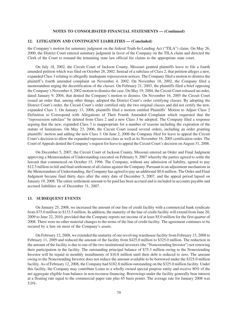## **12. LITIGATION AND CONTINGENT LIABILITIES — (Concluded)**

the Company's motion for summary judgment on the federal Truth-In-Lending Act ("TILA") claim. On May 26, 2000, the District Court entered summary judgment in favor of the Company on the TILA claim and directed the Clerk of the Court to remand the remaining state law official fee claims to the appropriate state court.

On July 18, 2002, the Circuit Court of Jackson County, Missouri granted plaintiffs leave to file a fourth amended petition which was filed on October 28, 2002. Instead of a subclass of Class 2, that petition alleges a new, expanded Class 3 relating to allegedly inadequate repossession notices. The Company filed a motion to dismiss the plaintiff's fourth amended complaint on November 4, 2002. On November 18, 2002, the Company filed a memorandum urging the decertification of the classes. On February 21, 2003, the plaintiffs filed a brief opposing the Company's November 4, 2002 motion to dismiss the case. On May 19, 2004, the Circuit Court released an order, dated January 9, 2004, that denied the Company's motion to dismiss. On November 16, 2005 the Circuit Court issued an order that, among other things, adopted the District Court's order certifying classes. By adopting the District Court's order, the Circuit Court's order certified only the two original classes and did not certify the new, expanded Class 3. On January 13, 2006, plaintiffs filed a motion entitled Plaintiffs' Motion to Adjust Class 2 Definition to Correspond with Allegations of Their Fourth Amended Complaint which requested that the "repossession subclass" be deleted from Class 2 and a new Class 3 be adopted. The Company filed a response arguing that the new, expanded Class 3 is inappropriate for a number of reasons including the expiration of the statute of limitations. On May 23, 2006, the Circuit Court issued several orders, including an order granting plaintiffs' motion and adding the new Class 3. On June 2, 2006 the Company filed for leave to appeal the Circuit Court's decision to allow the expanded repossession class as well as its November 16, 2005 certification order. The Court of Appeals denied the Company's request for leave to appeal the Circuit Court's decision on August 31, 2006.

On December 5, 2007, the Circuit Court of Jackson County, Missouri entered an Order and Final Judgment approving a Memorandum of Understanding executed on February 9, 2007 whereby the parties agreed to settle the lawsuit that commenced on October 15, 1996. The Company, without any admission of liability, agreed to pay \$12.5 million in full and final settlement of all claims against the Company. Pursuant to an adjustment mechanism in the Memorandum of Understanding, the Company has agreed to pay an additional \$0.6 million. The Order and Final Judgment became final thirty days after the entry date of December 5, 2007, and the appeal period lapsed on January 19, 2008. The entire settlement amount to be paid has been accrued and is included in accounts payable and accrued liabilities as of December 31, 2007.

#### **13. SUBSEQUENT EVENTS**

On January 25, 2008, we increased the amount of our line of credit facility with a commercial bank syndicate from \$75.0 million to \$133.5 million. In addition, the maturity of the line of credit facility will extend from June 20, 2009 to June 22, 2010, provided that the Company reports net income of at least \$5.0 million for the first quarter of 2008. There were no other material changes to the terms of the line of credit facility. The agreement continues to be secured by a lien on most of the Company's assets.

On February 12, 2008, we extended the maturity of our revolving warehouse facility from February 13, 2008 to February 11, 2009 and reduced the amount of the facility from \$425.0 million to \$325.0 million. The reduction in the amount of the facility is due to one of the two institutional investors (the "Nonextending Investor") not renewing their participation in the facility. The outstanding principal balance of \$75.3 million owing to the Nonextending Investor will be repaid in monthly installments of \$10.8 million until their debt is reduced to zero. The amount owing to the Nonextending Investor does not reduce the amount available to be borrowed under the \$325.0 million facility. As of February 12, 2008, the Company had \$182.8 million outstanding on the \$325.0 million facility. Under this facility, the Company may contribute Loans to a wholly owned special purpose entity and receive 80% of the net aggregate eligible loan balance in non-recourse financing. Borrowings under the facility generally bear interest at a floating rate equal to the commercial paper rate plus 65 basis points. The average rate for January 2008 was 5.0%.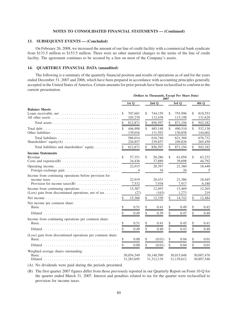## **13. SUBSEQUENT EVENTS — (Concluded)**

On February 26, 2008, we increased the amount of our line of credit facility with a commercial bank syndicate from \$133.5 million to \$153.5 million. There were no other material changes to the terms of the line of credit facility. The agreement continues to be secured by a lien on most of the Company's assets.

## **14. QUARTERLY FINANCIAL DATA (unaudited)**

The following is a summary of the quarterly financial position and results of operations as of and for the years ended December 31, 2007 and 2006, which have been prepared in accordance with accounting principles generally accepted in the United States of America. Certain amounts for prior periods have been reclassified to conform to the current presentation.

|                                                                                                                                      | (Dollars in Thousands, Except Per Share Data)<br>2007 |                          |    |                            |       |                          |    |                          |
|--------------------------------------------------------------------------------------------------------------------------------------|-------------------------------------------------------|--------------------------|----|----------------------------|-------|--------------------------|----|--------------------------|
|                                                                                                                                      |                                                       | 1st Q                    |    | 2nd Q                      | 3rd Q |                          |    | 4th Q                    |
| <b>Balance Sheets</b><br>Loans receivable, net $\dots\dots\dots\dots\dots\dots\dots\dots\dots\dots\dots$                             | S                                                     | 707,601<br>105,270       | \$ | 744,159<br>112,438         | \$    | 755,996<br>115,198       | \$ | 810,553<br>131,629       |
|                                                                                                                                      | \$                                                    | 812,871                  | \$ | 856,597                    | \$    | 871,194                  | \$ | 942,182                  |
|                                                                                                                                      | \$.                                                   | 446.998<br>139,016       | \$ | 485,148<br>131,592         | \$    | 490.510<br>130,858       | \$ | 532,130<br>144,602       |
|                                                                                                                                      |                                                       | 586,014<br>226,857       |    | 616,740<br>239,857         |       | 621,368<br>249,826       |    | 676,732<br>265,450       |
| Total liabilities and shareholders' equity                                                                                           | \$                                                    | 812,871                  | \$ | 856,597                    | \$    | 871,194                  | S  | 942,182                  |
| <b>Income Statements</b>                                                                                                             | \$                                                    | 57,351<br>34,436         | \$ | 58,286<br>37,889           | \$    | 61,058<br>39,698         | \$ | 63,232<br>44,792         |
| Operating income<br>Foreign exchange gain                                                                                            |                                                       | 22,915<br>4              |    | 20,397<br>34               |       | 21,360<br>26             |    | 18,440<br>5              |
| Income from continuing operations before provision for<br>Provision for income $\text{taxes}(B) \dots \dots \dots \dots \dots \dots$ |                                                       | 22,919<br>7,532          |    | 20,431<br>7,938            |       | 21,386<br>7,917          |    | 18,445<br>6,180          |
| Income from continuing operations<br>(Loss) gain from discontinued operations, net of tax                                            |                                                       | 15,387<br>(27)           |    | 12,493<br>(163)            |       | 13,469<br>1,273          |    | 12,265<br>219            |
|                                                                                                                                      | \$                                                    | 15,360                   | \$ | 12,330                     | \$    | 14,742                   | \$ | 12,484                   |
| Net income per common share:                                                                                                         | \$                                                    | 0.51                     | \$ | 0.41                       | \$    | 0.49                     | \$ | 0.42                     |
|                                                                                                                                      | \$                                                    | 0.49                     | \$ | 0.39                       | \$    | 0.47                     | \$ | 0.40                     |
| Income from continuing operations per common share:                                                                                  | \$                                                    | 0.51                     | S  | 0.41                       | S     | 0.45                     | S  | 0.41                     |
|                                                                                                                                      | \$                                                    | 0.49                     | \$ | 0.40                       | \$    | 0.43                     | \$ | 0.40                     |
| (Loss) gain from discontinued operations per common share:                                                                           | \$                                                    | 0.00                     | \$ | (0.01)                     | \$    | 0.04                     | \$ | 0.01                     |
|                                                                                                                                      | S                                                     | 0.00                     | \$ | (0.01)                     | \$    | 0.04                     | \$ | 0.01                     |
| Weighted average shares outstanding:                                                                                                 |                                                       | 30,054,349<br>31,283,695 |    | 30,140,590<br>31, 312, 139 |       | 30,015,048<br>31,139,612 |    | 30,007,476<br>30,897,546 |

(A) No dividends were paid during the periods presented.

(B) The first quarter 2007 figures differ from those previously reported in our Quarterly Report on Form 10-Q for the quarter ended March 31, 2007. Interest and penalties related to tax for the quarter were reclassified to provision for income taxes.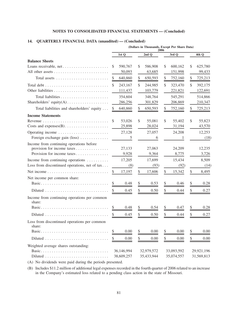| 14. |  |  |  | <b>QUARTERLY FINANCIAL DATA (unaudited) — (Concluded)</b> |  |
|-----|--|--|--|-----------------------------------------------------------|--|
|-----|--|--|--|-----------------------------------------------------------|--|

|                                                                | (Dollars in Thousands, Except Per Share Data)<br>2006 |            |    |            |               |            |    |            |
|----------------------------------------------------------------|-------------------------------------------------------|------------|----|------------|---------------|------------|----|------------|
|                                                                |                                                       | 1st Q      |    | 2nd Q      |               | 3rd Q      |    | 4th Q      |
| <b>Balance Sheets</b>                                          |                                                       |            |    |            |               |            |    |            |
| Loans receivable, net                                          | S                                                     | 590,767    | \$ | 586,908    | \$            | 600,162    | \$ | 625,780    |
|                                                                |                                                       | 50,093     |    | 63,685     |               | 151,998    |    | 99,433     |
| Total assets $\dots \dots \dots \dots \dots \dots \dots \dots$ | S                                                     | 640,860    | \$ | 650,593    | \$            | 752,160    | \$ | 725,213    |
|                                                                | \$                                                    | 243,167    | \$ | 244,985    | $\mathbb{S}$  | 323,470    | \$ | 392,175    |
|                                                                |                                                       | 111,437    |    | 103,779    |               | 221,821    |    | 122,691    |
|                                                                |                                                       | 354,604    |    | 348,764    |               | 545,291    |    | 514,866    |
|                                                                |                                                       | 286,256    |    | 301,829    |               | 206,869    |    | 210,347    |
| Total liabilities and shareholders' equity                     | S                                                     | 640,860    | \$ | 650,593    | \$            | 752,160    | \$ | 725,213    |
| <b>Income Statements</b>                                       |                                                       |            |    |            |               |            |    |            |
|                                                                | S                                                     | 53,026     | \$ | 55,081     | \$            | 55,402     | \$ | 55,823     |
|                                                                |                                                       | 25,898     |    | 28,024     |               | 31,194     |    | 43,570     |
| Operating income                                               |                                                       | 27,128     |    | 27,057     |               | 24,208     |    | 12,253     |
| Foreign exchange gain (loss)                                   |                                                       | 5          |    | 6          |               | 1          |    | (18)       |
| Income from continuing operations before                       |                                                       |            |    |            |               |            |    |            |
| provision for income taxes                                     |                                                       | 27,133     |    | 27,063     |               | 24,209     |    | 12,235     |
| Provision for income taxes                                     |                                                       | 9,928      |    | 9,364      |               | 8,775      |    | 3,726      |
| Income from continuing operations                              |                                                       | 17,205     |    | 17,699     |               | 15,434     |    | 8,509      |
| Loss from discontinued operations, net of tax                  |                                                       | (8)        |    | (93)       |               | (92)       |    | (14)       |
|                                                                | \$                                                    | 17,197     | \$ | 17,606     | \$            | 15,342     | \$ | 8,495      |
| Net income per common share:                                   |                                                       |            |    |            |               |            |    |            |
| Basic                                                          | \$                                                    | 0.48       | \$ | 0.53       | \$            | 0.46       | \$ | 0.28       |
|                                                                | \$                                                    | 0.45       | \$ | 0.50       | \$            | 0.44       | \$ | 0.27       |
| Income from continuing operations per common<br>share:         |                                                       |            |    |            |               |            |    |            |
| Basic                                                          | \$                                                    | 0.48       | \$ | 0.54       | \$            | 0.47       | \$ | 0.28       |
|                                                                | \$                                                    | 0.45       | \$ | 0.50       | \$            | 0.44       | \$ | 0.27       |
| Loss from discontinued operations per common<br>share:         |                                                       |            |    |            |               |            |    |            |
|                                                                | \$                                                    | 0.00       | \$ | 0.00       | \$            | 0.00       | \$ | 0.00       |
|                                                                | \$                                                    | 0.00       | \$ | 0.00       | $\frac{1}{2}$ | 0.00       | \$ | 0.00       |
| Weighted average shares outstanding:                           |                                                       |            |    |            |               |            |    |            |
| Basic                                                          |                                                       | 36,146,994 |    | 32,979,572 |               | 33,093,592 |    | 29,921,196 |
|                                                                |                                                       | 38,609,257 |    | 35,433,944 |               | 35,074,557 |    | 31,569,813 |

(A) No dividends were paid during the periods presented.

(B) Includes \$11.2 million of additional legal expenses recorded in the fourth quarter of 2006 related to an increase in the Company's estimated loss related to a pending class action in the state of Missouri.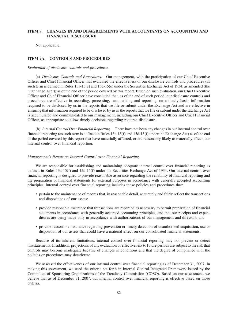## **ITEM 9. CHANGES IN AND DISAGREEMENTS WITH ACCOUNTANTS ON ACCOUNTING AND FINANCIAL DISCLOSURE**

Not applicable.

#### **ITEM 9A. CONTROLS AND PROCEDURES**

#### *Evaluation of disclosure controls and procedures.*

(a) *Disclosure Controls and Procedures.* Our management, with the participation of our Chief Executive Officer and Chief Financial Officer, has evaluated the effectiveness of our disclosure controls and procedures (as such term is defined in Rules 13a-15(e) and 15d-15(e) under the Securities Exchange Act of 1934, as amended (the "Exchange Act")) as of the end of the period covered by this report. Based on such evaluation, our Chief Executive Officer and Chief Financial Officer have concluded that, as of the end of such period, our disclosure controls and procedures are effective in recording, processing, summarizing and reporting, on a timely basis, information required to be disclosed by us in the reports that we file or submit under the Exchange Act and are effective in ensuring that information required to be disclosed by us in the reports that we file or submit under the Exchange Act is accumulated and communicated to our management, including our Chief Executive Officer and Chief Financial Officer, as appropriate to allow timely decisions regarding required disclosure.

(b) *Internal Control Over Financial Reporting.* There have not been any changes in our internal control over financial reporting (as such term is defined in Rules 13a-15(f) and 15d-15(f) under the Exchange Act) as of the end of the period covered by this report that have materially affected, or are reasonably likely to materially affect, our internal control over financial reporting.

#### *Management's Report on Internal Control over Financial Reporting.*

We are responsible for establishing and maintaining adequate internal control over financial reporting as defined in Rules 13a-15(f) and 15d-15(f) under the Securities Exchange Act of 1934. Our internal control over financial reporting is designed to provide reasonable assurance regarding the reliability of financial reporting and the preparation of financial statements for external purposes in accordance with generally accepted accounting principles. Internal control over financial reporting includes those policies and procedures that:

- pertain to the maintenance of records that, in reasonable detail, accurately and fairly reflect the transactions and dispositions of our assets;
- provide reasonable assurance that transactions are recorded as necessary to permit preparation of financial statements in accordance with generally accepted accounting principles, and that our receipts and expenditures are being made only in accordance with authorizations of our management and directors; and
- provide reasonable assurance regarding prevention or timely detection of unauthorized acquisition, use or disposition of our assets that could have a material effect on our consolidated financial statements.

Because of its inherent limitations, internal control over financial reporting may not prevent or detect misstatements. In addition, projections of any evaluation of effectiveness to future periods are subject to the risk that controls may become inadequate because of changes in conditions and that the degree of compliance with the policies or procedures may deteriorate.

We assessed the effectiveness of our internal control over financial reporting as of December 31, 2007. In making this assessment, we used the criteria set forth in Internal Control-Integrated Framework issued by the Committee of Sponsoring Organizations of the Treadway Commission (COSO). Based on our assessment, we believe that as of December 31, 2007, our internal control over financial reporting is effective based on those criteria.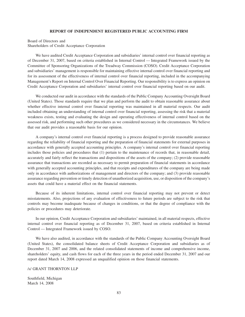#### **REPORT OF INDEPENDENT REGISTERED PUBLIC ACCOUNTING FIRM**

## Board of Directors and Shareholders of Credit Acceptance Corporation

We have audited Credit Acceptance Corporation and subsidiaries' internal control over financial reporting as of December 31, 2007, based on criteria established in Internal Control — Integrated Framework issued by the Committee of Sponsoring Organizations of the Treadway Commission (COSO). Credit Acceptance Corporation and subsidiaries' management is responsible for maintaining effective internal control over financial reporting and for its assessment of the effectiveness of internal control over financial reporting, included in the accompanying Management's Report on Internal Control Over Financial Reporting. Our responsibility is to express an opinion on Credit Acceptance Corporation and subsidiaries' internal control over financial reporting based on our audit.

We conducted our audit in accordance with the standards of the Public Company Accounting Oversight Board (United States). Those standards require that we plan and perform the audit to obtain reasonable assurance about whether effective internal control over financial reporting was maintained in all material respects. Our audit included obtaining an understanding of internal control over financial reporting, assessing the risk that a material weakness exists, testing and evaluating the design and operating effectiveness of internal control based on the assessed risk, and performing such other procedures as we considered necessary in the circumstances. We believe that our audit provides a reasonable basis for our opinion.

A company's internal control over financial reporting is a process designed to provide reasonable assurance regarding the reliability of financial reporting and the preparation of financial statements for external purposes in accordance with generally accepted accounting principles. A company's internal control over financial reporting includes those policies and procedures that (1) pertain to the maintenance of records that, in reasonable detail, accurately and fairly reflect the transactions and dispositions of the assets of the company; (2) provide reasonable assurance that transactions are recorded as necessary to permit preparation of financial statements in accordance with generally accepted accounting principles, and that receipts and expenditures of the company are being made only in accordance with authorizations of management and directors of the company; and (3) provide reasonable assurance regarding prevention or timely detection of unauthorized acquisition, use, or disposition of the company's assets that could have a material effect on the financial statements.

Because of its inherent limitations, internal control over financial reporting may not prevent or detect misstatements. Also, projections of any evaluation of effectiveness to future periods are subject to the risk that controls may become inadequate because of changes in conditions, or that the degree of compliance with the policies or procedures may deteriorate.

In our opinion, Credit Acceptance Corporation and subsidiaries' maintained, in all material respects, effective internal control over financial reporting as of December 31, 2007, based on criteria established in Internal Control — Integrated Framework issued by COSO.

We have also audited, in accordance with the standards of the Public Company Accounting Oversight Board (United States), the consolidated balance sheets of Credit Acceptance Corporation and subsidiaries as of December 31, 2007 and 2006, and the related consolidated statements of income and comprehensive income, shareholders' equity, and cash flows for each of the three years in the period ended December 31, 2007 and our report dated March 14, 2008 expressed an unqualified opinion on those financial statements.

## /s/ GRANT THORNTON LLP

Southfield, Michigan March 14, 2008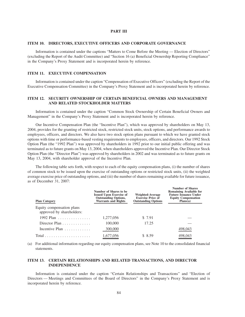## **PART III**

#### **ITEM 10. DIRECTORS, EXECUTIVE OFFICERS AND CORPORATE GOVERNANCE**

Information is contained under the captions "Matters to Come Before the Meeting — Election of Directors" (excluding the Report of the Audit Committee) and "Section 16 (a) Beneficial Ownership Reporting Compliance" in the Company's Proxy Statement and is incorporated herein by reference.

## **ITEM 11. EXECUTIVE COMPENSATION**

Information is contained under the caption "Compensation of Executive Officers" (excluding the Report of the Executive Compensation Committee) in the Company's Proxy Statement and is incorporated herein by reference.

## **ITEM 12. SECURITY OWNERSHIP OF CERTAIN BENEFICIAL OWNERS AND MANAGEMENT AND RELATED STOCKHOLDER MATTERS**

Information is contained under the caption "Common Stock Ownership of Certain Beneficial Owners and Management" in the Company's Proxy Statement and is incorporated herein by reference.

Our Incentive Compensation Plan (the "Incentive Plan"), which was approved by shareholders on May 13, 2004, provides for the granting of restricted stock, restricted stock units, stock options, and performance awards to employees, officers, and directors. We also have two stock option plans pursuant to which we have granted stock options with time or performance-based vesting requirements to employees, officers, and directors. Our 1992 Stock Option Plan (the "1992 Plan") was approved by shareholders in 1992 prior to our initial public offering and was terminated as to future grants on May 13, 2004, when shareholders approved the Incentive Plan. Our Director Stock Option Plan (the "Director Plan") was approved by shareholders in 2002 and was terminated as to future grants on May 13, 2004, with shareholder approval of the Incentive Plan.

The following table sets forth, with respect to each of the equity compensation plans, (i) the number of shares of common stock to be issued upon the exercise of outstanding options or restricted stock units, (ii) the weighted average exercise price of outstanding options, and (iii) the number of shares remaining available for future issuance, as of December 31, 2007:

| <b>Plan Category</b>                                    | Number of Shares to be<br><b>Issued Upon Exercise of</b><br><b>Outstanding Options,</b><br><b>Warrants and Rights</b> | <b>Weighted-Average</b><br><b>Exercise Price of</b><br><b>Outstanding Options</b> | <b>Number of Shares</b><br><b>Remaining Available for</b><br><b>Future Issuance Under</b><br><b>Equity Compensation</b><br>Plans(a) |
|---------------------------------------------------------|-----------------------------------------------------------------------------------------------------------------------|-----------------------------------------------------------------------------------|-------------------------------------------------------------------------------------------------------------------------------------|
| Equity compensation plans<br>approved by shareholders:  |                                                                                                                       |                                                                                   |                                                                                                                                     |
| 1992 Plan                                               | 1,277,056                                                                                                             | \$ 7.91                                                                           |                                                                                                                                     |
| Director Plan $\dots \dots \dots \dots$                 | 100,000                                                                                                               | 17.25                                                                             |                                                                                                                                     |
| Incentive Plan $\ldots$ , $\ldots$                      | 300,000                                                                                                               |                                                                                   | 498,043                                                                                                                             |
| $Total \dots \dots \dots \dots \dots \dots \dots \dots$ | 1,677,056                                                                                                             | \$ 8.59                                                                           | 498,043                                                                                                                             |

(a) For additional information regarding our equity compensation plans, see Note 10 to the consolidated financial statements.

## **ITEM 13. CERTAIN RELATIONSHIPS AND RELATED TRANSACTIONS, AND DIRECTOR INDEPENDENCE**

Information is contained under the caption "Certain Relationships and Transactions" and "Election of Directors — Meetings and Committees of the Board of Directors" in the Company's Proxy Statement and is incorporated herein by reference.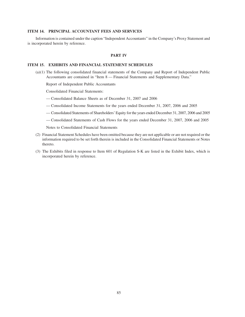## **ITEM 14. PRINCIPAL ACCOUNTANT FEES AND SERVICES**

Information is contained under the caption "Independent Accountants" in the Company's Proxy Statement and is incorporated herein by reference.

## **PART IV**

## **ITEM 15. EXHIBITS AND FINANCIAL STATEMENT SCHEDULES**

(a)(1) The following consolidated financial statements of the Company and Report of Independent Public Accountants are contained in "Item 8 — Financial Statements and Supplementary Data."

Report of Independent Public Accountants

Consolidated Financial Statements:

- Consolidated Balance Sheets as of December 31, 2007 and 2006
- Consolidated Income Statements for the years ended December 31, 2007, 2006 and 2005
- Consolidated Statements of Shareholders' Equity for the years ended December 31, 2007, 2006 and 2005
- Consolidated Statements of Cash Flows for the years ended December 31, 2007, 2006 and 2005

Notes to Consolidated Financial Statements

- (2) Financial Statement Schedules have been omitted because they are not applicable or are not required or the information required to be set forth therein is included in the Consolidated Financial Statements or Notes thereto.
- (3) The Exhibits filed in response to Item 601 of Regulation S-K are listed in the Exhibit Index, which is incorporated herein by reference.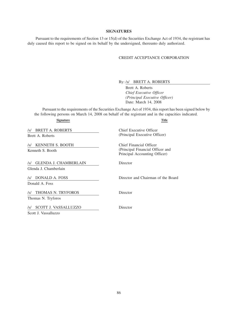## **SIGNATURES**

Pursuant to the requirements of Section 13 or 15(d) of the Securities Exchange Act of 1934, the registrant has duly caused this report to be signed on its behalf by the undersigned, thereunto duly authorized.

## CREDIT ACCEPTANCE CORPORATION

By: /s/ BRETT A. ROBERTS

Brett A. Roberts *Chief Executive Officer (Principal Executive Officer)* Date: March 14, 2008

Pursuant to the requirements of the Securities Exchange Act of 1934, this report has been signed below by the following persons on March 14, 2008 on behalf of the registrant and in the capacities indicated.

## **Signature Title**

| <b>BRETT A. ROBERTS</b><br>$\sqrt{s}$<br>Brett A. Roberts | Chief Executive Officer<br>(Principal Executive Officer)          |
|-----------------------------------------------------------|-------------------------------------------------------------------|
|                                                           |                                                                   |
| <b>KENNETH S. BOOTH</b><br>/s/                            | Chief Financial Officer                                           |
| Kenneth S. Booth                                          | (Principal Financial Officer and<br>Principal Accounting Officer) |
| <b>GLENDA J. CHAMBERLAIN</b><br>$\sqrt{s}$                | Director                                                          |
| Glenda J. Chamberlain                                     |                                                                   |
| DONALD A. FOSS<br>$\sqrt{s}$                              | Director and Chairman of the Board                                |
| Donald A. Foss                                            |                                                                   |
| THOMAS N. TRYFOROS<br>$\sqrt{s}$                          | Director                                                          |
| Thomas N. Tryforos                                        |                                                                   |
| SCOTT J. VASSALLUZZO<br>/s/                               | Director                                                          |
|                                                           |                                                                   |

Scott J. Vassalluzzo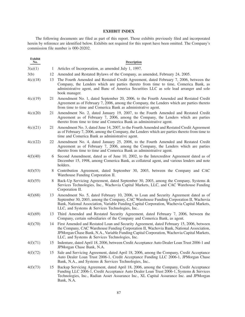## **EXHIBIT INDEX**

The following documents are filed as part of this report. Those exhibits previously filed and incorporated herein by reference are identified below. Exhibits not required for this report have been omitted. The Company's commission file number is 000-20202.

| <b>Exhibit</b><br>No. |    | <b>Description</b>                                                                                                                                                                                                                                                                                                                  |
|-----------------------|----|-------------------------------------------------------------------------------------------------------------------------------------------------------------------------------------------------------------------------------------------------------------------------------------------------------------------------------------|
| 3(a)(1)               | 1  | Articles of Incorporation, as amended July 1, 1997.                                                                                                                                                                                                                                                                                 |
| 3(b)                  | 12 | Amended and Restated Bylaws of the Company, as amended, February 24, 2005.                                                                                                                                                                                                                                                          |
| 4(c)(18)              | 13 | The Fourth Amended and Restated Credit Agreement, dated February 7, 2006, between the<br>Company, the Lenders which are parties thereto from time to time, Comerica Bank, as<br>administrative agent, and Banc of America Securities LLC as sole lead arranger and sole<br>book manager.                                            |
| 4(c)(19)              | 21 | Amendment No. 1, dated September 20, 2006, to the Fourth Amended and Restated Credit<br>Agreement as of February 7, 2006, among the Company, the Lenders which are parties thereto<br>from time to time and Comerica Bank as administrative agent.                                                                                  |
| 4(c)(20)              | 21 | Amendment No. 2, dated January 19, 2007, to the Fourth Amended and Restated Credit<br>Agreement as of February 7, 2006, among the Company, the Lenders which are parties<br>thereto from time to time and Comerica Bank as administrative agent.                                                                                    |
| 4(c)(21)              | 21 | Amendment No. 3, dated June 14, 2007, to the Fourth Amended and Restated Credit Agreement<br>as of February 7, 2006, among the Company, the Lenders which are parties thereto from time to<br>time and Comerica Bank as administrative agent.                                                                                       |
| 4(c)(22)              | 22 | Amendment No. 4, dated January 25, 2008, to the Fourth Amended and Restated Credit<br>Agreement as of February 7, 2006, among the Company, the Lenders which are parties<br>thereto from time to time and Comerica Bank as administrative agent.                                                                                    |
| 4(f)(40)              | 6  | Second Amendment, dated as of June 10, 2002, to the Intercreditor Agreement dated as of<br>December 15, 1998, among Comerica Bank, as collateral agent, and various lenders and note<br>holders.                                                                                                                                    |
| 4(f)(53)              | 8  | Contribution Agreement, dated September 30, 2003, between the Company and CAC<br>Warehouse Funding Corporation II.                                                                                                                                                                                                                  |
| 4(f)(55)              | 8  | Back-Up Servicing Agreement, dated September 30, 2003, among the Company, Systems &<br>Services Technologies, Inc., Wachovia Capital Markets, LLC, and CAC Warehouse Funding<br>Corporation II.                                                                                                                                     |
| 4(f)(68)              | 13 | Amendment No. 5, dated February 10, 2006, to Loan and Security Agreement dated as of<br>September 30, 2003, among the Company, CAC Warehouse Funding Corporation II, Wachovia<br>Bank, National Association, Variable Funding Capital Corporation, Wachovia Capital Markets,<br>LLC, and Systems & Services Technologies, Inc       |
| 4(f)(69)              | 13 | Third Amended and Restated Security Agreement, dated February 7, 2006, between the<br>Company, certain subsidiaries of the Company and Comerica Bank, as agent.                                                                                                                                                                     |
| 4(f)(70)              | 14 | First Amended and Restated Loan and Security Agreement, dated February 15, 2006, between<br>the Company, CAC Warehouse Funding Corporation II, Wachovia Bank, National Association,<br>JPMorgan Chase Bank, N.A., Variable Funding Capital Corporation, Wachovia Capital Markets,<br>LLC, and Systems & Services Technologies, Inc. |
| 4(f)(71)              | 15 | Indenture, dated April 18, 2006, between Credit Acceptance Auto Dealer Loan Trust 2006-1 and<br>JPMorgan Chase Bank, N.A.                                                                                                                                                                                                           |
| 4(f)(72)              | 15 | Sale and Servicing Agreement, dated April 18, 2006, among the Company, Credit Acceptance<br>Auto Dealer Loan Trust 2006-1, Credit Acceptance Funding LLC 2006-1, JPMorgan Chase<br>Bank, N.A., and Systems & Services Technologies, Inc                                                                                             |
| 4(f)(73)              | 15 | Backup Servicing Agreement, dated April 18, 2006, among the Company, Credit Acceptance<br>Funding LLC 2006-1, Credit Acceptance Auto Dealer Loan Trust 2006-1, Systems & Services<br>Technologies, Inc., Radian Asset Assurance Inc., XL Capital Assurance Inc. and JPMorgan<br>Bank, N.A.                                          |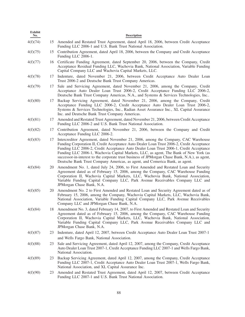| <b>Exhibit</b><br>No. |    | <b>Description</b>                                                                                                                                                                                                                                                                                                                                                                                                                                                                                                                                    |
|-----------------------|----|-------------------------------------------------------------------------------------------------------------------------------------------------------------------------------------------------------------------------------------------------------------------------------------------------------------------------------------------------------------------------------------------------------------------------------------------------------------------------------------------------------------------------------------------------------|
| 4(f)(74)              | 15 | Amended and Restated Trust Agreement, dated April 18, 2006, between Credit Acceptance<br>Funding LLC 2006-1 and U.S. Bank Trust National Association.                                                                                                                                                                                                                                                                                                                                                                                                 |
| 4(f)(75)              | 15 | Contribution Agreement, dated April 18, 2006, between the Company and Credit Acceptance<br>Funding LLC 2006-1.                                                                                                                                                                                                                                                                                                                                                                                                                                        |
| 4(f)(77)              | 16 | Certificate Funding Agreement, dated September 20, 2006, between the Company, Credit<br>Acceptance Residual Funding LLC, Wachovia Bank, National Association, Variable Funding<br>Capital Company LLC and Wachovia Capital Markets, LLC.                                                                                                                                                                                                                                                                                                              |
| 4(f)(78)              | 17 | Indenture, dated November 21, 2006, between Credit Acceptance Auto Dealer Loan<br>Trust 2006-2 and Deutsche Bank Trust Company Americas.                                                                                                                                                                                                                                                                                                                                                                                                              |
| 4(f)(79)              | 17 | Sale and Servicing Agreement, dated November 21, 2006, among the Company, Credit<br>Acceptance Auto Dealer Loan Trust 2006-2, Credit Acceptance Funding LLC 2006-2,<br>Deutsche Bank Trust Company Americas, N.A., and Systems & Services Technologies, Inc                                                                                                                                                                                                                                                                                           |
| 4(f)(80)              | 17 | Backup Servicing Agreement, dated November 21, 2006, among the Company, Credit<br>Acceptance Funding LLC 2006-2, Credit Acceptance Auto Dealer Loan Trust 2006-2,<br>Systems & Services Technologies, Inc., Radian Asset Assurance Inc., XL Capital Assurance<br>Inc. and Deutsche Bank Trust Company Americas.                                                                                                                                                                                                                                       |
| 4(f)(81)              | 17 | Amended and Restated Trust Agreement, dated November 21, 2006, between Credit Acceptance<br>Funding LLC 2006-2 and U.S. Bank Trust National Association.                                                                                                                                                                                                                                                                                                                                                                                              |
| 4(f)(82)              | 17 | Contribution Agreement, dated November 21, 2006, between the Company and Credit<br>Acceptance Funding LLC 2006-2.                                                                                                                                                                                                                                                                                                                                                                                                                                     |
| 4(f)(83)              | 17 | Intercreditor Agreement, dated November 21, 2006, among the Company, CAC Warehouse<br>Funding Corporation II, Credit Acceptance Auto Dealer Loan Trust 2006-2, Credit Acceptance<br>Funding LLC 2006-2, Credit Acceptance Auto Dealer Loan Trust 2006-1, Credit Acceptance<br>Funding LLC 2006-1, Wachovia Capital Markets, LLC, as agent, The Bank of New York (as<br>successor-in-interest to the corporate trust business of JPMorgan Chase Bank, N.A.), as agent,<br>Deutsche Bank Trust Company Americas, as agent, and Comerica Bank, as agent. |
| 4(f)(84)              | 20 | Amendment No. 1, dated July 24, 2006, to First Amended and Restated Loan and Security<br>Agreement dated as of February 15, 2006, among the Company, CAC Warehouse Funding<br>Corporation II, Wachovia Capital Markets, LLC, Wachovia Bank, National Association,<br>Variable Funding Capital Company LLC, Park Avenue Receivables Company LLC and<br>JPMorgan Chase Bank, N.A.                                                                                                                                                                       |
| 4(f)(85)              | 20 | Amendment No. 2 to First Amended and Restated Loan and Security Agreement dated as of<br>February 15, 2006, among the Company, Wachovia Capital Markets, LLC, Wachovia Bank,<br>National Association, Variable Funding Capital Company LLC, Park Avenue Receivables<br>Company LLC and JPMorgan Chase Bank, N.A.                                                                                                                                                                                                                                      |
| 4(f)(84)              | 18 | Amendment No. 3, dated February 14, 2007, to First Amended and Restated Loan and Security<br>Agreement dated as of February 15, 2006, among the Company, CAC Warehouse Funding<br>Corporation II, Wachovia Capital Markets, LLC, Wachovia Bank, National Association,<br>Variable Funding Capital Company LLC, Park Avenue Receivables Company LLC and<br>JPMorgan Chase Bank, N.A.                                                                                                                                                                   |
| 4(f)(87)              | 23 | Indenture, dated April 12, 2007, between Credit Acceptance Auto Dealer Loan Trust 2007-1                                                                                                                                                                                                                                                                                                                                                                                                                                                              |
|                       |    | and Wells Fargo Bank, National Association.                                                                                                                                                                                                                                                                                                                                                                                                                                                                                                           |
| 4(f)(88)              | 23 | Sale and Servicing Agreement, dated April 12, 2007, among the Company, Credit Acceptance<br>Auto Dealer Loan Trust 2007-1, Credit Acceptance Funding LLC 2007-1 and Wells Fargo Bank,<br>National Association.                                                                                                                                                                                                                                                                                                                                        |
| 4(f)(89)              | 23 | Backup Servicing Agreement, dated April 12, 2007, among the Company, Credit Acceptance<br>Funding LLC 2007-1, Credit Acceptance Auto Dealer Loan Trust 2007-1, Wells Fargo Bank,<br>National Association, and XL Capital Assurance Inc.                                                                                                                                                                                                                                                                                                               |
| 4(f)(90)              | 23 | Amended and Restated Trust Agreement, dated April 12, 2007, between Credit Acceptance<br>Funding LLC 2007-1 and U.S. Bank Trust National Association.                                                                                                                                                                                                                                                                                                                                                                                                 |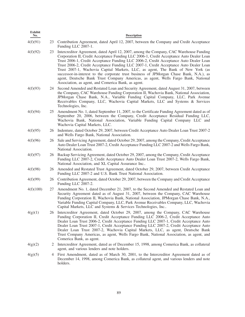| <b>Exhibit</b><br>No. |    | <b>Description</b>                                                                                                                                                                                                                                                                                                                                                                                                                                                                                                                                                                                                                                                                                |
|-----------------------|----|---------------------------------------------------------------------------------------------------------------------------------------------------------------------------------------------------------------------------------------------------------------------------------------------------------------------------------------------------------------------------------------------------------------------------------------------------------------------------------------------------------------------------------------------------------------------------------------------------------------------------------------------------------------------------------------------------|
| 4(f)(91)              | 23 | Contribution Agreement, dated April 12, 2007, between the Company and Credit Acceptance<br>Funding LLC 2007-1.                                                                                                                                                                                                                                                                                                                                                                                                                                                                                                                                                                                    |
| 4(f)(92)              | 23 | Intercreditor Agreement, dated April 12, 2007, among the Company, CAC Warehouse Funding<br>Corporation II, Credit Acceptance Funding LLC 2006-1, Credit Acceptance Auto Dealer Loan<br>Trust 2006-1, Credit Acceptance Funding LLC 2006-2, Credit Acceptance Auto Dealer Loan<br>Trust 2006-2, Credit Acceptance Funding LLC 2007-1, Credit Acceptance Auto Dealer Loan<br>Trust 2007-1, Wachovia Capital Markets, LLC, as agent, The Bank of New York (as<br>successor-in-interest to the corporate trust business of JPMorgan Chase Bank, N.A.), as<br>agent, Deutsche Bank Trust Company Americas, as agent, Wells Fargo Bank, National<br>Association, as agent, and Comerica Bank, as agent. |
| 4(f)(93)              | 24 | Second Amended and Restated Loan and Security Agreement, dated August 31, 2007, between<br>the Company, CAC Warehouse Funding Corporation II, Wachovia Bank, National Association,<br>JPMorgan Chase Bank, N.A., Variable Funding Capital Company, LLC, Park Avenue<br>Receivables Company, LLC, Wachovia Capital Markets, LLC and Systems & Services<br>Technologies, Inc.                                                                                                                                                                                                                                                                                                                       |
| 4(f)(94)              | 25 | Amendment No. 1, dated September 11, 2007, to the Certificate Funding Agreement dated as of<br>September 20, 2006, between the Company, Credit Acceptance Residual Funding LLC,<br>Wachovia Bank, National Association, Variable Funding Capital Company LLC and<br>Wachovia Capital Markets, LLC.                                                                                                                                                                                                                                                                                                                                                                                                |
| 4(f)(95)              | 26 | Indenture, dated October 29, 2007, between Credit Acceptance Auto Dealer Loan Trust 2007-2<br>and Wells Fargo Bank, National Association.                                                                                                                                                                                                                                                                                                                                                                                                                                                                                                                                                         |
| 4(f)(96)              | 26 | Sale and Servicing Agreement, dated October 29, 2007, among the Company, Credit Acceptance<br>Auto Dealer Loan Trust 2007-2, Credit Acceptance Funding LLC 2007-2 and Wells Fargo Bank,<br>National Association.                                                                                                                                                                                                                                                                                                                                                                                                                                                                                  |
| 4(f)(97)              | 26 | Backup Servicing Agreement, dated October 29, 2007, among the Company, Credit Acceptance<br>Funding LLC 2007-2, Credit Acceptance Auto Dealer Loan Trust 2007-2, Wells Fargo Bank,<br>National Association, and XL Capital Assurance Inc                                                                                                                                                                                                                                                                                                                                                                                                                                                          |
| 4(f)(98)              | 26 | Amended and Restated Trust Agreement, dated October 29, 2007, between Credit Acceptance<br>Funding LLC 2007-2 and U.S. Bank Trust National Association.                                                                                                                                                                                                                                                                                                                                                                                                                                                                                                                                           |
| 4(f)(99)              | 26 | Contribution Agreement, dated October 29, 2007, between the Company and Credit Acceptance<br>Funding LLC 2007-2.                                                                                                                                                                                                                                                                                                                                                                                                                                                                                                                                                                                  |
| 4(f)(100)             | 27 | Amendment No. 1, dated December 21, 2007, to the Second Amended and Restated Loan and<br>Security Agreement dated as of August 31, 2007, between the Company, CAC Warehouse<br>Funding Corporation II, Wachovia Bank, National Association, JPMorgan Chase Bank, N.A.,<br>Variable Funding Capital Company, LLC, Park Avenue Receivables Company, LLC, Wachovia<br>Capital Markets, LLC and Systems & Services Technologies, Inc                                                                                                                                                                                                                                                                  |
| 4(g)(1)               | 26 | Intercreditor Agreement, dated October 29, 2007, among the Company, CAC Warehouse<br>Funding Corporation II, Credit Acceptance Funding LLC 2006-2, Credit Acceptance Auto<br>Dealer Loan Trust 2006-2, Credit Acceptance Funding LLC 2007-1, Credit Acceptance Auto<br>Dealer Loan Trust 2007-1, Credit Acceptance Funding LLC 2007-2, Credit Acceptance Auto<br>Dealer Loan Trust 2007-2, Wachovia Capital Markets, LLC, as agent, Deutsche Bank<br>Trust Company Americas, as agent, Wells Fargo Bank, National Association, as agent, and<br>Comerica Bank, as agent.                                                                                                                          |
| 4(g)(2)               | 2  | Intercreditor Agreement, dated as of December 15, 1998, among Comerica Bank, as collateral<br>agent, and various lenders and note holders.                                                                                                                                                                                                                                                                                                                                                                                                                                                                                                                                                        |
| 4(g)(5)               | 4  | First Amendment, dated as of March 30, 2001, to the Intercreditor Agreement dated as of<br>December 14, 1998, among Comerica Bank, as collateral agent, and various lenders and note<br>holders.                                                                                                                                                                                                                                                                                                                                                                                                                                                                                                  |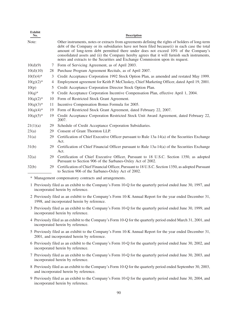| <b>Exhibit</b><br>No. |    | <b>Description</b>                                                                                                                                                                                                                                                                                                                                                                                                                                                          |
|-----------------------|----|-----------------------------------------------------------------------------------------------------------------------------------------------------------------------------------------------------------------------------------------------------------------------------------------------------------------------------------------------------------------------------------------------------------------------------------------------------------------------------|
| Note:                 |    | Other instruments, notes or extracts from agreements defining the rights of holders of long-term<br>debt of the Company or its subsidiaries have not been filed because(i) in each case the total<br>amount of long-term debt permitted there under does not exceed 10% of the Company's<br>consolidated assets and (ii) the Company hereby agrees that it will furnish such instruments,<br>notes and extracts to the Securities and Exchange Commission upon its request. |
| 10(d)(9)              | 7  | Form of Servicing Agreement, as of April 2003.                                                                                                                                                                                                                                                                                                                                                                                                                              |
| 10(d)(10)             | 28 | Purchase Program Agreement Recitals, as of April 2007.                                                                                                                                                                                                                                                                                                                                                                                                                      |
| $10(f)(4)*$           | 3  | Credit Acceptance Corporation 1992 Stock Option Plan, as amended and restated May 1999.                                                                                                                                                                                                                                                                                                                                                                                     |
| $10(g)(2)*$           | 4  | Employment agreement for Keith P. McCluskey, Chief Marketing Officer, dated April 19, 2001.                                                                                                                                                                                                                                                                                                                                                                                 |
| 10(p)                 | 5  | Credit Acceptance Corporation Director Stock Option Plan.                                                                                                                                                                                                                                                                                                                                                                                                                   |
| $10(q)^{*}$           | 9  | Credit Acceptance Corporation Incentive Compensation Plan, effective April 1, 2004.                                                                                                                                                                                                                                                                                                                                                                                         |
| $10(q)(2)^*$          | 10 | Form of Restricted Stock Grant Agreement.                                                                                                                                                                                                                                                                                                                                                                                                                                   |
| $10(q)(3)*$           | 11 | Incentive Compensation Bonus Formula for 2005.                                                                                                                                                                                                                                                                                                                                                                                                                              |
| $10(q)(4)*$           | 19 | Form of Restricted Stock Grant Agreement, dated February 22, 2007.                                                                                                                                                                                                                                                                                                                                                                                                          |
| $10(q)(5)^*$          | 19 | Credit Acceptance Corporation Restricted Stock Unit Award Agreement, dated February 22,<br>2007.                                                                                                                                                                                                                                                                                                                                                                            |
| 21(1)(a)              | 29 | Schedule of Credit Acceptance Corporation Subsidiaries.                                                                                                                                                                                                                                                                                                                                                                                                                     |
| 23(a)                 | 29 | Consent of Grant Thornton LLP.                                                                                                                                                                                                                                                                                                                                                                                                                                              |
| 31(a)                 | 29 | Certification of Chief Executive Officer pursuant to Rule $13a-14(a)$ of the Securities Exchange<br>Act.                                                                                                                                                                                                                                                                                                                                                                    |
| 31(b)                 | 29 | Certification of Chief Financial Officer pursuant to Rule $13a-14(a)$ of the Securities Exchange<br>Act.                                                                                                                                                                                                                                                                                                                                                                    |
| 32(a)                 | 29 | Certification of Chief Executive Officer, Pursuant to 18 U.S.C. Section 1350, as adopted<br>Pursuant to Section 906 of the Sarbanes-Oxley Act of 2002.                                                                                                                                                                                                                                                                                                                      |
| 32(b)                 | 29 | Certification of Chief Financial Officer, Pursuant to 18 U.S.C. Section 1350, as adopted Pursuant<br>to Section 906 of the Sarbanes-Oxley Act of 2002.                                                                                                                                                                                                                                                                                                                      |

1 Previously filed as an exhibit to the Company's Form 10-Q for the quarterly period ended June 30, 1997, and incorporated herein by reference.

2 Previously filed as an exhibit to the Company's Form 10-K Annual Report for the year ended December 31, 1998, and incorporated herein by reference.

3 Previously filed as an exhibit to the Company's Form 10-Q for the quarterly period ended June 30, 1999, and incorporated herein by reference.

4 Previously filed as an exhibit to the Company's Form 10-Q for the quarterly period ended March 31, 2001, and incorporated herein by reference.

5 Previously filed as an exhibit to the Company's Form 10-K Annual Report for the year ended December 31, 2001, and incorporated herein by reference.

6 Previously filed as an exhibit to the Company's Form 10-Q for the quarterly period ended June 30, 2002, and incorporated herein by reference.

7 Previously filed as an exhibit to the Company's Form 10-Q for the quarterly period ended June 30, 2003, and incorporated herein by reference.

8 Previously filed as an exhibit to the Company's Form 10-Q for the quarterly period ended September 30, 2003, and incorporated herein by reference.

9 Previously filed as an exhibit to the Company's Form 10-Q for the quarterly period ended June 30, 2004, and incorporated herein by reference.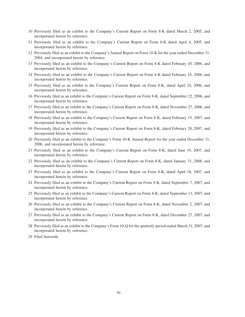- 10 Previously filed as an exhibit to the Company's Current Report on Form 8-K dated March 2, 2005, and incorporated herein by reference.
- 11 Previously filed as an exhibit to the Company's Current Report on Form 8-K dated April 4, 2005, and incorporated herein by reference.
- 12 Previously filed as an exhibit to the Company's Annual Report on Form 10-K for the year ended December 31, 2004, and incorporated herein by reference.
- 13 Previously filed as an exhibit to the Company's Current Report on Form 8-K dated February 10, 2006, and incorporated herein by reference.
- 14 Previously filed as an exhibit to the Company's Current Report on Form 8-K dated February 16, 2006, and incorporated herein by reference.
- 15 Previously filed as an exhibit to the Company's Current Report on Form 8-K, dated April 24, 2006, and incorporated herein by reference.
- 16 Previously filed as an exhibit to the Company's Current Report on Form 8-K, dated September 22, 2006, and incorporated herein by reference.
- 17 Previously filed as an exhibit to the Company's Current Report on Form 8-K, dated November 27, 2006, and incorporated herein by reference.
- 18 Previously filed as an exhibit to the Company's Current Report on Form 8-K, dated February 15, 2007, and incorporated herein by reference.
- 19 Previously filed as an exhibit to the Company's Current Report on Form 8-K, dated February 28, 2007, and incorporated herein by reference.
- 20 Previously filed as an exhibit to the Company's Form 10-K Annual Report for the year ended December 31, 2006, and incorporated herein by reference.
- 21 Previously filed as an exhibit to the Company's Current Report on Form 8-K, dated June 19, 2007, and incorporated herein by reference.
- 22 Previously filed as an exhibit to the Company's Current Report on Form 8-K, dated January 31, 2008, and incorporated herein by reference.
- 23 Previously filed as an exhibit to the Company's Current Report on Form 8-K, dated April 18, 2007, and incorporated herein by reference.
- 24 Previously filed as an exhibit to the Company's Current Report on Form 8-K, dated September 7, 2007, and incorporated herein by reference.
- 25 Previously filed as an exhibit to the Company's Current Report on Form 8-K, dated September 13, 2007, and incorporated herein by reference.
- 26 Previously filed as an exhibit to the Company's Current Report on Form 8-K, dated November 2, 2007, and incorporated herein by reference.
- 27 Previously filed as an exhibit to the Company's Current Report on Form 8-K, dated December 27, 2007, and incorporated herein by reference.
- 28 Previously filed as an exhibit to the Company's Form 10-Q for the quarterly period ended March 31, 2007, and incorporated herein by reference.
- 29 Filed herewith.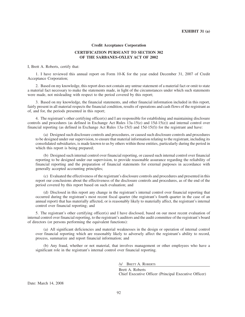#### **Credit Acceptance Corporation**

## **CERTIFICATION PURSUANT TO SECTION 302 OF THE SARBANES-OXLEY ACT OF 2002**

I, Brett A. Roberts, certify that:

1. I have reviewed this annual report on Form 10-K for the year ended December 31, 2007 of Credit Acceptance Corporation;

2. Based on my knowledge, this report does not contain any untrue statement of a material fact or omit to state a material fact necessary to make the statements made, in light of the circumstances under which such statements were made, not misleading with respect to the period covered by this report;

3. Based on my knowledge, the financial statements, and other financial information included in this report, fairly present in all material respects the financial condition, results of operations and cash flows of the registrant as of, and for, the periods presented in this report;

4. The registrant's other certifying officer(s) and I are responsible for establishing and maintaining disclosure controls and procedures (as defined in Exchange Act Rules 13a-15(e) and 15d-15(e)) and internal control over financial reporting (as defined in Exchange Act Rules 13a-15(f) and 15d-15(f)) for the registrant and have:

(a) Designed such disclosure controls and procedures, or caused such disclosure controls and procedures to be designed under our supervision, to ensure that material information relating to the registrant, including its consolidated subsidiaries, is made known to us by others within those entities, particularly during the period in which this report is being prepared;

(b) Designed such internal control over financial reporting, or caused such internal control over financial reporting to be designed under our supervision, to provide reasonable assurance regarding the reliability of financial reporting and the preparation of financial statements for external purposes in accordance with generally accepted accounting principles;

(c) Evaluated the effectiveness of the registrant's disclosure controls and procedures and presented in this report our conclusions about the effectiveness of the disclosure controls and procedures, as of the end of the period covered by this report based on such evaluation; and

(d) Disclosed in this report any change in the registrant's internal control over financial reporting that occurred during the registrant's most recent fiscal quarter (the registrant's fourth quarter in the case of an annual report) that has materially affected, or is reasonably likely to materially affect, the registrant's internal control over financial reporting; and

5. The registrant's other certifying officer(s) and I have disclosed, based on our most recent evaluation of internal control over financial reporting, to the registrant's auditors and the audit committee of the registrant's board of directors (or persons performing the equivalent functions):

(a) All significant deficiencies and material weaknesses in the design or operation of internal control over financial reporting which are reasonably likely to adversely affect the registrant's ability to record, process, summarize and report financial information; and

(b) Any fraud, whether or not material, that involves management or other employees who have a significant role in the registrant's internal control over financial reporting.

/s/ BRETT A. ROBERTS

Brett A. Roberts Chief Executive Officer (Principal Executive Officer)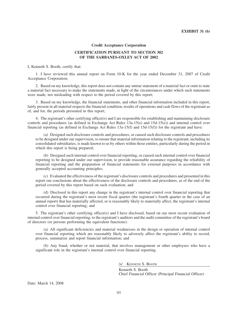#### **Credit Acceptance Corporation**

## **CERTIFICATION PURSUANT TO SECTION 302 OF THE SARBANES-OXLEY ACT OF 2002**

I, Kenneth S. Booth, certify that:

1. I have reviewed this annual report on Form 10-K for the year ended December 31, 2007 of Credit Acceptance Corporation;

2. Based on my knowledge, this report does not contain any untrue statement of a material fact or omit to state a material fact necessary to make the statements made, in light of the circumstances under which such statements were made, not misleading with respect to the period covered by this report;

3. Based on my knowledge, the financial statements, and other financial information included in this report, fairly present in all material respects the financial condition, results of operations and cash flows of the registrant as of, and for, the periods presented in this report;

4. The registrant's other certifying officer(s) and I are responsible for establishing and maintaining disclosure controls and procedures (as defined in Exchange Act Rules 13a-15(e) and 15d-15(e)) and internal control over financial reporting (as defined in Exchange Act Rules 13a-15(f) and 15d-15(f)) for the registrant and have:

(a) Designed such disclosure controls and procedures, or caused such disclosure controls and procedures to be designed under our supervision, to ensure that material information relating to the registrant, including its consolidated subsidiaries, is made known to us by others within those entities, particularly during the period in which this report is being prepared;

(b) Designed such internal control over financial reporting, or caused such internal control over financial reporting to be designed under our supervision, to provide reasonable assurance regarding the reliability of financial reporting and the preparation of financial statements for external purposes in accordance with generally accepted accounting principles;

(c) Evaluated the effectiveness of the registrant's disclosure controls and procedures and presented in this report our conclusions about the effectiveness of the disclosure controls and procedures, as of the end of the period covered by this report based on such evaluation; and

(d) Disclosed in this report any change in the registrant's internal control over financial reporting that occurred during the registrant's most recent fiscal quarter (the registrant's fourth quarter in the case of an annual report) that has materially affected, or is reasonably likely to materially affect, the registrant's internal control over financial reporting; and

5. The registrant's other certifying officer(s) and I have disclosed, based on our most recent evaluation of internal control over financial reporting, to the registrant's auditors and the audit committee of the registrant's board of directors (or persons performing the equivalent functions):

(a) All significant deficiencies and material weaknesses in the design or operation of internal control over financial reporting which are reasonably likely to adversely affect the registrant's ability to record, process, summarize and report financial information; and

(b) Any fraud, whether or not material, that involves management or other employees who have a significant role in the registrant's internal control over financial reporting.

/s/ KENNETH S. BOOTH

Kenneth S. Booth Chief Financial Officer (Principal Financial Officer)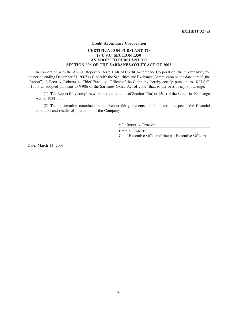**EXHIBIT 32 (a)**

## **Credit Acceptance Corporation**

## **CERTIFICATION PURSUANT TO 18 U.S.C. SECTION 1350 AS ADOPTED PURSUANT TO SECTION 906 OF THE SARBANES-OXLEY ACT OF 2002**

In connection with the Annual Report on form 10-K of Credit Acceptance Corporation (the "Company") for the period ending December 31, 2007 as filed with the Securities and Exchange Commission on the date hereof (the "Report"), I, Brett A. Roberts, as Chief Executive Officer of the Company, hereby certify, pursuant to 18 U.S.C. § 1350, as adopted pursuant to § 906 of the Sarbanes-Oxley Act of 2002, that, to the best of my knowledge:

(1) The Report fully complies with the requirements of Section 13(a) or 15(d) of the Securities Exchange Act of 1934; and

(2) The information contained in the Report fairly presents, in all material respects, the financial condition and results of operations of the Company.

/s/ BRETT A. ROBERTS

Brett A. Roberts Chief Executive Officer (Principal Executive Officer)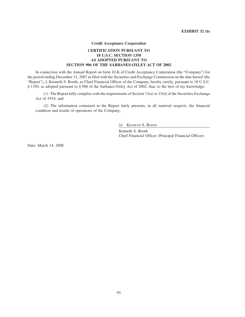**EXHIBIT 32 (b)**

## **Credit Acceptance Corporation**

## **CERTIFICATION PURSUANT TO 18 U.S.C. SECTION 1350 AS ADOPTED PURSUANT TO SECTION 906 OF THE SARBANES-OXLEY ACT OF 2002**

In connection with the Annual Report on form 10-K of Credit Acceptance Corporation (the "Company") for the period ending December 31, 2007 as filed with the Securities and Exchange Commission on the date hereof (the "Report"), I, Kenneth S. Booth, as Chief Financial Officer of the Company, hereby certify, pursuant to 18 U.S.C. § 1350, as adopted pursuant to § 906 of the Sarbanes-Oxley Act of 2002, that, to the best of my knowledge:

(1) The Report fully complies with the requirements of Section 13(a) or 15(d) of the Securities Exchange Act of 1934; and

(2) The information contained in the Report fairly presents, in all material respects, the financial condition and results of operations of the Company.

/s/ KENNETH S. BOOTH

Kenneth S. Booth Chief Financial Officer (Principal Financial Officer)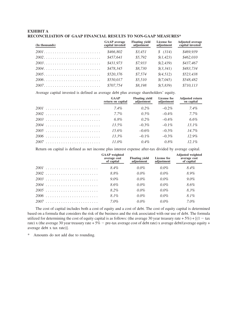## **EXHIBIT A RECONCILIATION OF GAAP FINANCIAL RESULTS TO NON-GAAP MEASURES\***

| (In thousands) | <b>GAAP</b> average<br>capital invested | <b>Floating yield</b><br>adjustment | <b>License fee</b><br>adjustment | <b>Adjusted average</b><br>capital invested |
|----------------|-----------------------------------------|-------------------------------------|----------------------------------|---------------------------------------------|
|                | \$466,802                               | \$3.451                             | \$(314)                          | \$469,939                                   |
|                | \$457.641                               | \$5,792                             | \$(1,423)                        | \$462,010                                   |
|                | \$431,973                               | \$7,933                             | \$(2,439)                        | \$437,467                                   |
|                | \$478,345                               | \$8,730                             | \$(3,341)                        | \$483,734                                   |
|                | \$520,376                               | \$7.574                             | \$(4,512)                        | \$523,438                                   |
|                | \$550,017                               | \$5,510                             | \$(7,045)                        | \$548,482                                   |
|                | \$707,754                               | \$8.198                             | \$(5,839)                        | \$710,113                                   |

Average capital invested is defined as average debt plus average shareholders' equity.

| GAAP<br>return on capital | <b>Floating yield</b><br>adjustment | <b>License fee</b><br>adjustment | <b>Adjusted return</b><br>on capital |
|---------------------------|-------------------------------------|----------------------------------|--------------------------------------|
| $7.4\%$                   | $0.2\%$                             | $-0.2\%$                         | 7.4%                                 |
| $7.7\%$                   | $0.5\%$                             | $-0.4\%$                         | $7.7\%$                              |
| 6.8%                      | $0.2\%$                             | $-0.4\%$                         | $6.6\%$                              |
| $13.5\%$                  | $-0.3\%$                            | $-0.1\%$                         | $13.1\%$                             |
| $15.6\%$                  | $-0.6\%$                            | $-0.3\%$                         | $14.7\%$                             |
| $13.3\%$                  | $-0.1\%$                            | $-0.3\%$                         | $12.9\%$                             |
| $11.0\%$                  | $0.4\%$                             | $0.8\%$                          | $12.1\%$                             |

Return on capital is defined as net income plus interest expense after-tax divided by average capital.

|      | <b>GAAP</b> weighted<br>average cost<br>of capital | <b>Floating yield</b><br>adjustment | <b>License fee</b><br>adjustment | <b>Adjusted weighted</b><br>average cost<br>of capital |
|------|----------------------------------------------------|-------------------------------------|----------------------------------|--------------------------------------------------------|
|      | 8.4%                                               | $0.0\%$                             | $0.0\%$                          | 8.4%                                                   |
| 2002 | 8.8%                                               | $0.0\%$                             | $0.0\%$                          | 8.9%                                                   |
|      | $9.0\%$                                            | $0.0\%$                             | $0.0\%$                          | $9.0\%$                                                |
|      | 8.6%                                               | $0.0\%$                             | $0.0\%$                          | 8.6%                                                   |
| 2005 | $8.2\%$                                            | $0.0\%$                             | $0.0\%$                          | $8.3\%$                                                |
| 2006 | 8.1%                                               | $0.0\%$                             | $0.0\%$                          | 8.1%                                                   |
|      | $7.0\%$                                            | $0.0\%$                             | $0.0\%$                          | $7.0\%$                                                |

The cost of capital includes both a cost of equity and a cost of debt. The cost of equity capital is determined based on a formula that considers the risk of the business and the risk associated with our use of debt. The formula utilized for determining the cost of equity capital is as follows: (the average 30 year treasury rate  $+5\%$ ) + [(1 - tax rate) x (the average 30 year treasury rate + 5% - pre-tax average cost of debt rate) x average debt/(average equity + average debt x tax rate)].

\* Amounts do not add due to rounding.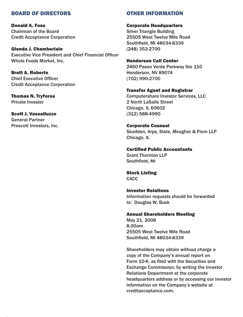# BOARD OF DIRECTORS OTHER INFORMATION

**Donald A. Foss Corporate Headquarters** Chairman of the Board Silver Triangle Building

Glenda J. Chamberlain (248) 353-2700 Executive Vice President and Chief Financial Officer Whole Foods Market, Inc. **Henderson Call Center** 

Brett A. Roberts **Exercise Exercise Exercise A. Roberts** Henderson, NV 89074 **Chief Executive Officer** Credit Acceptance Corporation

Scott J. Vassalluzzo (312) 588-4990 General Partner Prescott Investors, Inc. **Community Corporate Counsel** 

--------------------------------------------------------------------------------------------------------------------------------------------------------------------------------------------------- --------- HINGE- ---------- HINGE

Credit Acceptance Corporation 25505 West Twelve Mile Road Southfield, MI 48034-8339

2460 Paseo Verde Parkway Ste 110 (702) 990-2700

# Transfer Agent and Registrar

Thomas N. Tryforos Computershare Investor Services, LLC Private Investor 2 North LaSalle Street Chicago, IL 60602

 Skadden, Arps, Slate, Meagher & Flom LLP Chicago, IL

# **Certified Public Accountants**

 Grant Thornton LLP **Southfi**ng the contract of the contract of the contract of the contract of the contract of the contract of the contract of the contract of the contract of the contract of the contract of the contract of the contract of th Southfield, MI

# Stock Listing CACC

# Investor Relations

 Information requests should be forwarded to: Douglas W. Busk

# Annual Shareholders Meeting

 May 21, 2008 8.00am 25505 West Twelve Mile Road **Southfi**ng the contract of the contract of the contract of the contract of the contract of the contract of the contract of the contract of the contract of the contract of the contract of the contract of the contract of th Southfield, MI 48034-8339

 Shareholders may obtain without charge a copy of the Company's annual report on **Form 10-K, as filed with the Securities and**  Exchange Commission, by writing the Investor Relations Department at the corporate headquarters address or by accessing our investor information on the Company's website at creditacceptance.com.